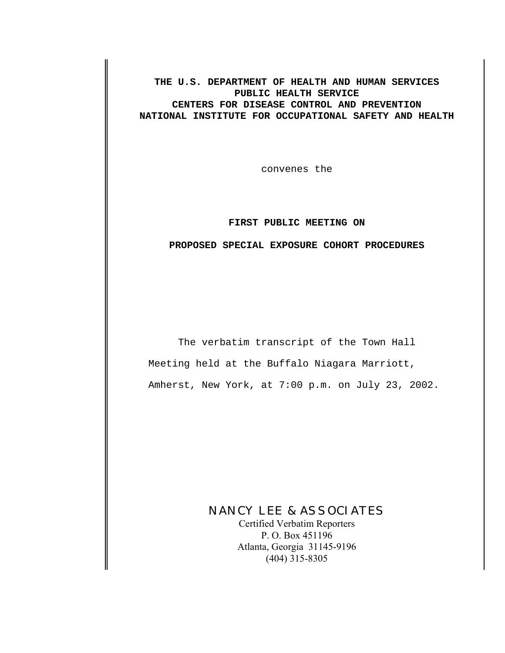**THE U.S. DEPARTMENT OF HEALTH AND HUMAN SERVICES PUBLIC HEALTH SERVICE CENTERS FOR DISEASE CONTROL AND PREVENTION NATIONAL INSTITUTE FOR OCCUPATIONAL SAFETY AND HEALTH**

convenes the

# **FIRST PUBLIC MEETING ON**

## **PROPOSED SPECIAL EXPOSURE COHORT PROCEDURES**

The verbatim transcript of the Town Hall Meeting held at the Buffalo Niagara Marriott, Amherst, New York, at 7:00 p.m. on July 23, 2002.

# NANCY LEE & ASSOCIATES

Certified Verbatim Reporters P. O. Box 451196 Atlanta, Georgia 31145-9196 (404) 315-8305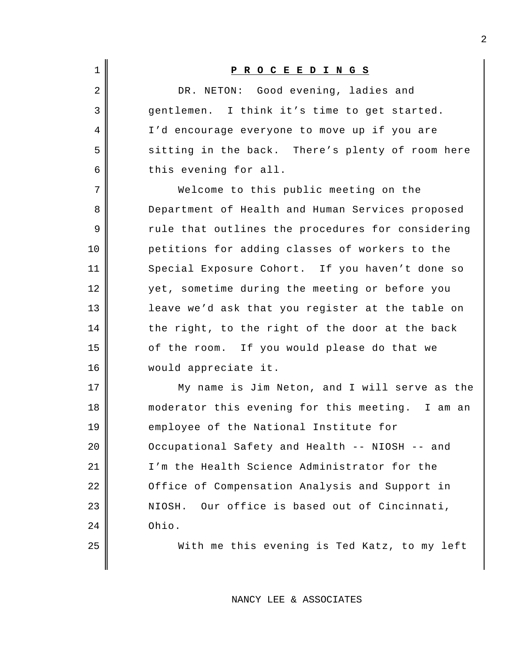| $\mathbf 1$    | <u>PROCEEDINGS</u>                                |
|----------------|---------------------------------------------------|
| $\overline{2}$ | DR. NETON: Good evening, ladies and               |
| 3              | gentlemen. I think it's time to get started.      |
| 4              | I'd encourage everyone to move up if you are      |
| 5              | sitting in the back. There's plenty of room here  |
| 6              | this evening for all.                             |
| 7              | Welcome to this public meeting on the             |
| 8              | Department of Health and Human Services proposed  |
| 9              | rule that outlines the procedures for considering |
| 10             | petitions for adding classes of workers to the    |
| 11             | Special Exposure Cohort. If you haven't done so   |
| 12             | yet, sometime during the meeting or before you    |
| 13             | leave we'd ask that you register at the table on  |
| 14             | the right, to the right of the door at the back   |
| 15             | of the room. If you would please do that we       |
| 16             | would appreciate it.                              |
| 17             | My name is Jim Neton, and I will serve as the     |
| 18             | moderator this evening for this meeting. I am an  |
| 19             | employee of the National Institute for            |
| 20             | Occupational Safety and Health -- NIOSH -- and    |
| 21             | I'm the Health Science Administrator for the      |
| 22             | Office of Compensation Analysis and Support in    |
| 23             | Our office is based out of Cincinnati,<br>NIOSH.  |
| 24             | Ohio.                                             |
| 25             | With me this evening is Ted Katz, to my left      |
|                |                                                   |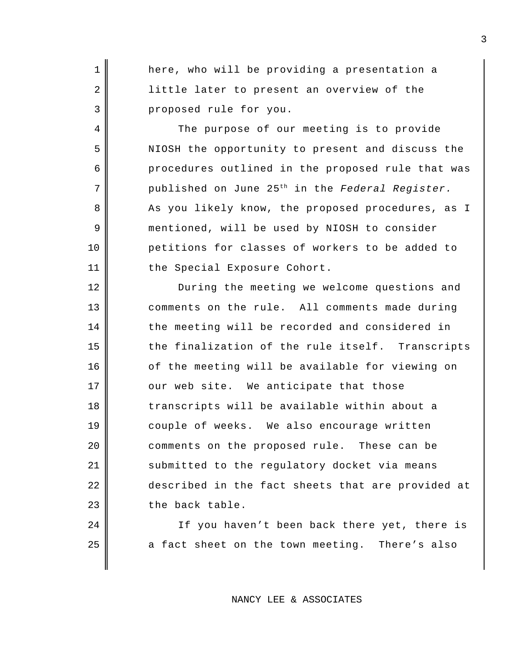1 || here, who will be providing a presentation a 2 || little later to present an overview of the 3 proposed rule for you.

4 The purpose of our meeting is to provide 5 NIOSH the opportunity to present and discuss the 6 procedures outlined in the proposed rule that was published on June 25th 7 in the *Federal Register.*  8 As you likely know, the proposed procedures, as I 9 mentioned, will be used by NIOSH to consider 10 petitions for classes of workers to be added to 11 | the Special Exposure Cohort.

12 During the meeting we welcome questions and 13 comments on the rule. All comments made during 14 the meeting will be recorded and considered in  $15$  the finalization of the rule itself. Transcripts 16 of the meeting will be available for viewing on  $17$   $\parallel$  our web site. We anticipate that those 18 transcripts will be available within about a 19 couple of weeks. We also encourage written 20 comments on the proposed rule. These can be 21 submitted to the regulatory docket via means 22 described in the fact sheets that are provided at  $23$   $\parallel$  the back table.

24 || If you haven't been back there yet, there is  $25$  a fact sheet on the town meeting. There's also

#### NANCY LEE & ASSOCIATES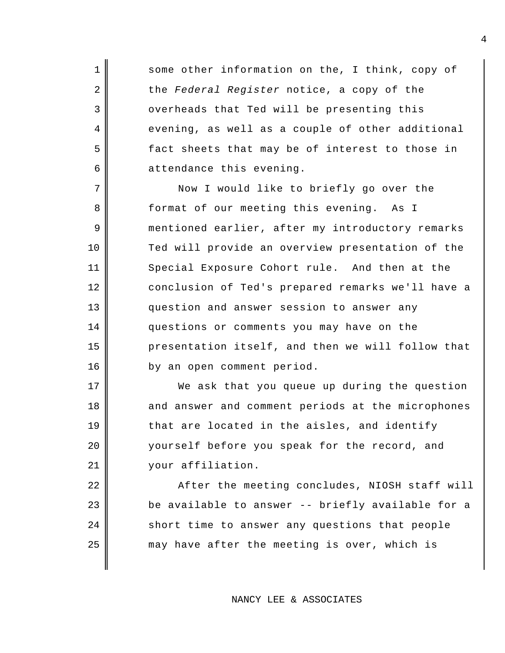1 Some other information on the, I think, copy of 2 the *Federal Register* notice, a copy of the 3 overheads that Ted will be presenting this  $4  $\parallel$  evening, as well as a couple of other additional$  $5$  fact sheets that may be of interest to those in  $6$  attendance this evening.

7 Now I would like to briefly go over the 8 format of our meeting this evening. As I 9 mentioned earlier, after my introductory remarks 10 Ted will provide an overview presentation of the 11 Special Exposure Cohort rule. And then at the 12 conclusion of Ted's prepared remarks we'll have a 13 question and answer session to answer any 14 questions or comments you may have on the 15 presentation itself, and then we will follow that 16 | by an open comment period.

17 We ask that you queue up during the question 18 || and answer and comment periods at the microphones  $19$   $\parallel$  that are located in the aisles, and identify 20 yourself before you speak for the record, and 21 | vour affiliation.

22 || After the meeting concludes, NIOSH staff will  $\parallel$  be available to answer -- briefly available for a short time to answer any questions that people may have after the meeting is over, which is

#### NANCY LEE & ASSOCIATES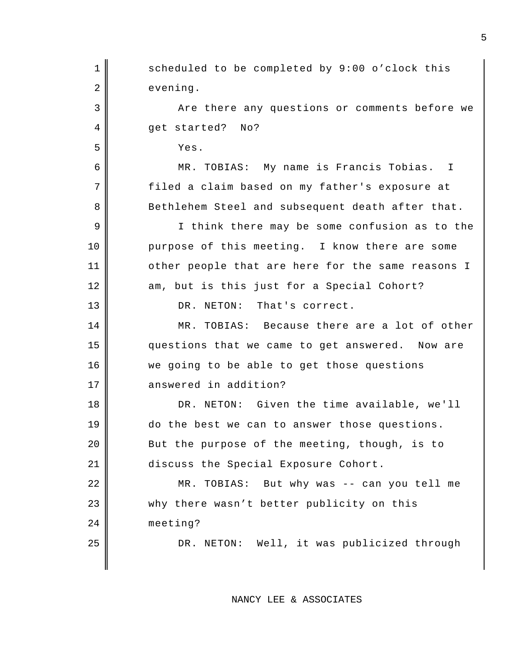1 Scheduled to be completed by 9:00 o'clock this 2 evening. 3 Are there any questions or comments before we 4 get started? No? 5 Yes. 6 MR. TOBIAS: My name is Francis Tobias. I 7 || filed a claim based on my father's exposure at 8 Bethlehem Steel and subsequent death after that. 9 || I think there may be some confusion as to the 10 purpose of this meeting. I know there are some 11 || other people that are here for the same reasons I 12 am, but is this just for a Special Cohort? 13 DR. NETON: That's correct. 14 MR. TOBIAS: Because there are a lot of other 15 questions that we came to get answered. Now are 16 || we going to be able to get those questions 17 answered in addition? 18 DR. NETON: Given the time available, we'll 19 do the best we can to answer those questions. 20 **But the purpose of the meeting, though, is to** 21 discuss the Special Exposure Cohort. 22 MR. TOBIAS: But why was -- can you tell me 23 || why there wasn't better publicity on this 24 meeting? 25 || DR. NETON: Well, it was publicized through

NANCY LEE & ASSOCIATES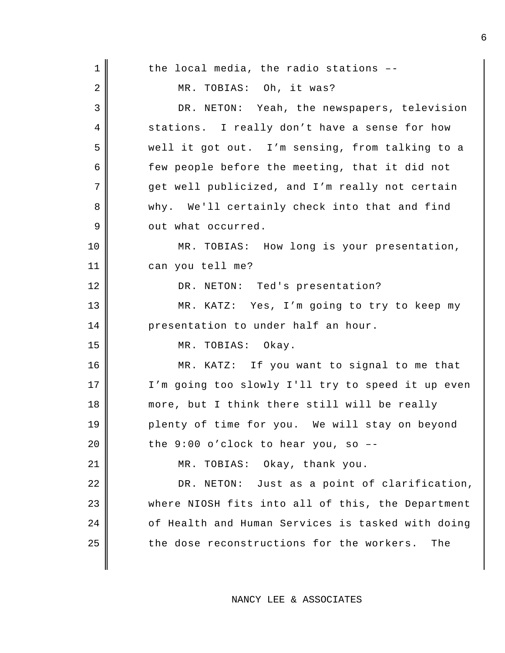| $\mathbf 1$ | the local media, the radio stations --            |
|-------------|---------------------------------------------------|
| 2           | MR. TOBIAS: Oh, it was?                           |
| 3           | DR. NETON: Yeah, the newspapers, television       |
| 4           | stations. I really don't have a sense for how     |
| 5           | well it got out. I'm sensing, from talking to a   |
| 6           | few people before the meeting, that it did not    |
| 7           | get well publicized, and I'm really not certain   |
| 8           | why. We'll certainly check into that and find     |
| 9           | out what occurred.                                |
| 10          | MR. TOBIAS: How long is your presentation,        |
| 11          | can you tell me?                                  |
| 12          | DR. NETON: Ted's presentation?                    |
| 13          | MR. KATZ: Yes, I'm going to try to keep my        |
| 14          | presentation to under half an hour.               |
| 15          | MR. TOBIAS: Okay.                                 |
| 16          | MR. KATZ: If you want to signal to me that        |
| 17          | I'm going too slowly I'll try to speed it up even |
| 18          | more, but I think there still will be really      |
| 19          | plenty of time for you. We will stay on beyond    |
| 20          | the $9:00$ o'clock to hear you, so $-$ -          |
| 21          | MR. TOBIAS: Okay, thank you.                      |
| 22          | DR. NETON: Just as a point of clarification,      |
| 23          | where NIOSH fits into all of this, the Department |
| 24          | of Health and Human Services is tasked with doing |
| 25          | the dose reconstructions for the workers. The     |
|             |                                                   |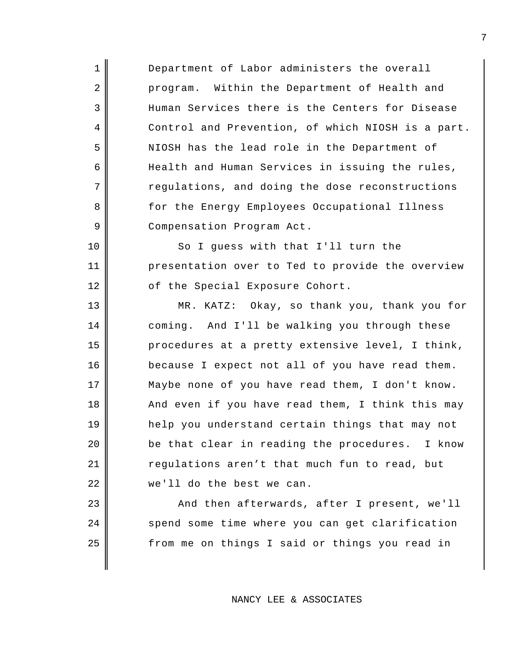1 Department of Labor administers the overall 2 program. Within the Department of Health and 3 Human Services there is the Centers for Disease 4 Control and Prevention, of which NIOSH is a part. 5 NIOSH has the lead role in the Department of  $6$  Health and Human Services in issuing the rules,  $7$   $\parallel$  regulations, and doing the dose reconstructions 8 for the Energy Employees Occupational Illness 9 Compensation Program Act.

10 So I guess with that I'll turn the 11 || presentation over to Ted to provide the overview 12 || of the Special Exposure Cohort.

13 MR. KATZ: Okay, so thank you, thank you for 14 coming. And I'll be walking you through these  $15$  procedures at a pretty extensive level, I think, 16 because I expect not all of you have read them. 17 || Maybe none of you have read them, I don't know. 18 And even if you have read them, I think this may 19 help you understand certain things that may not  $20$  | be that clear in reading the procedures. I know 21 | regulations aren't that much fun to read, but 22 we'll do the best we can.

23 || And then afterwards, after I present, we'll 24 spend some time where you can get clarification 25 | Trom me on things I said or things you read in

## NANCY LEE & ASSOCIATES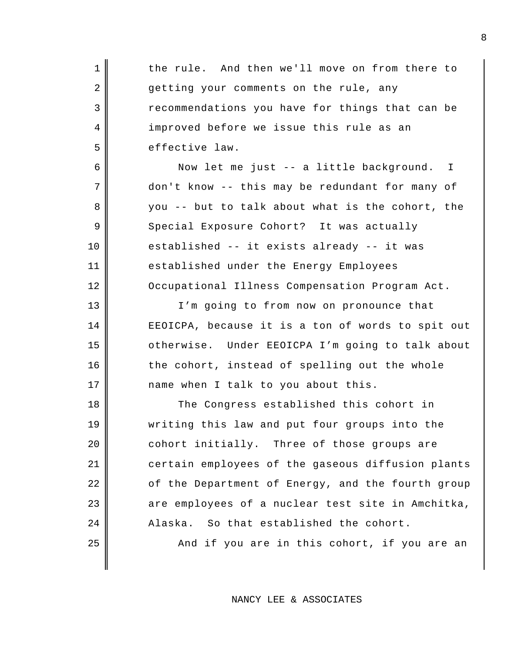| $\mathbf 1$ | the rule. And then we'll move on from there to    |
|-------------|---------------------------------------------------|
| 2           | getting your comments on the rule, any            |
| 3           | recommendations you have for things that can be   |
| 4           | improved before we issue this rule as an          |
| 5           | effective law.                                    |
| 6           | Now let me just -- a little background. I         |
| 7           | don't know -- this may be redundant for many of   |
| 8           | you -- but to talk about what is the cohort, the  |
| 9           | Special Exposure Cohort? It was actually          |
| $10 \,$     | established -- it exists already -- it was        |
| 11          | established under the Energy Employees            |
| 12          | Occupational Illness Compensation Program Act.    |
| 13          | I'm going to from now on pronounce that           |
| 14          | EEOICPA, because it is a ton of words to spit out |
| 15          | otherwise. Under EEOICPA I'm going to talk about  |
| 16          | the cohort, instead of spelling out the whole     |
| 17          | name when I talk to you about this.               |
| 18          | The Congress established this cohort in           |
| 19          | writing this law and put four groups into the     |
| 20          | cohort initially. Three of those groups are       |
| 21          | certain employees of the gaseous diffusion plants |
| 22          | of the Department of Energy, and the fourth group |
| 23          | are employees of a nuclear test site in Amchitka, |
| 24          | Alaska. So that established the cohort.           |
| 25          | And if you are in this cohort, if you are an      |
|             |                                                   |
|             |                                                   |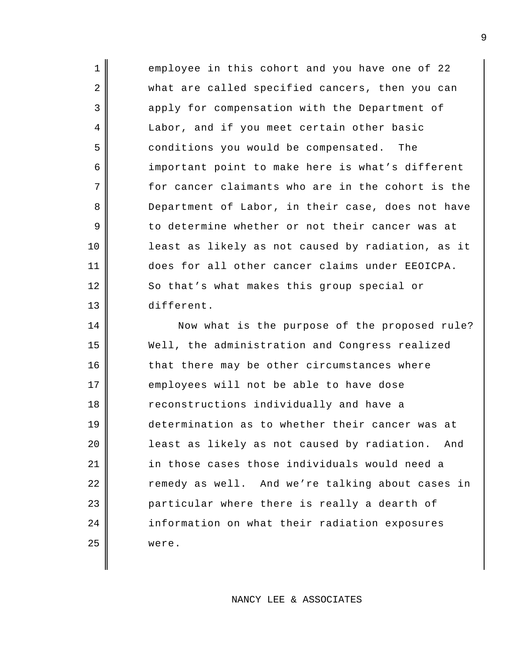1 employee in this cohort and you have one of 22 2 what are called specified cancers, then you can 3 apply for compensation with the Department of 4 Labor, and if you meet certain other basic 5 conditions you would be compensated. The 6 important point to make here is what's different  $7$   $\parallel$  for cancer claimants who are in the cohort is the 8 Department of Labor, in their case, does not have 9 to determine whether or not their cancer was at 10 least as likely as not caused by radiation, as it 11 does for all other cancer claims under EEOICPA. 12 So that's what makes this group special or 13 different.

14 || Now what is the purpose of the proposed rule? 15 Well, the administration and Congress realized 16 that there may be other circumstances where 17 employees will not be able to have dose 18 Teconstructions individually and have a 19 determination as to whether their cancer was at 20 | least as likely as not caused by radiation. And 21 | in those cases those individuals would need a 22 | Temedy as well. And we're talking about cases in 23 **particular where there is really a dearth of** 24 information on what their radiation exposures 25 | were.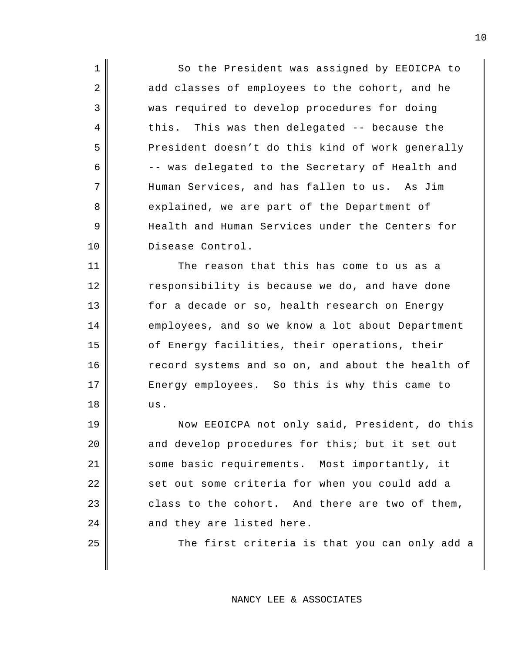1 || So the President was assigned by EEOICPA to 2 add classes of employees to the cohort, and he 3 was required to develop procedures for doing  $4 \parallel$  this. This was then delegated -- because the 5 President doesn't do this kind of work generally  $6 \parallel$  -- was delegated to the Secretary of Health and 7 Human Services, and has fallen to us. As Jim 8 explained, we are part of the Department of 9 Health and Human Services under the Centers for 10 Disease Control.

11 The reason that this has come to us as a 12 Tesponsibility is because we do, and have done 13 for a decade or so, health research on Energy 14 employees, and so we know a lot about Department 15 of Energy facilities, their operations, their 16 Tecord systems and so on, and about the health of 17 Energy employees. So this is why this came to 18 us.

19 || Now EEOICPA not only said, President, do this 20 and develop procedures for this; but it set out 21 Some basic requirements. Most importantly, it 22 set out some criteria for when you could add a  $23$  class to the cohort. And there are two of them,  $24$  | and they are listed here.

 $25$   $\parallel$  The first criteria is that you can only add a

NANCY LEE & ASSOCIATES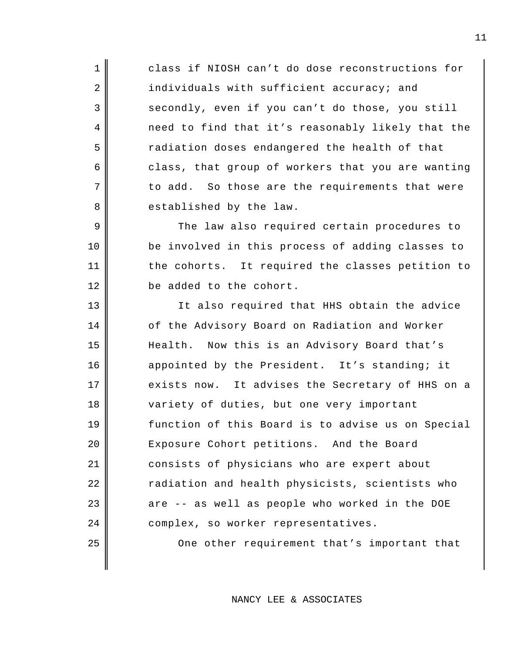1 class if NIOSH can't do dose reconstructions for 2 individuals with sufficient accuracy; and 3 secondly, even if you can't do those, you still 4 need to find that it's reasonably likely that the 5 The stadiation doses endangered the health of that 6 class, that group of workers that you are wanting  $7 \parallel$  to add. So those are the requirements that were 8 established by the law.

9 The law also required certain procedures to 10 be involved in this process of adding classes to 11 || the cohorts. It required the classes petition to 12 **be** added to the cohort.

13 || It also required that HHS obtain the advice 14 of the Advisory Board on Radiation and Worker 15 | Health. Now this is an Advisory Board that's 16 appointed by the President. It's standing; it 17 exists now. It advises the Secretary of HHS on a 18 variety of duties, but one very important 19 function of this Board is to advise us on Special 20 Exposure Cohort petitions. And the Board 21 consists of physicians who are expert about 22 || cadiation and health physicists, scientists who  $23$   $\parallel$  are -- as well as people who worked in the DOE 24 complex, so worker representatives.

25 || One other requirement that's important that

NANCY LEE & ASSOCIATES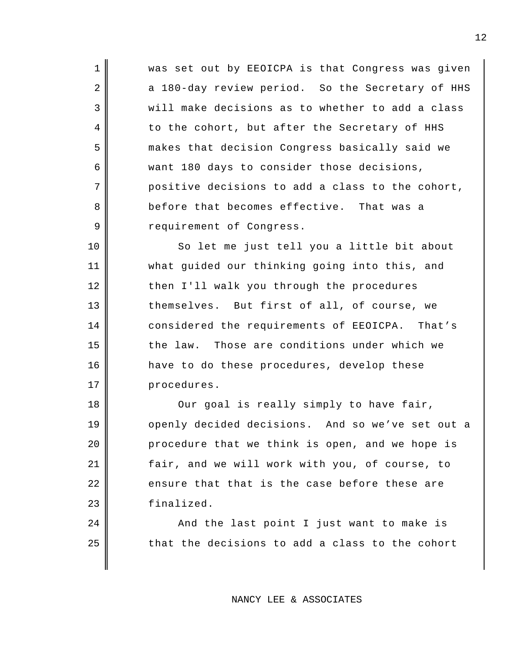1 || was set out by EEOICPA is that Congress was given 2 a 180-day review period. So the Secretary of HHS 3 will make decisions as to whether to add a class 4 to the cohort, but after the Secretary of HHS 5 makes that decision Congress basically said we 6 want 180 days to consider those decisions,  $7 \parallel$  positive decisions to add a class to the cohort, 8 before that becomes effective. That was a 9 | Tequirement of Congress.

10 || So let me just tell you a little bit about 11 what guided our thinking going into this, and 12 then I'll walk you through the procedures 13 themselves. But first of all, of course, we 14 considered the requirements of EEOICPA. That's 15 the law. Those are conditions under which we 16 have to do these procedures, develop these 17 | procedures.

18 || Our goal is really simply to have fair, 19 || openly decided decisions. And so we've set out a  $20$  | procedure that we think is open, and we hope is 21 | fair, and we will work with you, of course, to  $22$   $\parallel$  ensure that that is the case before these are 23 | finalized.

24 || And the last point I just want to make is  $25$   $\parallel$  that the decisions to add a class to the cohort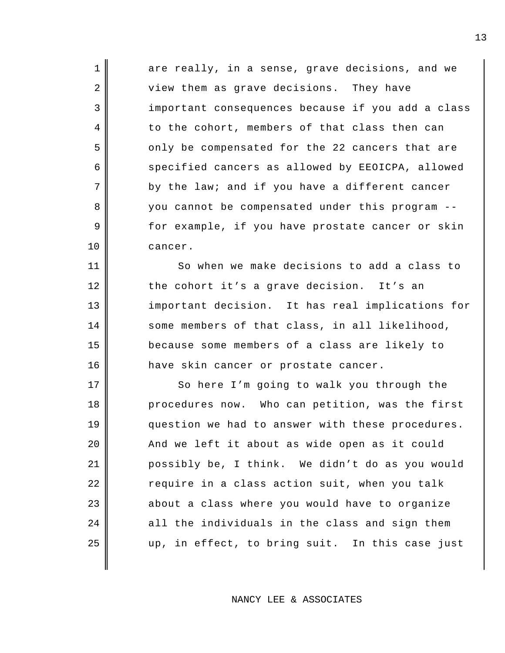| $\mathbf{1}$ | are really, in a sense, grave decisions, and we   |
|--------------|---------------------------------------------------|
| 2            | view them as grave decisions. They have           |
| 3            | important consequences because if you add a class |
| 4            | to the cohort, members of that class then can     |
| 5            | only be compensated for the 22 cancers that are   |
| 6            | specified cancers as allowed by EEOICPA, allowed  |
| 7            | by the law; and if you have a different cancer    |
| 8            | you cannot be compensated under this program --   |
| 9            | for example, if you have prostate cancer or skin  |
| 10           | cancer.                                           |
|              |                                                   |

11 So when we make decisions to add a class to 12 the cohort it's a grave decision. It's an 13 important decision. It has real implications for 14 some members of that class, in all likelihood, because some members of a class are likely to 16 have skin cancer or prostate cancer.

17 || So here I'm going to walk you through the 18 || procedures now. Who can petition, was the first question we had to answer with these procedures. | And we left it about as wide open as it could possibly be, I think. We didn't do as you would 22 | Tequire in a class action suit, when you talk about a class where you would have to organize all the individuals in the class and sign them || up, in effect, to bring suit. In this case just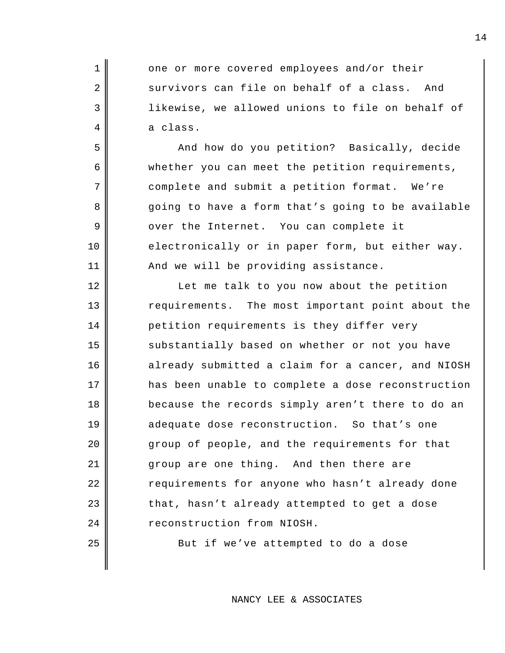1 one or more covered employees and/or their 2 survivors can file on behalf of a class. And 3 || likewise, we allowed unions to file on behalf of  $4 \parallel$  a class.

5 And how do you petition? Basically, decide 6 whether you can meet the petition requirements, 7 || complete and submit a petition format. We're 8 going to have a form that's going to be available 9 || over the Internet. You can complete it 10 electronically or in paper form, but either way. 11 || And we will be providing assistance.

12 ||<br>
Let me talk to you now about the petition 13 || requirements. The most important point about the 14 | petition requirements is they differ very 15 substantially based on whether or not you have 16 already submitted a claim for a cancer, and NIOSH 17 || has been unable to complete a dose reconstruction 18 because the records simply aren't there to do an 19 adequate dose reconstruction. So that's one 20 group of people, and the requirements for that 21 group are one thing. And then there are 22 || requirements for anyone who hasn't already done  $23$  | that, hasn't already attempted to get a dose 24 **Parameter** reconstruction from NIOSH.

 $25$   $\parallel$  But if we've attempted to do a dose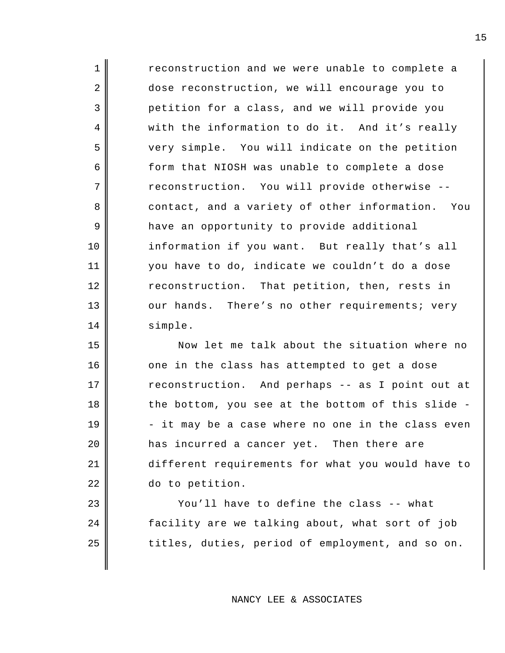1 || reconstruction and we were unable to complete a 2 dose reconstruction, we will encourage you to 3 petition for a class, and we will provide you 4 with the information to do it. And it's really 5 very simple. You will indicate on the petition 6 6 form that NIOSH was unable to complete a dose 7 reconstruction. You will provide otherwise --8 contact, and a variety of other information. You 9 have an opportunity to provide additional 10 information if you want. But really that's all 11 you have to do, indicate we couldn't do a dose 12 reconstruction. That petition, then, rests in 13 || our hands. There's no other requirements; very 14 | simple.

 Now let me talk about the situation where no 16 | one in the class has attempted to get a dose 17 || reconstruction. And perhaps -- as I point out at  $\parallel$  the bottom, you see at the bottom of this slide - $19 \parallel$  - it may be a case where no one in the class even **has incurred a cancer yet.** Then there are different requirements for what you would have to do to petition.

23 || You'll have to define the class -- what 24 facility are we talking about, what sort of job 25 || titles, duties, period of employment, and so on.

NANCY LEE & ASSOCIATES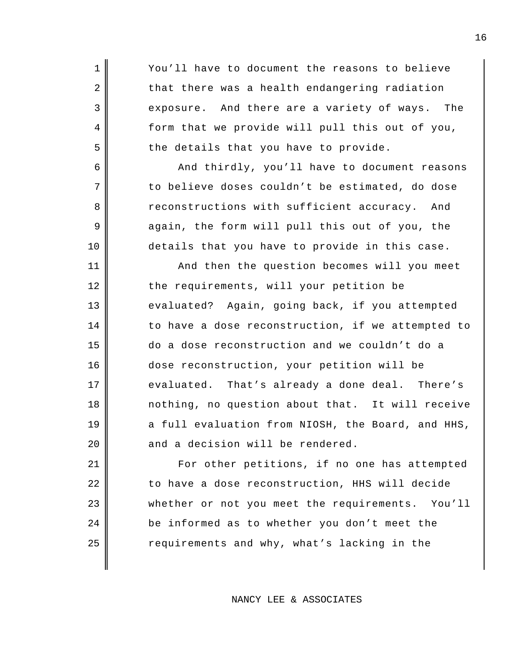1 || You'll have to document the reasons to believe  $2 \parallel$  that there was a health endangering radiation 3 exposure. And there are a variety of ways. The 4 form that we provide will pull this out of you,  $5 \parallel$  the details that you have to provide. 6 And thirdly, you'll have to document reasons  $7 \parallel$  to believe doses couldn't be estimated, do dose 8 reconstructions with sufficient accuracy. And 9 again, the form will pull this out of you, the 10 details that you have to provide in this case. 11 || And then the question becomes will you meet 12 the requirements, will your petition be 13 evaluated? Again, going back, if you attempted  $14$  to have a dose reconstruction, if we attempted to 15 do a dose reconstruction and we couldn't do a 16 dose reconstruction, your petition will be 17 evaluated. That's already a done deal. There's 18 nothing, no question about that. It will receive  $19$  a full evaluation from NIOSH, the Board, and HHS,  $20$  and a decision will be rendered. 21 || For other petitions, if no one has attempted 22 | to have a dose reconstruction, HHS will decide 23 whether or not you meet the requirements. You'll 24 be informed as to whether you don't meet the

NANCY LEE & ASSOCIATES

25 || equirements and why, what's lacking in the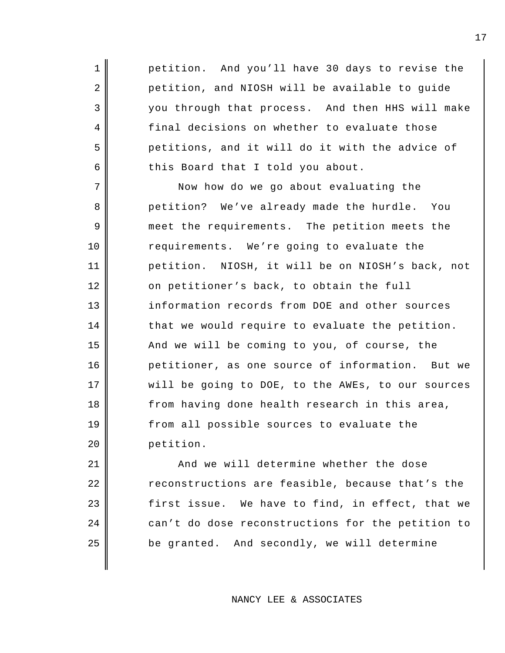1 petition. And you'll have 30 days to revise the 2 petition, and NIOSH will be available to guide 3 you through that process. And then HHS will make 4 final decisions on whether to evaluate those 5 petitions, and it will do it with the advice of  $6 \parallel$  this Board that I told you about.

7 Now how do we go about evaluating the 8 petition? We've already made the hurdle. You 9 meet the requirements. The petition meets the 10 Tequirements. We're going to evaluate the 11 petition. NIOSH, it will be on NIOSH's back, not 12 on petitioner's back, to obtain the full 13 information records from DOE and other sources  $14$   $\parallel$  that we would require to evaluate the petition. 15 And we will be coming to you, of course, the 16 petitioner, as one source of information. But we 17 will be going to DOE, to the AWEs, to our sources 18 from having done health research in this area, 19 from all possible sources to evaluate the 20 petition.

21 | And we will determine whether the dose 22 | Teconstructions are feasible, because that's the  $23$   $\parallel$  first issue. We have to find, in effect, that we 24 can't do dose reconstructions for the petition to  $25$  || be granted. And secondly, we will determine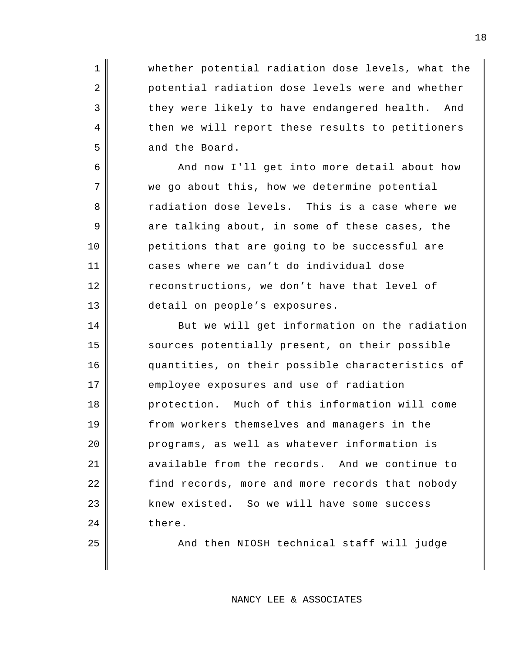1 Whether potential radiation dose levels, what the 2 potential radiation dose levels were and whether 3 they were likely to have endangered health. And 4 then we will report these results to petitioners 5 and the Board.

6 And now I'll get into more detail about how 7 || we go about this, how we determine potential 8 and 8 and 1 radiation dose levels. This is a case where we  $9 \parallel$  are talking about, in some of these cases, the 10 petitions that are going to be successful are 11 cases where we can't do individual dose 12 reconstructions, we don't have that level of 13 detail on people's exposures.

14 But we will get information on the radiation 15 sources potentially present, on their possible 16 quantities, on their possible characteristics of 17 employee exposures and use of radiation 18 protection. Much of this information will come 19 from workers themselves and managers in the 20 | Programs, as well as whatever information is 21 available from the records. And we continue to  $22$   $\parallel$  find records, more and more records that nobody 23 | knew existed. So we will have some success 24 there.

25 || And then NIOSH technical staff will judge

NANCY LEE & ASSOCIATES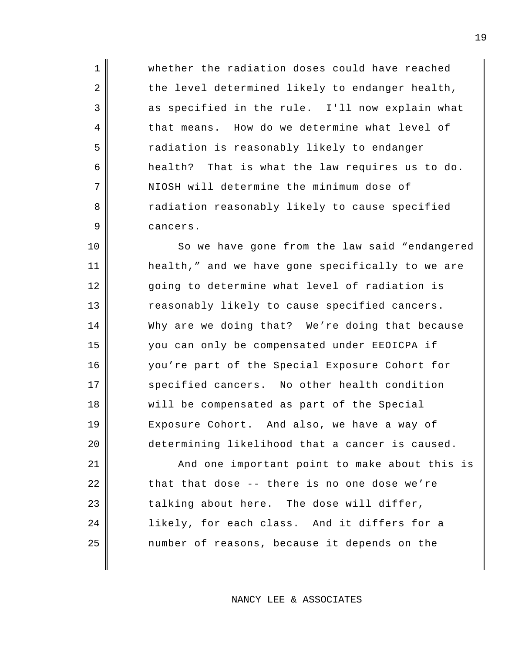1 **Whether the radiation doses could have reached**  $2 \parallel$  the level determined likely to endanger health, 3 as specified in the rule. I'll now explain what 4 that means. How do we determine what level of 5 || cadiation is reasonably likely to endanger  $6 \parallel$  health? That is what the law requires us to do. 7 NIOSH will determine the minimum dose of 8 a radiation reasonably likely to cause specified 9 cancers.

10 || So we have gone from the law said "endangered 11 health," and we have gone specifically to we are 12 || going to determine what level of radiation is 13 Teasonably likely to cause specified cancers. 14 Why are we doing that? We're doing that because 15 you can only be compensated under EEOICPA if 16 you're part of the Special Exposure Cohort for 17 specified cancers. No other health condition 18 will be compensated as part of the Special 19 Exposure Cohort. And also, we have a way of 20 determining likelihood that a cancer is caused.

21 | And one important point to make about this is  $22$   $\parallel$  that that dose -- there is no one dose we're  $23$  talking about here. The dose will differ, 24 | likely, for each class. And it differs for a 25 || mumber of reasons, because it depends on the

NANCY LEE & ASSOCIATES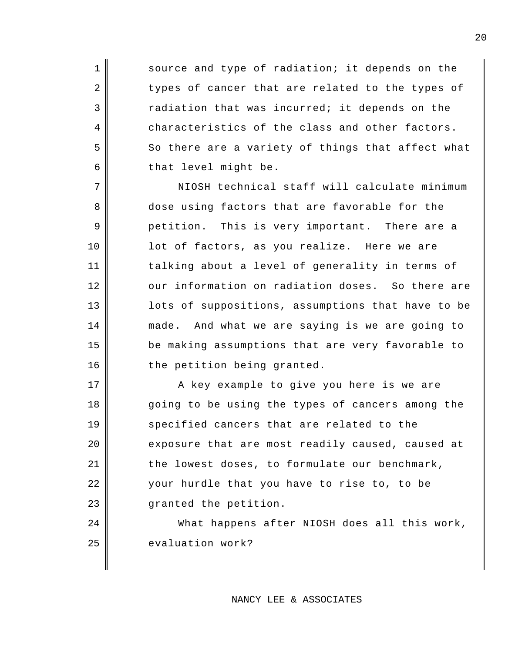1 Source and type of radiation; it depends on the 2 types of cancer that are related to the types of  $3$   $\parallel$  radiation that was incurred; it depends on the 4 characteristics of the class and other factors.  $5 \parallel$  So there are a variety of things that affect what  $6 \parallel$  that level might be.

7 NIOSH technical staff will calculate minimum 8 dose using factors that are favorable for the 9 petition. This is very important. There are a 10 || lot of factors, as you realize. Here we are 11 | talking about a level of generality in terms of 12 | our information on radiation doses. So there are 13 || lots of suppositions, assumptions that have to be 14 made. And what we are saying is we are going to 15 be making assumptions that are very favorable to 16 | the petition being granted.

17 || A key example to give you here is we are 18 going to be using the types of cancers among the 19 specified cancers that are related to the  $20$   $\parallel$  exposure that are most readily caused, caused at  $21$   $\parallel$  the lowest doses, to formulate our benchmark, 22 || your hurdle that you have to rise to, to be 23 granted the petition.

24 What happens after NIOSH does all this work, 25 evaluation work?

#### NANCY LEE & ASSOCIATES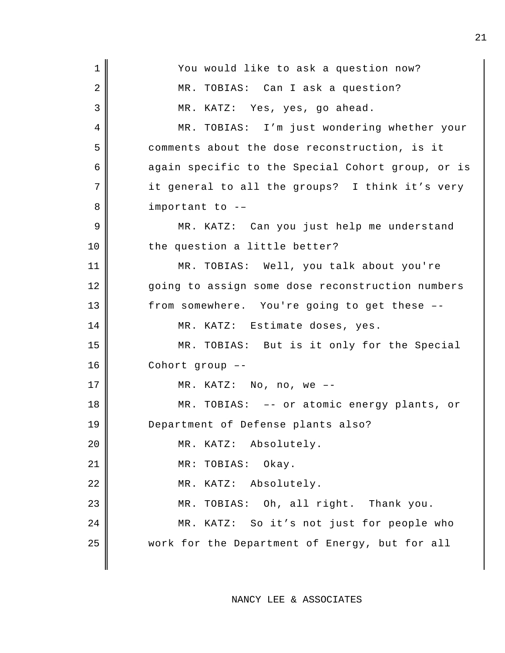| $\mathbf{1}$ | You would like to ask a question now?             |
|--------------|---------------------------------------------------|
| 2            | MR. TOBIAS: Can I ask a question?                 |
| 3            | MR. KATZ: Yes, yes, go ahead.                     |
| 4            | MR. TOBIAS: I'm just wondering whether your       |
| 5            | comments about the dose reconstruction, is it     |
| 6            | again specific to the Special Cohort group, or is |
| 7            | it general to all the groups? I think it's very   |
| 8            | important to --                                   |
| 9            | MR. KATZ: Can you just help me understand         |
| 10           | the question a little better?                     |
| 11           | MR. TOBIAS: Well, you talk about you're           |
| 12           | going to assign some dose reconstruction numbers  |
| 13           | from somewhere. You're going to get these --      |
| 14           | MR. KATZ: Estimate doses, yes.                    |
| 15           | MR. TOBIAS: But is it only for the Special        |
| 16           | Cohort group --                                   |
| 17           | MR. KATZ: No, no, we $--$                         |
| 18           | MR. TOBIAS: -- or atomic energy plants, or        |
| 19           | Department of Defense plants also?                |
| 20           | MR. KATZ: Absolutely.                             |
| 21           | TOBIAS:<br>Okay.<br>MR:                           |
| 22           | Absolutely.<br>KATZ:<br>MR.                       |
| 23           | TOBIAS: Oh, all right. Thank you.<br>MR.          |
| 24           | KATZ: So it's not just for people who<br>MR.      |
| 25           | work for the Department of Energy, but for all    |
|              |                                                   |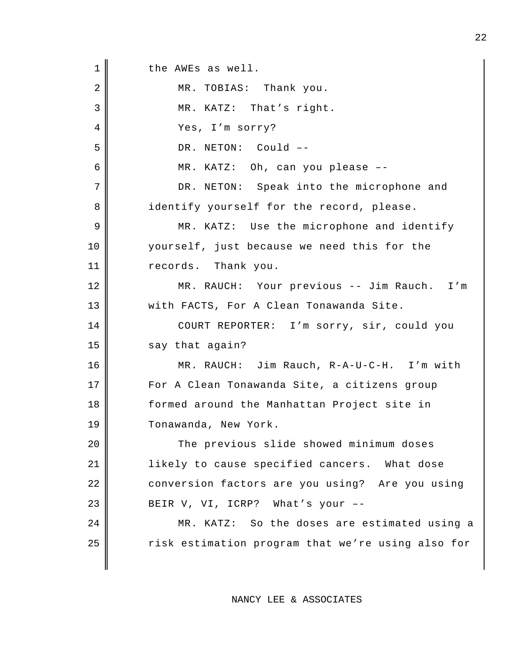1 || the AWEs as well. 2 MR. TOBIAS: Thank you. 3 || MR. KATZ: That's right. 4 || Yes, I'm sorry? 5 DR. NETON: Could --6 MR. KATZ: Oh, can you please –- 7 DR. NETON: Speak into the microphone and 8 identify yourself for the record, please. 9 MR. KATZ: Use the microphone and identify 10 yourself, just because we need this for the 11 || records. Thank you. 12 MR. RAUCH: Your previous -- Jim Rauch. I'm 13 | with FACTS, For A Clean Tonawanda Site. 14 | COURT REPORTER: I'm sorry, sir, could you  $15$  say that again? 16 MR. RAUCH: Jim Rauch, R-A-U-C-H. I'm with 17 | For A Clean Tonawanda Site, a citizens group 18 formed around the Manhattan Project site in 19 || Tonawanda, New York. 20 || The previous slide showed minimum doses 21 | likely to cause specified cancers. What dose 22 conversion factors are you using? Are you using 23 BEIR V, VI, ICRP? What's your  $--$ 24 | MR. KATZ: So the doses are estimated using a 25 | Tisk estimation program that we're using also for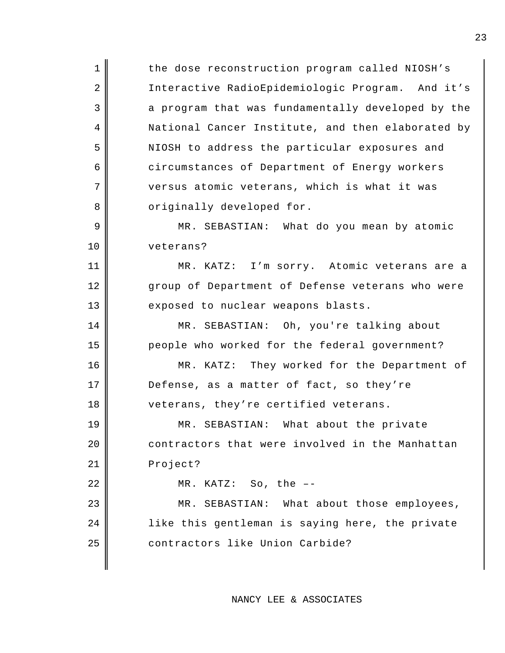1 the dose reconstruction program called NIOSH's 2 || Interactive RadioEpidemiologic Program. And it's 3 a program that was fundamentally developed by the 4 | National Cancer Institute, and then elaborated by 5 NIOSH to address the particular exposures and 6 circumstances of Department of Energy workers 7 versus atomic veterans, which is what it was 8 | criginally developed for. 9 || MR. SEBASTIAN: What do you mean by atomic 10 veterans? 11 MR. KATZ: I'm sorry. Atomic veterans are a 12 group of Department of Defense veterans who were 13 exposed to nuclear weapons blasts. 14 || MR. SEBASTIAN: Oh, you're talking about 15 people who worked for the federal government? 16 MR. KATZ: They worked for the Department of 17 Defense, as a matter of fact, so they're 18 veterans, they're certified veterans. 19 MR. SEBASTIAN: What about the private 20 contractors that were involved in the Manhattan 21 | Project? 22 | MR. KATZ: So, the --23 || MR. SEBASTIAN: What about those employees, 24 || like this gentleman is saying here, the private 25 contractors like Union Carbide?

NANCY LEE & ASSOCIATES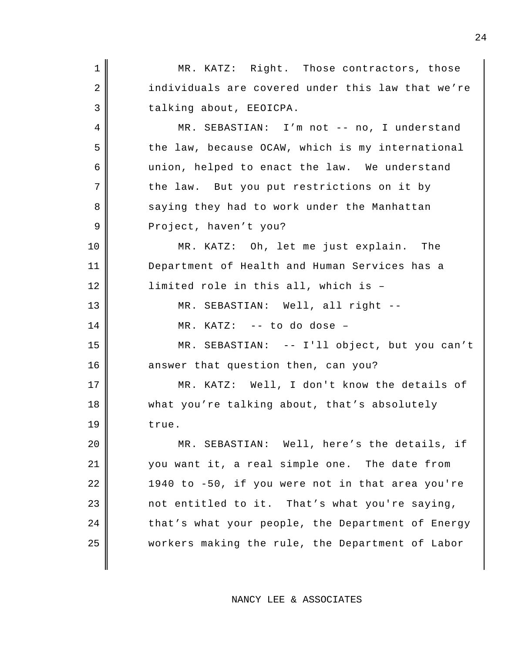1 || MR. KATZ: Right. Those contractors, those 2 individuals are covered under this law that we're 3 | talking about, EEOICPA. 4 MR. SEBASTIAN: I'm not -- no, I understand 5 the law, because OCAW, which is my international 6 union, helped to enact the law. We understand  $7$  the law. But you put restrictions on it by 8 saying they had to work under the Manhattan 9 | Project, haven't you? 10 MR. KATZ: Oh, let me just explain. The 11 Department of Health and Human Services has a 12 | limited role in this all, which is -13 || MR. SEBASTIAN: Well, all right --14 MR. KATZ: -- to do dose – 15 MR. SEBASTIAN: -- I'll object, but you can't 16 answer that question then, can you? 17 MR. KATZ: Well, I don't know the details of 18 what you're talking about, that's absolutely  $19 \parallel$  true. 20 MR. SEBASTIAN: Well, here's the details, if 21 you want it, a real simple one. The date from 22 | 1940 to -50, if you were not in that area you're  $23$  mot entitled to it. That's what you're saying, 24 that's what your people, the Department of Energy 25 workers making the rule, the Department of Labor

NANCY LEE & ASSOCIATES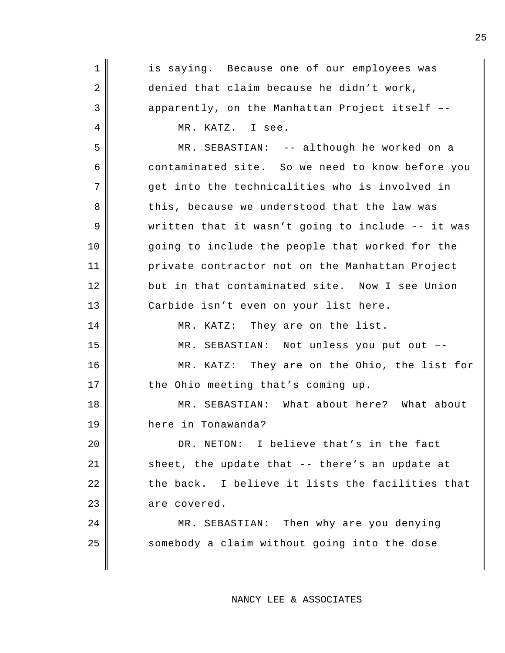| $\mathbf 1$ | is saying. Because one of our employees was       |
|-------------|---------------------------------------------------|
| 2           | denied that claim because he didn't work,         |
| 3           | apparently, on the Manhattan Project itself --    |
| 4           | MR. KATZ. I see.                                  |
| 5           | MR. SEBASTIAN: -- although he worked on a         |
| 6           | contaminated site. So we need to know before you  |
| 7           | get into the technicalities who is involved in    |
| 8           | this, because we understood that the law was      |
| 9           | written that it wasn't going to include -- it was |
| 10          | going to include the people that worked for the   |
| 11          | private contractor not on the Manhattan Project   |
| 12          | but in that contaminated site. Now I see Union    |
| 13          | Carbide isn't even on your list here.             |
| 14          | MR. KATZ: They are on the list.                   |
| 15          | MR. SEBASTIAN: Not unless you put out --          |
| 16          | MR. KATZ: They are on the Ohio, the list for      |
| 17          | the Ohio meeting that's coming up.                |
| 18          | MR. SEBASTIAN: What about here? What about        |
| 19          | here in Tonawanda?                                |
| 20          | DR. NETON: I believe that's in the fact           |
| 21          | sheet, the update that -- there's an update at    |
| 22          | the back. I believe it lists the facilities that  |
| 23          | are covered.                                      |
| 24          | MR. SEBASTIAN: Then why are you denying           |
| 25          | somebody a claim without going into the dose      |
|             |                                                   |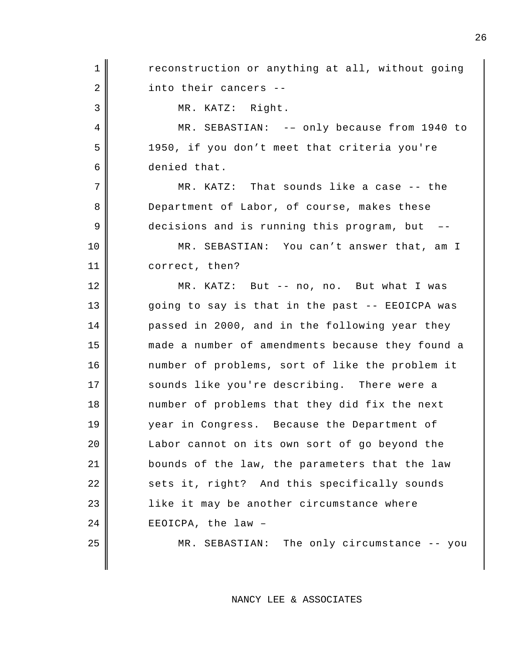1 || reconstruction or anything at all, without going 2 into their cancers --3 || MR. KATZ: Right. 4 MR. SEBASTIAN: -– only because from 1940 to 5 1950, if you don't meet that criteria you're 6 denied that. 7 MR. KATZ: That sounds like a case -- the 8 Department of Labor, of course, makes these 9 decisions and is running this program, but --10 MR. SEBASTIAN: You can't answer that, am I 11 correct, then? 12 MR. KATZ: But -- no, no. But what I was 13 || going to say is that in the past -- EEOICPA was 14 passed in 2000, and in the following year they 15 made a number of amendments because they found a 16 number of problems, sort of like the problem it 17 sounds like you're describing. There were a 18 number of problems that they did fix the next 19 year in Congress. Because the Department of 20 | Labor cannot on its own sort of go beyond the 21 bounds of the law, the parameters that the law 22 sets it, right? And this specifically sounds 23 | like it may be another circumstance where 24 EEOICPA, the law -25 || MR. SEBASTIAN: The only circumstance -- you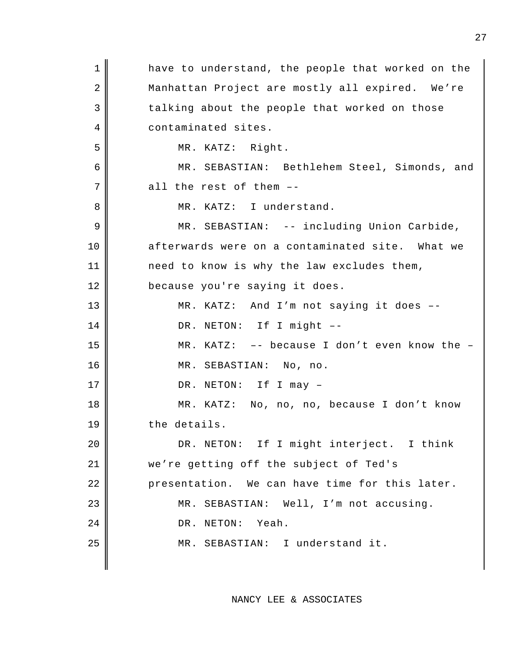| 1  | have to understand, the people that worked on the |
|----|---------------------------------------------------|
| 2  | Manhattan Project are mostly all expired. We're   |
| 3  | talking about the people that worked on those     |
| 4  | contaminated sites.                               |
| 5  | MR. KATZ: Right.                                  |
| 6  | MR. SEBASTIAN: Bethlehem Steel, Simonds, and      |
| 7  | all the rest of them --                           |
| 8  | MR. KATZ: I understand.                           |
| 9  | MR. SEBASTIAN: -- including Union Carbide,        |
| 10 | afterwards were on a contaminated site. What we   |
| 11 | need to know is why the law excludes them,        |
| 12 | because you're saying it does.                    |
| 13 | MR. KATZ: And I'm not saying it does --           |
| 14 | DR. NETON: If I might --                          |
| 15 | MR. KATZ: $-$ - because I don't even know the $-$ |
| 16 | MR. SEBASTIAN: No, no.                            |
| 17 | DR. NETON: If I may -                             |
| 18 | MR. KATZ: No, no, no, because I don't know        |
| 19 | the details.                                      |
| 20 | DR. NETON: If I might interject. I think          |
| 21 | we're getting off the subject of Ted's            |
| 22 | presentation. We can have time for this later.    |
| 23 | MR. SEBASTIAN: Well, I'm not accusing.            |
| 24 | DR. NETON: Yeah.                                  |
| 25 | MR. SEBASTIAN: I understand it.                   |
|    |                                                   |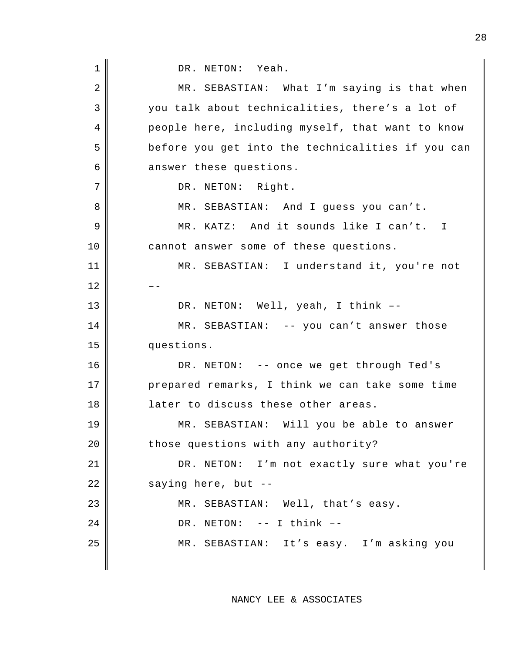DR. NETON: Yeah.

| $\overline{2}$ | MR. SEBASTIAN: What I'm saying is that when       |
|----------------|---------------------------------------------------|
| 3              | you talk about technicalities, there's a lot of   |
| $\overline{4}$ | people here, including myself, that want to know  |
| 5              | before you get into the technicalities if you can |
| 6              | answer these questions.                           |
| 7              | DR. NETON: Right.                                 |
| 8              | MR. SEBASTIAN: And I guess you can't.             |
| 9              | MR. KATZ: And it sounds like I can't. I           |
| 10             | cannot answer some of these questions.            |
| 11             | MR. SEBASTIAN: I understand it, you're not        |
| 12             |                                                   |
| 13             | DR. NETON: Well, yeah, I think --                 |
| 14             | MR. SEBASTIAN: -- you can't answer those          |
| 15             | questions.                                        |
| 16             | DR. NETON: -- once we get through Ted's           |
| 17             | prepared remarks, I think we can take some time   |
| 18             | later to discuss these other areas.               |
| 19             | MR. SEBASTIAN: Will you be able to answer         |
| 20             | those questions with any authority?               |
| 21             | DR. NETON: I'm not exactly sure what you're       |
| 22             | saying here, but --                               |
| 23             | MR. SEBASTIAN: Well, that's easy.                 |
| 24             | DR. NETON: -- I think --                          |
| 25             | MR. SEBASTIAN: It's easy. I'm asking you          |
|                |                                                   |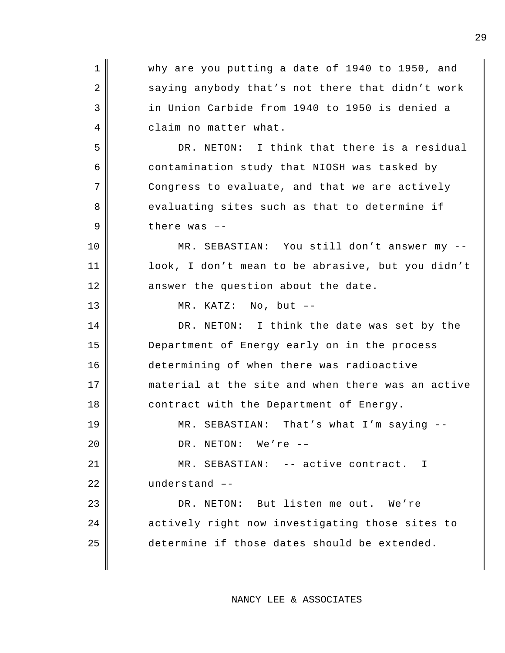1 Why are you putting a date of 1940 to 1950, and 2 saying anybody that's not there that didn't work 3 in Union Carbide from 1940 to 1950 is denied a 4 claim no matter what. 5 DR. NETON: I think that there is a residual 6 contamination study that NIOSH was tasked by  $7$   $\parallel$  Congress to evaluate, and that we are actively 8 evaluating sites such as that to determine if  $9$   $\parallel$  there was  $-$ 10 || MR. SEBASTIAN: You still don't answer my --11 || || || || look, I don't mean to be abrasive, but you didn't  $12$  answer the question about the date. 13 || MR. KATZ: No, but --14 DR. NETON: I think the date was set by the 15 Department of Energy early on in the process 16 determining of when there was radioactive 17 material at the site and when there was an active 18 || contract with the Department of Energy. 19 || MR. SEBASTIAN: That's what I'm saying --20 | DR. NETON: We're --21 || MR. SEBASTIAN: -- active contract. I 22 understand --23 || DR. NETON: But listen me out. We're 24 actively right now investigating those sites to 25 determine if those dates should be extended.

NANCY LEE & ASSOCIATES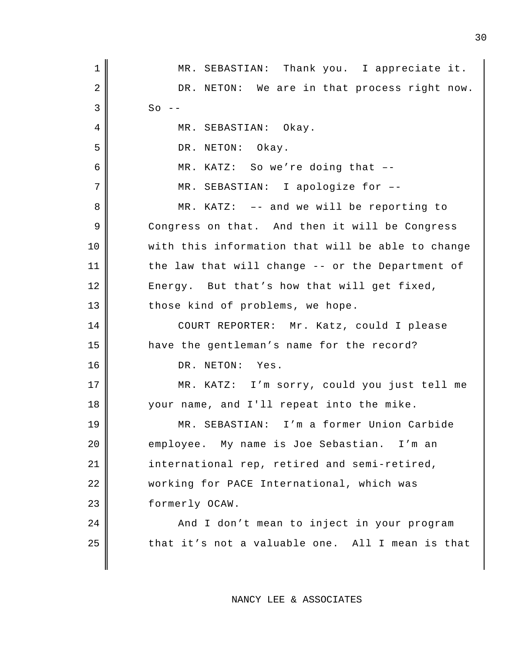| $\mathbf 1$    | MR. SEBASTIAN: Thank you. I appreciate it.        |
|----------------|---------------------------------------------------|
| 2              | DR. NETON: We are in that process right now.      |
| 3              | $So --$                                           |
| 4              | MR. SEBASTIAN: Okay.                              |
| 5              | DR. NETON: Okay.                                  |
| 6              | MR. KATZ: So we're doing that --                  |
| $\overline{7}$ | MR. SEBASTIAN: I apologize for --                 |
| 8              | $MR. KATZ: -- and we will be reporting to$        |
| 9              | Congress on that. And then it will be Congress    |
| 10             | with this information that will be able to change |
| 11             | the law that will change -- or the Department of  |
| 12             | Energy. But that's how that will get fixed,       |
| 13             | those kind of problems, we hope.                  |
| 14             | COURT REPORTER: Mr. Katz, could I please          |
| 15             | have the gentleman's name for the record?         |
| 16             | DR. NETON: Yes.                                   |
| 17             | MR. KATZ: I'm sorry, could you just tell me       |
| 18             | your name, and I'll repeat into the mike.         |
| 19             | MR. SEBASTIAN: I'm a former Union Carbide         |
| 20             | employee. My name is Joe Sebastian. I'm an        |
| 21             | international rep, retired and semi-retired,      |
| 22             | working for PACE International, which was         |
| 23             | formerly OCAW.                                    |
| 24             | And I don't mean to inject in your program        |
| 25             | that it's not a valuable one. All I mean is that  |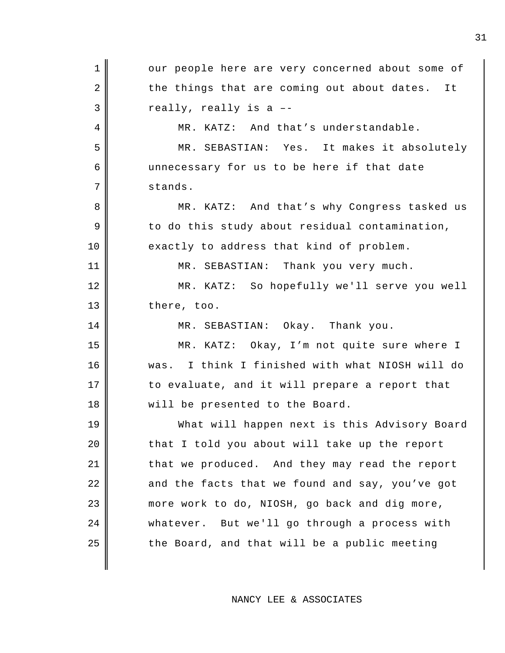1 || our people here are very concerned about some of  $2 \parallel$  the things that are coming out about dates. It  $3 \parallel$  really, really is a --4 || MR. KATZ: And that's understandable. 5 MR. SEBASTIAN: Yes. It makes it absolutely 6 unnecessary for us to be here if that date 7 stands. 8 MR. KATZ: And that's why Congress tasked us  $9 \parallel$  to do this study about residual contamination, 10 exactly to address that kind of problem. 11 || MR. SEBASTIAN: Thank you very much. 12 MR. KATZ: So hopefully we'll serve you well 13 there, too. 14 || MR. SEBASTIAN: Okay. Thank you. 15 MR. KATZ: Okay, I'm not quite sure where I 16 was. I think I finished with what NIOSH will do 17 || to evaluate, and it will prepare a report that 18 || will be presented to the Board. 19 What will happen next is this Advisory Board  $20$  | that I told you about will take up the report 21 that we produced. And they may read the report  $22$   $\parallel$  and the facts that we found and say, you've got 23 more work to do, NIOSH, go back and dig more, 24 | whatever. But we'll go through a process with  $25$  || the Board, and that will be a public meeting

NANCY LEE & ASSOCIATES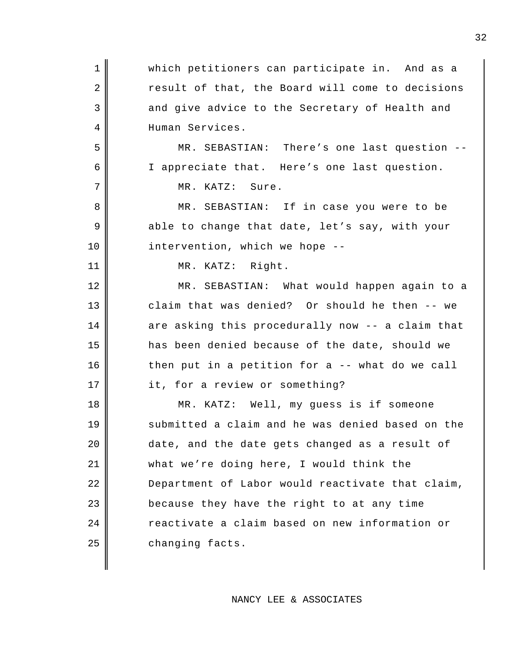1 Which petitioners can participate in. And as a 2 result of that, the Board will come to decisions 3 and give advice to the Secretary of Health and 4 Human Services. 5 MR. SEBASTIAN: There's one last question -- 6 I appreciate that. Here's one last question. 7 || MR. KATZ: Sure. 8 MR. SEBASTIAN: If in case you were to be 9 able to change that date, let's say, with your 10 || intervention, which we hope --11 || MR. KATZ: Right. 12 MR. SEBASTIAN: What would happen again to a 13 claim that was denied? Or should he then -- we  $14$  are asking this procedurally now -- a claim that 15 has been denied because of the date, should we  $16$   $\parallel$  then put in a petition for a -- what do we call 17 it, for a review or something? 18 MR. KATZ: Well, my guess is if someone 19 || submitted a claim and he was denied based on the 20 date, and the date gets changed as a result of 21 what we're doing here, I would think the 22 Department of Labor would reactivate that claim, 23 **because they have the right to at any time** 24 reactivate a claim based on new information or 25 changing facts.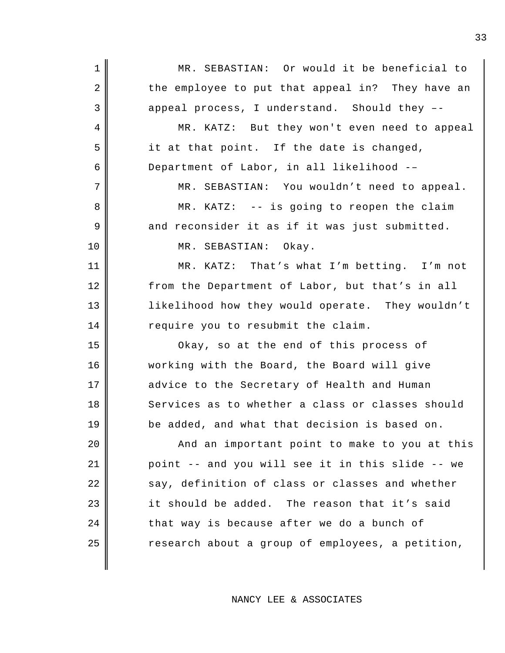1 || MR. SEBASTIAN: Or would it be beneficial to 2 the employee to put that appeal in? They have an  $3 \parallel$  appeal process, I understand. Should they --4 MR. KATZ: But they won't even need to appeal  $5$  it at that point. If the date is changed, 6 Department of Labor, in all likelihood -– 7 || MR. SEBASTIAN: You wouldn't need to appeal. 8 MR. KATZ: -- is going to reopen the claim  $9 \parallel$  and reconsider it as if it was just submitted. 10 || MR. SEBASTIAN: Okay. 11 || MR. KATZ: That's what I'm betting. I'm not 12 from the Department of Labor, but that's in all 13 || likelihood how they would operate. They wouldn't 14 require you to resubmit the claim. 15 Okay, so at the end of this process of 16 working with the Board, the Board will give 17 advice to the Secretary of Health and Human 18 Services as to whether a class or classes should 19 be added, and what that decision is based on. 20 || And an important point to make to you at this 21 | point -- and you will see it in this slide -- we 22 say, definition of class or classes and whether  $23$  it should be added. The reason that it's said  $24$  | that way is because after we do a bunch of  $25$   $\parallel$  research about a group of employees, a petition,

NANCY LEE & ASSOCIATES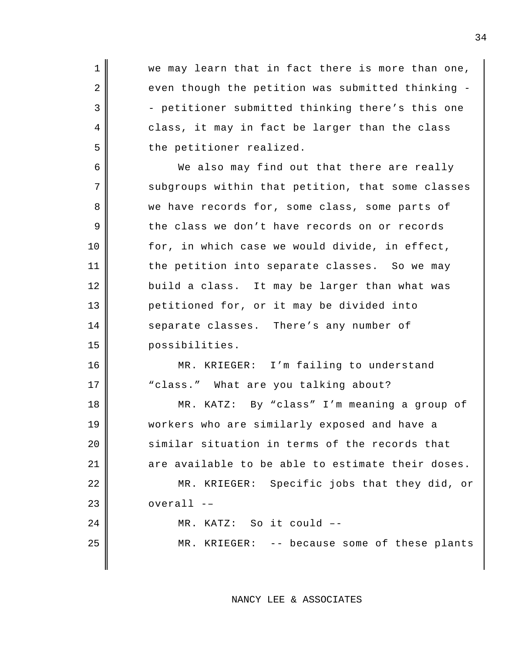1 || we may learn that in fact there is more than one,  $2 \parallel$  even though the petition was submitted thinking - $3$   $\parallel$  - petitioner submitted thinking there's this one 4 class, it may in fact be larger than the class 5 | the petitioner realized. 6 We also may find out that there are really 7 subgroups within that petition, that some classes 8 we have records for, some class, some parts of 9 the class we don't have records on or records 10 || for, in which case we would divide, in effect, 11 | the petition into separate classes. So we may 12 build a class. It may be larger than what was 13 petitioned for, or it may be divided into 14 Separate classes. There's any number of 15 possibilities. 16 MR. KRIEGER: I'm failing to understand 17 || class." What are you talking about? 18 MR. KATZ: By "class" I'm meaning a group of 19 workers who are similarly exposed and have a 20 similar situation in terms of the records that  $21$  || are available to be able to estimate their doses. 22 || MR. KRIEGER: Specific jobs that they did, or  $23$  | overall  $-$ 24 || MR. KATZ: So it could --25 || MR. KRIEGER: -- because some of these plants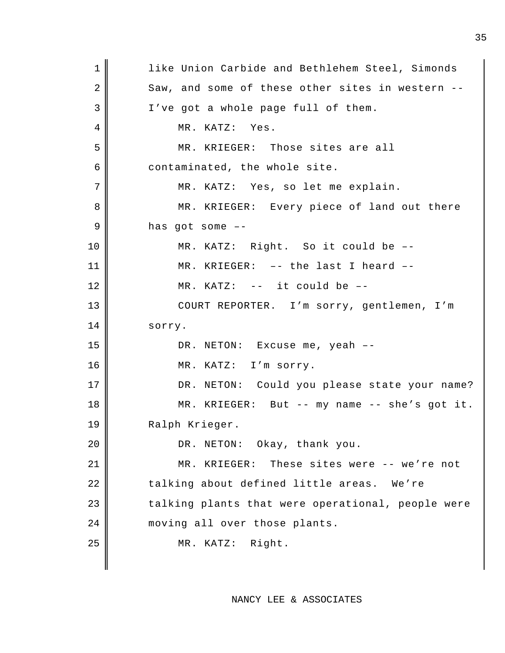| $\mathbf 1$ | like Union Carbide and Bethlehem Steel, Simonds   |
|-------------|---------------------------------------------------|
| 2           | Saw, and some of these other sites in western --  |
| 3           | I've got a whole page full of them.               |
| 4           | MR. KATZ: Yes.                                    |
| 5           | MR. KRIEGER: Those sites are all                  |
| 6           | contaminated, the whole site.                     |
| 7           | MR. KATZ: Yes, so let me explain.                 |
| 8           | MR. KRIEGER: Every piece of land out there        |
| 9           | has got some $-$ -                                |
| 10          | MR. KATZ: Right. So it could be --                |
| 11          | MR. KRIEGER: -- the last I heard --               |
| 12          | MR. KATZ: -- it could be --                       |
| 13          | COURT REPORTER. I'm sorry, gentlemen, I'm         |
| 14          | sorry.                                            |
| 15          | DR. NETON: Excuse me, yeah --                     |
| 16          | MR. KATZ: I'm sorry.                              |
| 17          | DR. NETON: Could you please state your name?      |
| 18          | MR. KRIEGER: But $-$ my name $-$ she's got it.    |
| 19          | Ralph Krieger.                                    |
| 20          | DR. NETON: Okay, thank you.                       |
| 21          | MR. KRIEGER: These sites were -- we're not        |
|             |                                                   |
| 22          | talking about defined little areas. We're         |
| 23          | talking plants that were operational, people were |
| 24          | moving all over those plants.                     |
| 25          | MR. KATZ: Right.                                  |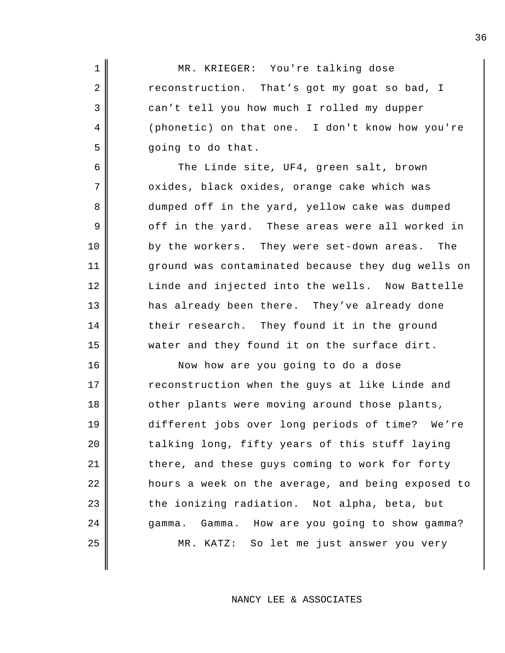1 || MR. KRIEGER: You're talking dose  $2 \parallel$  reconstruction. That's got my goat so bad, I 3 can't tell you how much I rolled my dupper 4 (phonetic) on that one. I don't know how you're  $5 \parallel$  going to do that.

6 The Linde site, UF4, green salt, brown 7 | oxides, black oxides, orange cake which was 8 dumped off in the yard, yellow cake was dumped 9 off in the yard. These areas were all worked in 10 by the workers. They were set-down areas. The 11 ground was contaminated because they dug wells on 12 Linde and injected into the wells. Now Battelle 13 has already been there. They've already done 14 their research. They found it in the ground 15 water and they found it on the surface dirt.

16 || Now how are you going to do a dose 17 Teconstruction when the guys at like Linde and 18 || other plants were moving around those plants, 19 different jobs over long periods of time? We're 20 talking long, fifty years of this stuff laying 21 there, and these guys coming to work for forty 22 hours a week on the average, and being exposed to  $23$  the ionizing radiation. Not alpha, beta, but 24 gamma. Gamma. How are you going to show gamma? 25 || MR. KATZ: So let me just answer you very

NANCY LEE & ASSOCIATES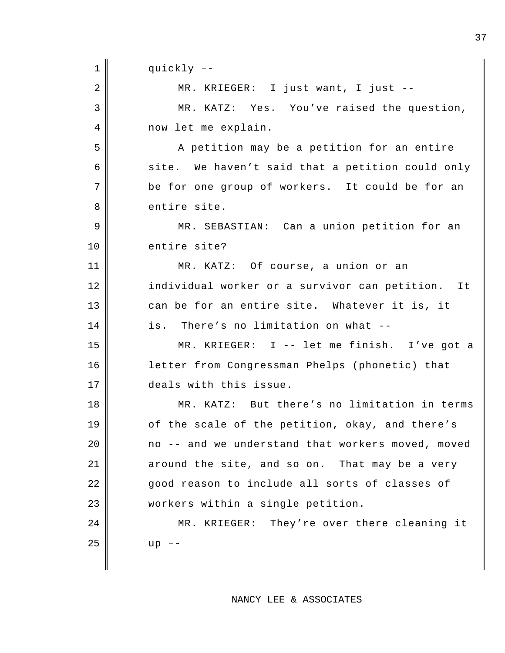1 || quickly --2 || MR. KRIEGER: I just want, I just --3 MR. KATZ: Yes. You've raised the question, 4 now let me explain. 5 A petition may be a petition for an entire  $6$  site. We haven't said that a petition could only 7 be for one group of workers. It could be for an 8 entire site. 9 || MR. SEBASTIAN: Can a union petition for an 10 entire site? 11 MR. KATZ: Of course, a union or an 12 individual worker or a survivor can petition. It 13 can be for an entire site. Whatever it is, it 14 is. There's no limitation on what --15 MR. KRIEGER: I -- let me finish. I've got a 16 letter from Congressman Phelps (phonetic) that 17 deals with this issue. 18 MR. KATZ: But there's no limitation in terms 19 || of the scale of the petition, okay, and there's  $20$  |  $\sim$  no -- and we understand that workers moved, moved  $21$  around the site, and so on. That may be a very 22 good reason to include all sorts of classes of 23 workers within a single petition. 24 MR. KRIEGER: They're over there cleaning it  $25$  | up  $-$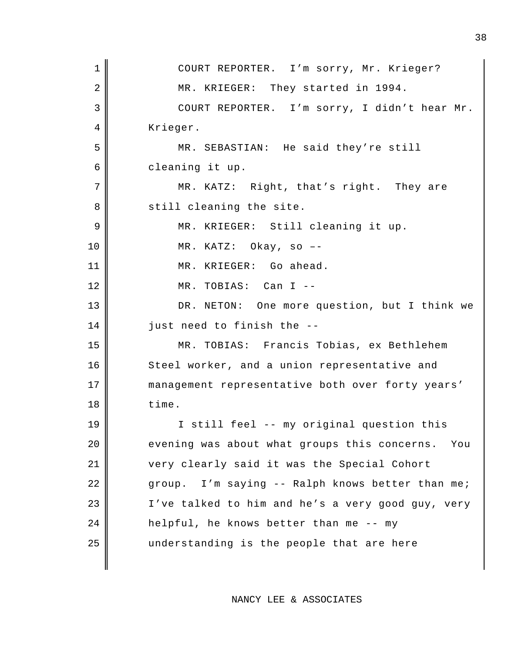| $\mathbf 1$ | COURT REPORTER. I'm sorry, Mr. Krieger?             |
|-------------|-----------------------------------------------------|
| 2           | MR. KRIEGER: They started in 1994.                  |
| 3           | COURT REPORTER. I'm sorry, I didn't hear Mr.        |
| 4           | Krieger.                                            |
| 5           | MR. SEBASTIAN: He said they're still                |
| 6           | cleaning it up.                                     |
| 7           | MR. KATZ: Right, that's right. They are             |
| 8           | still cleaning the site.                            |
| 9           | MR. KRIEGER: Still cleaning it up.                  |
| 10          | MR. KATZ: Okay, so --                               |
| 11          | MR. KRIEGER: Go ahead.                              |
| 12          | MR. TOBIAS: Can I --                                |
| 13          | DR. NETON: One more question, but I think we        |
| 14          | just need to finish the --                          |
| 15          | MR. TOBIAS: Francis Tobias, ex Bethlehem            |
| 16          | Steel worker, and a union representative and        |
| 17          | management representative both over forty years'    |
| 18          | time.                                               |
| 19          | I still feel -- my original question this           |
| 20          | evening was about what groups this concerns.<br>You |
| 21          | very clearly said it was the Special Cohort         |
| 22          | group. I'm saying -- Ralph knows better than me;    |
| 23          | I've talked to him and he's a very good guy, very   |
| 24          | helpful, he knows better than me -- my              |
| 25          | understanding is the people that are here           |
|             |                                                     |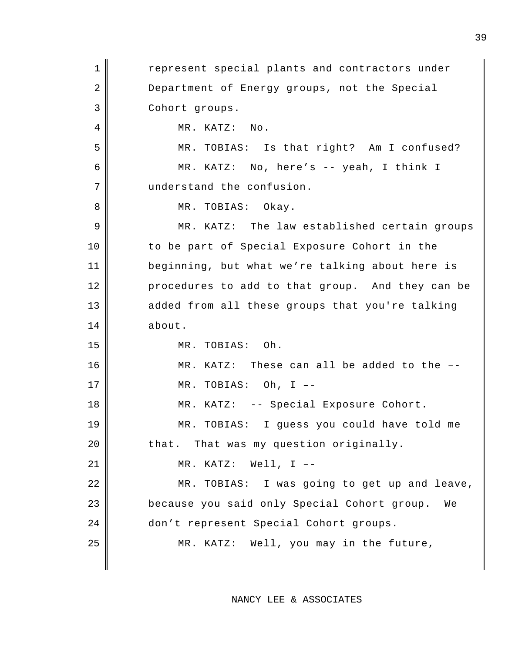1 **I** represent special plants and contractors under 2 Department of Energy groups, not the Special 3 Cohort groups. 4 || MR. KATZ: No. 5 MR. TOBIAS: Is that right? Am I confused? 6 MR. KATZ: No, here's -- yeah, I think I 7 understand the confusion. 8 || MR. TOBIAS: Okay. 9 MR. KATZ: The law established certain groups 10 || to be part of Special Exposure Cohort in the 11 beginning, but what we're talking about here is 12 procedures to add to that group. And they can be 13 added from all these groups that you're talking 14 about. 15 MR. TOBIAS: Oh. 16 MR. KATZ: These can all be added to the -- $17 \parallel$  MR. TOBIAS: Oh, I --18 MR. KATZ: -- Special Exposure Cohort. 19 MR. TOBIAS: I guess you could have told me  $20$  | that. That was my question originally. 21 MR. KATZ: Well, I –- 22 || MR. TOBIAS: I was going to get up and leave, 23 **because you said only Special Cohort group.** We 24 don't represent Special Cohort groups. 25 || MR. KATZ: Well, you may in the future,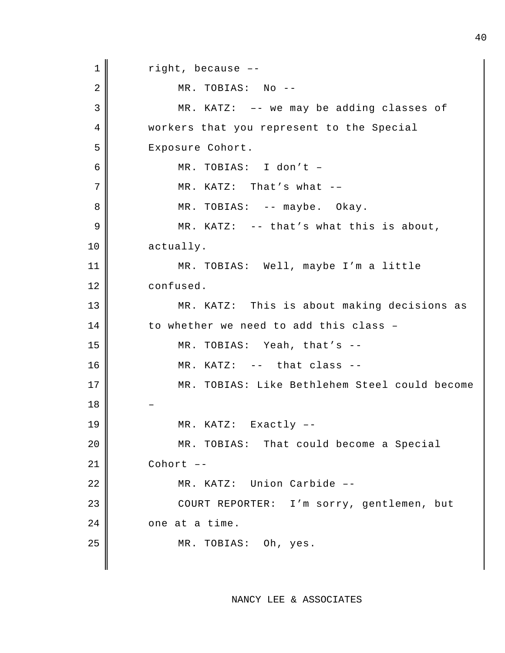$1 \parallel$  right, because --2 MR. TOBIAS: No --3 MR. KATZ: –- we may be adding classes of 4 workers that you represent to the Special 5 || Exposure Cohort. 6 MR. TOBIAS: I don't –  $7$   $\parallel$  MR. KATZ: That's what --8 || MR. TOBIAS: -- maybe. Okay.  $9 \parallel$  MR. KATZ: -- that's what this is about, 10 actually. 11 MR. TOBIAS: Well, maybe I'm a little 12 confused. 13 || MR. KATZ: This is about making decisions as  $14$  to whether we need to add this class -15 MR. TOBIAS: Yeah, that's --  $16$  || MR. KATZ: -- that class --17 MR. TOBIAS: Like Bethlehem Steel could become 18 – 19 || MR. KATZ: Exactly --20 || MR. TOBIAS: That could become a Special  $21$  Cohort  $-$ 22 || MR. KATZ: Union Carbide --23 || COURT REPORTER: I'm sorry, gentlemen, but  $24$  |  $\phantom{0}$  one at a time. 25 || MR. TOBIAS: Oh, yes.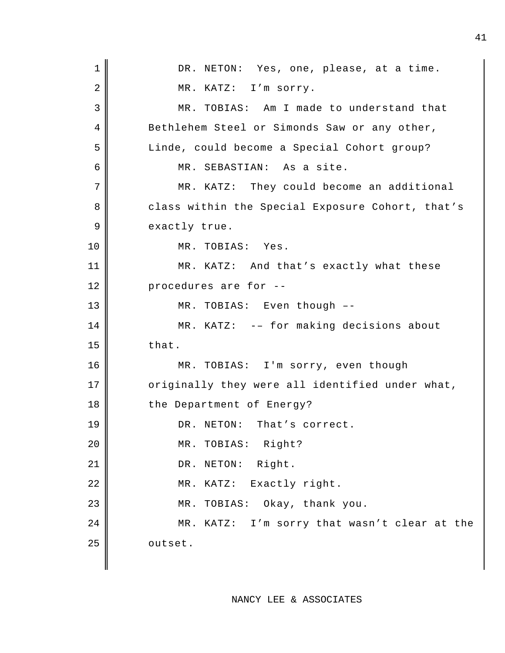| $\mathbf 1$ | DR. NETON: Yes, one, please, at a time.          |
|-------------|--------------------------------------------------|
| 2           | MR. KATZ: I'm sorry.                             |
| 3           | MR. TOBIAS: Am I made to understand that         |
| 4           | Bethlehem Steel or Simonds Saw or any other,     |
| 5           | Linde, could become a Special Cohort group?      |
| 6           | MR. SEBASTIAN: As a site.                        |
| 7           | MR. KATZ: They could become an additional        |
| 8           | class within the Special Exposure Cohort, that's |
| 9           | exactly true.                                    |
| 10          | MR. TOBIAS: Yes.                                 |
| 11          | MR. KATZ: And that's exactly what these          |
| 12          | procedures are for --                            |
| 13          | MR. TOBIAS: Even though --                       |
| 14          | MR. KATZ: -- for making decisions about          |
| 15          | that.                                            |
| 16          | MR. TOBIAS: I'm sorry, even though               |
| 17          | originally they were all identified under what,  |
| 18          | the Department of Energy?                        |
| 19          | That's correct.<br>DR. NETON:                    |
| 20          | MR. TOBIAS: Right?                               |
| 21          | DR. NETON: Right.                                |
| 22          | MR. KATZ: Exactly right.                         |
| 23          | TOBIAS: Okay, thank you.<br>MR.                  |
| 24          | MR. KATZ: I'm sorry that wasn't clear at the     |
| 25          | outset.                                          |
|             |                                                  |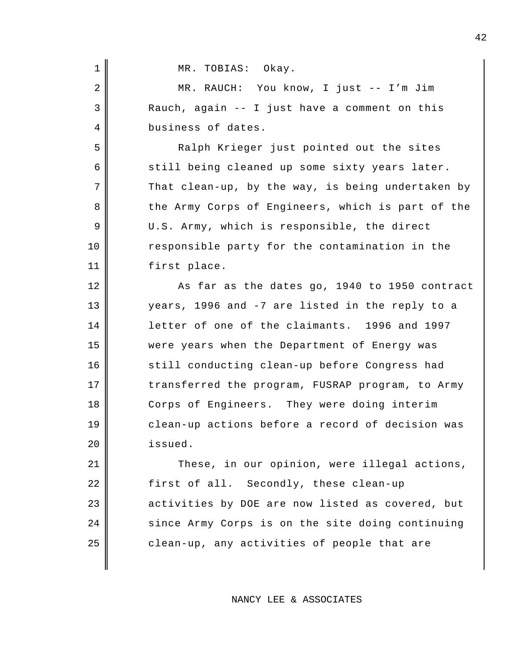| MR. TOBIAS: Okay.

| $\overline{2}$ | MR. RAUCH: You know, I just -- I'm Jim            |
|----------------|---------------------------------------------------|
| 3              | Rauch, again -- I just have a comment on this     |
| 4              | business of dates.                                |
| 5              | Ralph Krieger just pointed out the sites          |
| 6              | still being cleaned up some sixty years later.    |
| 7              | That clean-up, by the way, is being undertaken by |
| 8              | the Army Corps of Engineers, which is part of the |
| 9              | U.S. Army, which is responsible, the direct       |
| 10             | responsible party for the contamination in the    |
| 11             | first place.                                      |
| 12             | As far as the dates go, 1940 to 1950 contract     |
| 13             | years, 1996 and -7 are listed in the reply to a   |
| 14             | letter of one of the claimants. 1996 and 1997     |
| 15             | were years when the Department of Energy was      |
| 16             | still conducting clean-up before Congress had     |
| 17             | transferred the program, FUSRAP program, to Army  |
| 18             | Corps of Engineers. They were doing interim       |
| 19             | clean-up actions before a record of decision was  |
| 20             | issued.                                           |
| 21             | These, in our opinion, were illegal actions,      |
| 22             | first of all. Secondly, these clean-up            |
| 23             | activities by DOE are now listed as covered, but  |
| 24             | since Army Corps is on the site doing continuing  |
| 25             | clean-up, any activities of people that are       |
|                |                                                   |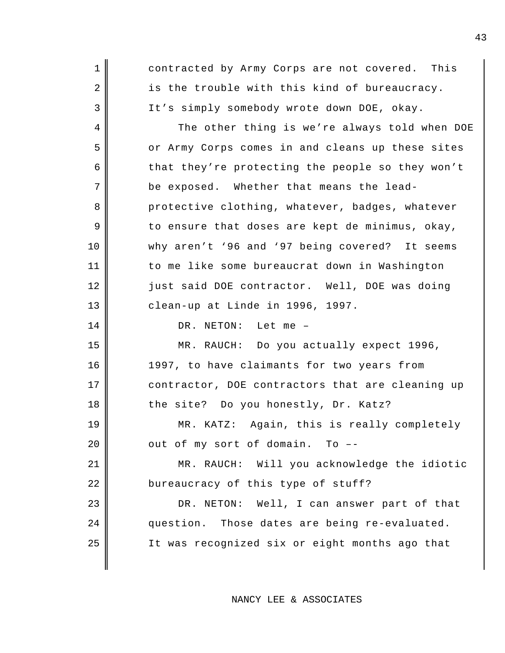1 contracted by Army Corps are not covered. This 2 is the trouble with this kind of bureaucracy. 3 It's simply somebody wrote down DOE, okay. 4 The other thing is we're always told when DOE 5 or Army Corps comes in and cleans up these sites 6 that they're protecting the people so they won't  $7$  be exposed. Whether that means the lead-8 protective clothing, whatever, badges, whatever  $9 \parallel$  to ensure that doses are kept de minimus, okay, 10 why aren't '96 and '97 being covered? It seems 11 | to me like some bureaucrat down in Washington 12 just said DOE contractor. Well, DOE was doing 13 || clean-up at Linde in 1996, 1997. 14 DR. NETON: Let me -15 MR. RAUCH: Do you actually expect 1996, 16 1997, to have claimants for two years from 17 contractor, DOE contractors that are cleaning up 18 the site? Do you honestly, Dr. Katz? 19 MR. KATZ: Again, this is really completely  $20$  |  $\sim$  out of my sort of domain. To --21 MR. RAUCH: Will you acknowledge the idiotic 22 bureaucracy of this type of stuff? 23 DR. NETON: Well, I can answer part of that 24 question. Those dates are being re-evaluated. 25 It was recognized six or eight months ago that

NANCY LEE & ASSOCIATES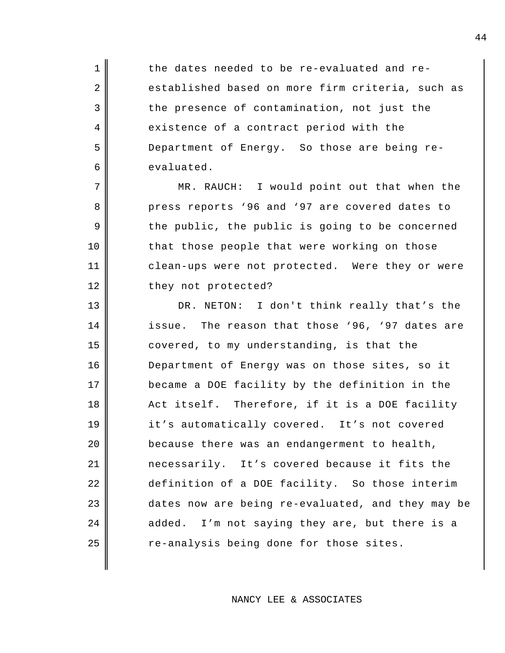1 1 the dates needed to be re-evaluated and re-2 established based on more firm criteria, such as  $3 \parallel$  the presence of contamination, not just the 4 existence of a contract period with the 5 Department of Energy. So those are being re-6 evaluated.

7 || MR. RAUCH: I would point out that when the 8 press reports '96 and '97 are covered dates to  $9 \parallel$  the public, the public is going to be concerned 10 || that those people that were working on those 11 || clean-ups were not protected. Were they or were 12 they not protected?

13 DR. NETON: I don't think really that's the 14 issue. The reason that those '96, '97 dates are 15 covered, to my understanding, is that the Department of Energy was on those sites, so it became a DOE facility by the definition in the 18 Act itself. Therefore, if it is a DOE facility it's automatically covered. It's not covered | because there was an endangerment to health, necessarily. It's covered because it fits the definition of a DOE facility. So those interim 23 dates now are being re-evaluated, and they may be added. I'm not saying they are, but there is a  $\parallel$  re-analysis being done for those sites.

NANCY LEE & ASSOCIATES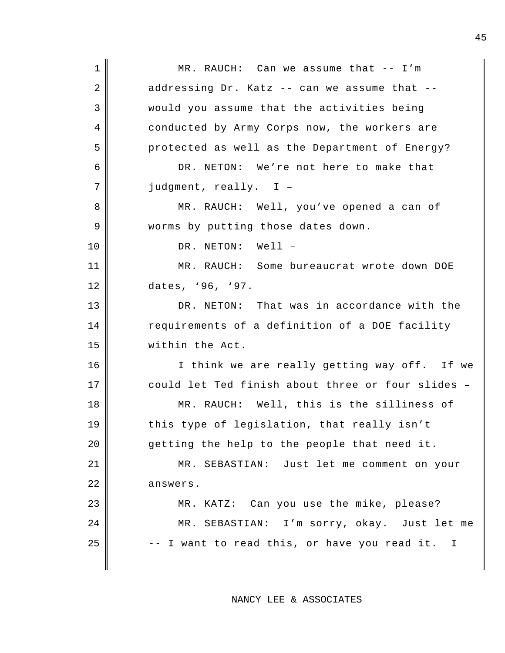1 MR. RAUCH: Can we assume that -- I'm  $2 \parallel$  addressing Dr. Katz -- can we assume that --3 would you assume that the activities being 4 conducted by Army Corps now, the workers are 5 protected as well as the Department of Energy? 6 DR. NETON: We're not here to make that 7 judgment, really. I – 8 MR. RAUCH: Well, you've opened a can of 9 || worms by putting those dates down. 10 || DR. NETON: Well – 11 MR. RAUCH: Some bureaucrat wrote down DOE 12 dates, '96, '97. 13 DR. NETON: That was in accordance with the 14 Tequirements of a definition of a DOE facility 15 within the Act. 16 || Think we are really getting way off. If we 17 could let Ted finish about three or four slides -18 || MR. RAUCH: Well, this is the silliness of 19 this type of legislation, that really isn't 20 getting the help to the people that need it. 21 MR. SEBASTIAN: Just let me comment on your 22 answers. 23 || MR. KATZ: Can you use the mike, please? 24 MR. SEBASTIAN: I'm sorry, okay. Just let me  $25$   $\parallel$  -- I want to read this, or have you read it. I

NANCY LEE & ASSOCIATES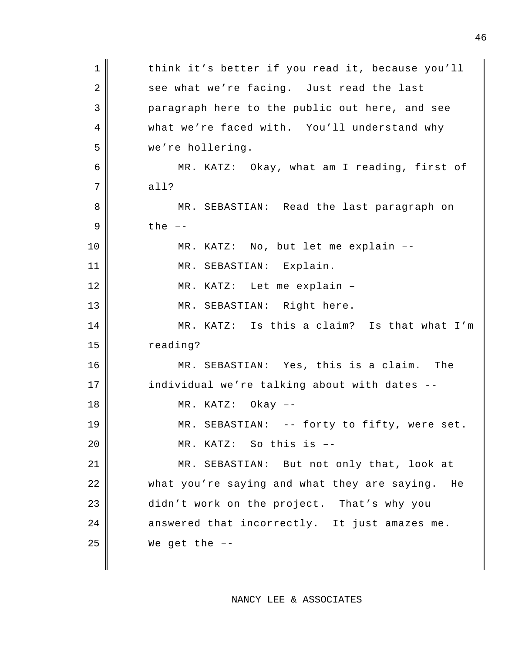1 || think it's better if you read it, because you'll 2 see what we're facing. Just read the last 3 paragraph here to the public out here, and see 4 what we're faced with. You'll understand why 5 we're hollering. 6 MR. KATZ: Okay, what am I reading, first of  $7$  all? 8 MR. SEBASTIAN: Read the last paragraph on  $9 \parallel$  the  $-$ 10 || MR. KATZ: No, but let me explain --11 || MR. SEBASTIAN: Explain. 12 || MR. KATZ: Let me explain -13 || MR. SEBASTIAN: Right here. 14 || MR. KATZ: Is this a claim? Is that what I'm 15 | reading? 16 MR. SEBASTIAN: Yes, this is a claim. The 17 | individual we're talking about with dates --18 MR. KATZ: Okay –- 19 MR. SEBASTIAN: -- forty to fifty, were set. 20 || MR. KATZ: So this is --21 || MR. SEBASTIAN: But not only that, look at 22 what you're saying and what they are saying. He 23 didn't work on the project. That's why you  $24$   $\parallel$  answered that incorrectly. It just amazes me.  $25$  We get the  $-$ -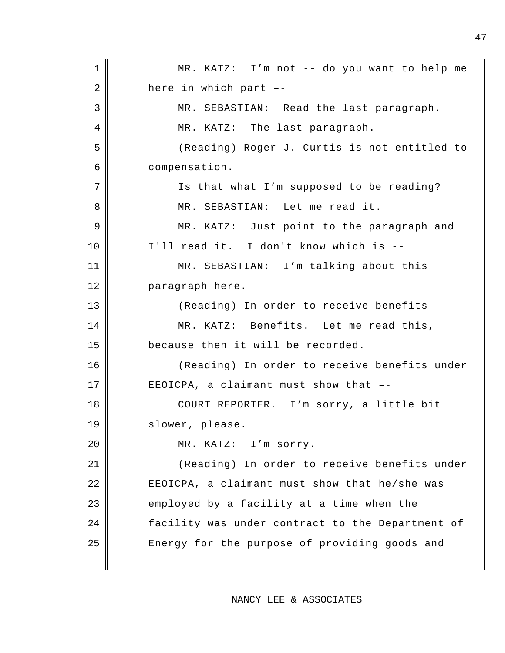1 || MR. KATZ: I'm not -- do you want to help me  $2 \parallel$  here in which part --3 || MR. SEBASTIAN: Read the last paragraph. 4 || MR. KATZ: The last paragraph. 5 (Reading) Roger J. Curtis is not entitled to 6 compensation. 7 || Is that what I'm supposed to be reading? 8 MR. SEBASTIAN: Let me read it. 9 MR. KATZ: Just point to the paragraph and 10 || I'll read it. I don't know which is --11 MR. SEBASTIAN: I'm talking about this 12 | paragraph here. 13 || (Reading) In order to receive benefits --14 MR. KATZ: Benefits. Let me read this, 15 | because then it will be recorded. 16 || (Reading) In order to receive benefits under 17 EEOICPA, a claimant must show that --18 || COURT REPORTER. I'm sorry, a little bit 19 || slower, please. 20 || MR. KATZ: I'm sorry. 21 || (Reading) In order to receive benefits under  $22$   $\parallel$  EEOICPA, a claimant must show that he/she was  $23$  employed by a facility at a time when the 24 facility was under contract to the Department of 25 || Energy for the purpose of providing goods and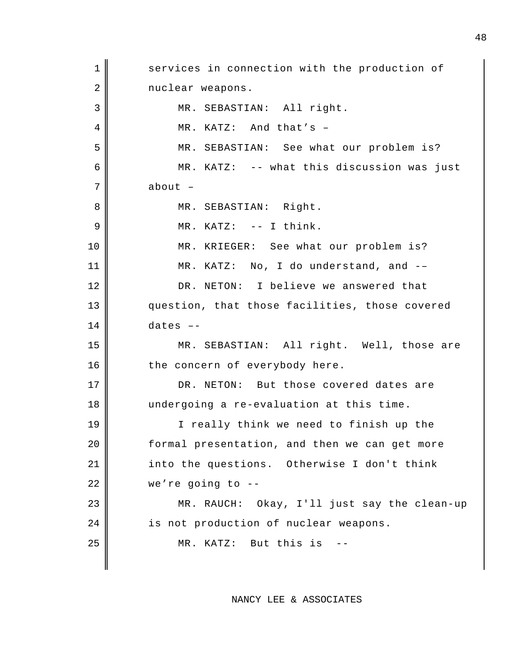1 services in connection with the production of 2 nuclear weapons. 3 || MR. SEBASTIAN: All right. 4 MR. KATZ: And that's -5 MR. SEBASTIAN: See what our problem is? 6 MR. KATZ: -- what this discussion was just 7 about – 8 || MR. SEBASTIAN: Right.  $9 \parallel$  MR. KATZ:  $--$  I think. 10 || MR. KRIEGER: See what our problem is? 11 || MR. KATZ: No, I do understand, and --12 DR. NETON: I believe we answered that 13 || question, that those facilities, those covered  $14$  dates  $-$ 15 MR. SEBASTIAN: All right. Well, those are  $16$   $\parallel$  the concern of everybody here. 17 DR. NETON: But those covered dates are 18 undergoing a re-evaluation at this time. 19 || I really think we need to finish up the 20 | formal presentation, and then we can get more 21 | into the questions. Otherwise I don't think  $22 \parallel$  we're going to --23 MR. RAUCH: Okay, I'll just say the clean-up 24 is not production of nuclear weapons. 25 || MR. KATZ: But this is --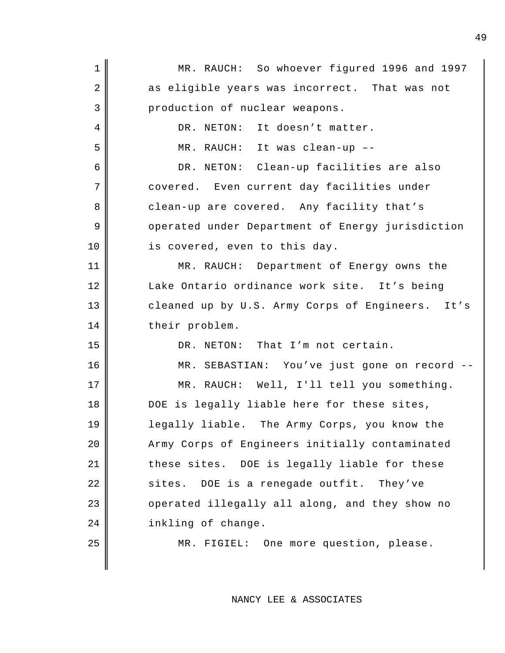| $\mathbf{1}$   | MR. RAUCH: So whoever figured 1996 and 1997      |
|----------------|--------------------------------------------------|
| 2              | as eligible years was incorrect. That was not    |
| 3              | production of nuclear weapons.                   |
| $\overline{4}$ | DR. NETON: It doesn't matter.                    |
| 5              | MR. RAUCH: It was clean-up --                    |
| 6              | DR. NETON: Clean-up facilities are also          |
| $\overline{7}$ | covered. Even current day facilities under       |
| 8              | clean-up are covered. Any facility that's        |
| 9              | operated under Department of Energy jurisdiction |
| 10             | is covered, even to this day.                    |
| 11             | MR. RAUCH: Department of Energy owns the         |
| 12             | Lake Ontario ordinance work site. It's being     |
| 13             | cleaned up by U.S. Army Corps of Engineers. It's |
| 14             | their problem.                                   |
| 15             | DR. NETON: That I'm not certain.                 |
| 16             | MR. SEBASTIAN: You've just gone on record --     |
| 17             | MR. RAUCH: Well, I'll tell you something.        |
| 18             | DOE is legally liable here for these sites,      |
| 19             | legally liable. The Army Corps, you know the     |
| 20             | Army Corps of Engineers initially contaminated   |
| 21             | these sites. DOE is legally liable for these     |
| 22             | sites. DOE is a renegade outfit. They've         |
| 23             | operated illegally all along, and they show no   |
| 24             | inkling of change.                               |
| 25             | MR. FIGIEL: One more question, please.           |
|                |                                                  |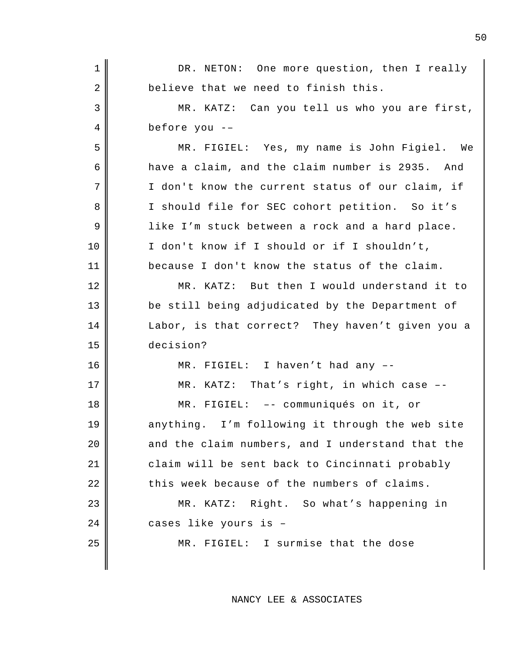| $\mathbf 1$    | DR. NETON: One more question, then I really      |
|----------------|--------------------------------------------------|
| $\overline{2}$ | believe that we need to finish this.             |
| 3              | MR. KATZ: Can you tell us who you are first,     |
| 4              | before you --                                    |
| 5              | MR. FIGIEL: Yes, my name is John Figiel. We      |
| 6              | have a claim, and the claim number is 2935. And  |
| 7              | I don't know the current status of our claim, if |
| 8              | I should file for SEC cohort petition. So it's   |
| 9              | like I'm stuck between a rock and a hard place.  |
| 10             | I don't know if I should or if I shouldn't,      |
| 11             | because I don't know the status of the claim.    |
| 12             | MR. KATZ: But then I would understand it to      |
| 13             | be still being adjudicated by the Department of  |
| 14             | Labor, is that correct? They haven't given you a |
| 15             | decision?                                        |
| 16             | MR. FIGIEL: I haven't had any --                 |
| 17             | MR. KATZ: That's right, in which case --         |
| 18             | MR. FIGIEL: -- communiqués on it, or             |
| 19             | anything. I'm following it through the web site  |
| 20             | and the claim numbers, and I understand that the |
| 21             | claim will be sent back to Cincinnati probably   |
| 22             | this week because of the numbers of claims.      |
| 23             | MR. KATZ: Right. So what's happening in          |
| 24             | cases like yours is -                            |
| 25             | MR. FIGIEL: I surmise that the dose              |
|                |                                                  |
|                |                                                  |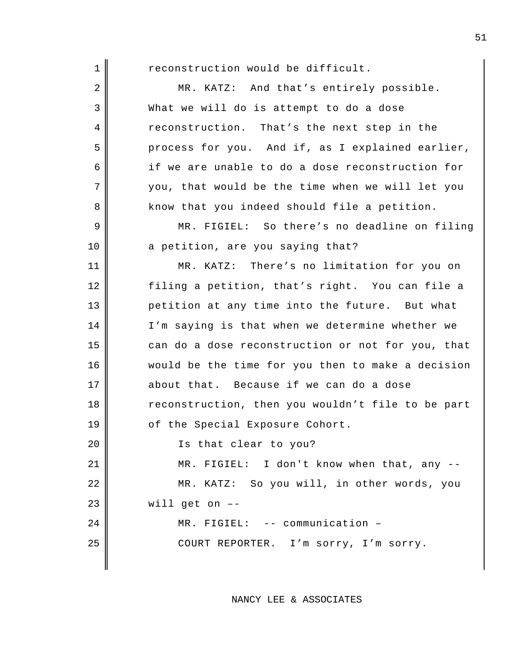| $\mathbf 1$ | reconstruction would be difficult.                |
|-------------|---------------------------------------------------|
| 2           | MR. KATZ: And that's entirely possible.           |
| 3           | What we will do is attempt to do a dose           |
| 4           | reconstruction. That's the next step in the       |
| 5           | process for you. And if, as I explained earlier,  |
| 6           | if we are unable to do a dose reconstruction for  |
| 7           | you, that would be the time when we will let you  |
| 8           | know that you indeed should file a petition.      |
| 9           | MR. FIGIEL: So there's no deadline on filing      |
| 10          | a petition, are you saying that?                  |
| 11          | MR. KATZ: There's no limitation for you on        |
| 12          | filing a petition, that's right. You can file a   |
| 13          | petition at any time into the future. But what    |
| 14          | I'm saying is that when we determine whether we   |
| 15          | can do a dose reconstruction or not for you, that |
| 16          | would be the time for you then to make a decision |
| 17          | about that. Because if we can do a dose           |
| 18          | reconstruction, then you wouldn't file to be part |
| 19          | of the Special Exposure Cohort.                   |
| 20          | Is that clear to you?                             |
| 21          | MR. FIGIEL: I don't know when that, any --        |
| 22          | MR. KATZ: So you will, in other words, you        |
| 23          | will get on --                                    |
| 24          | MR. FIGIEL: -- communication -                    |
| 25          | COURT REPORTER. I'm sorry, I'm sorry.             |
|             |                                                   |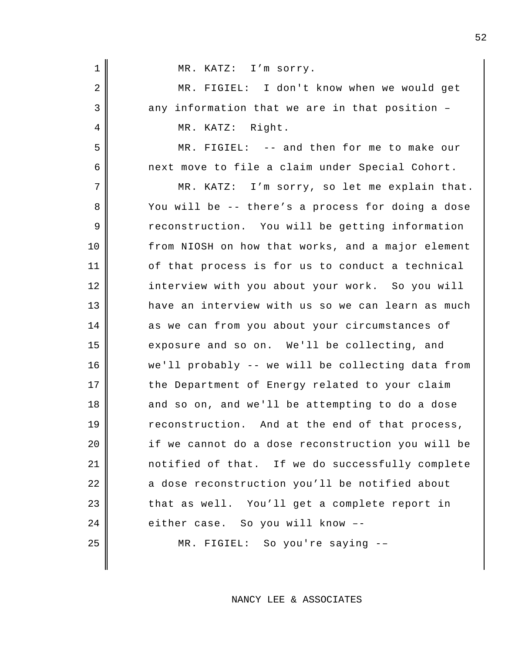| $\mathbf 1$ | MR. KATZ: I'm sorry.                              |
|-------------|---------------------------------------------------|
| 2           | MR. FIGIEL: I don't know when we would get        |
| 3           | any information that we are in that position -    |
| 4           | MR. KATZ: Right.                                  |
| 5           | MR. FIGIEL: -- and then for me to make our        |
| 6           | next move to file a claim under Special Cohort.   |
| 7           | MR. KATZ: I'm sorry, so let me explain that.      |
| 8           | You will be -- there's a process for doing a dose |
| 9           | reconstruction. You will be getting information   |
| 10          | from NIOSH on how that works, and a major element |
| 11          | of that process is for us to conduct a technical  |
| 12          | interview with you about your work. So you will   |
| 13          | have an interview with us so we can learn as much |
| 14          | as we can from you about your circumstances of    |
| 15          | exposure and so on. We'll be collecting, and      |
| 16          | we'll probably -- we will be collecting data from |
| 17          | the Department of Energy related to your claim    |
| 18          | and so on, and we'll be attempting to do a dose   |
| 19          | reconstruction. And at the end of that process,   |
| 20          | if we cannot do a dose reconstruction you will be |
| 21          | notified of that. If we do successfully complete  |
| 22          | a dose reconstruction you'll be notified about    |
| 23          | that as well. You'll get a complete report in     |
| 24          | either case. So you will know --                  |
| 25          | MR. FIGIEL: So you're saying --                   |
|             |                                                   |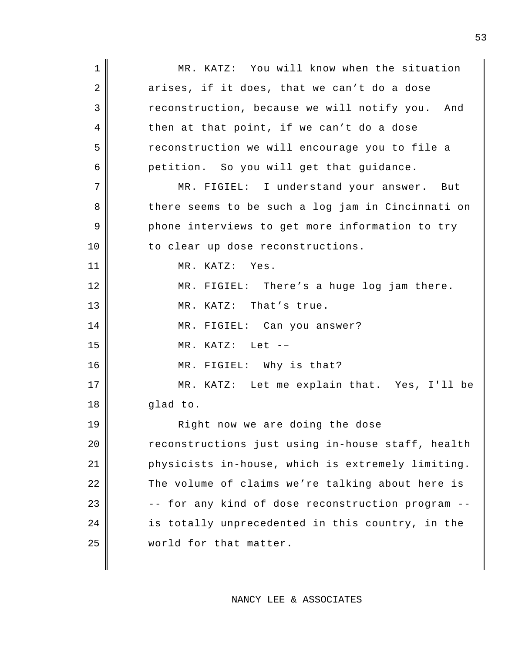1 || MR. KATZ: You will know when the situation  $2 \parallel$  arises, if it does, that we can't do a dose 3 Teconstruction, because we will notify you. And 4 || then at that point, if we can't do a dose 5 reconstruction we will encourage you to file a 6 petition. So you will get that guidance. 7 || MR. FIGIEL: I understand your answer. But 8 there seems to be such a log jam in Cincinnati on 9 phone interviews to get more information to try 10 || to clear up dose reconstructions. 11 MR. KATZ: Yes. 12 MR. FIGIEL: There's a huge log jam there. 13 || MR. KATZ: That's true. 14 || MR. FIGIEL: Can you answer?  $15$  || MR. KATZ: Let  $-$ 16 || MR. FIGIEL: Why is that? 17 || MR. KATZ: Let me explain that. Yes, I'll be 18 || glad to. 19 || Right now we are doing the dose 20 | reconstructions just using in-house staff, health 21 physicists in-house, which is extremely limiting. 22 The volume of claims we're talking about here is 23 | The seconstruction program --24 | is totally unprecedented in this country, in the 25 | world for that matter.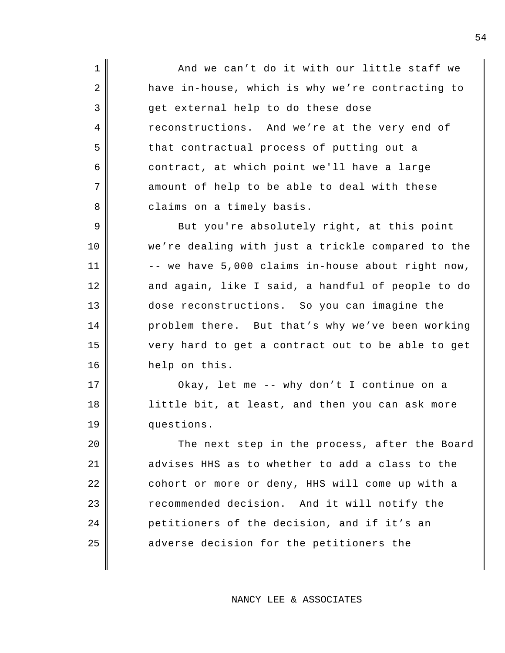1 || And we can't do it with our little staff we 2 have in-house, which is why we're contracting to 3 get external help to do these dose 4 reconstructions. And we're at the very end of 5 that contractual process of putting out a 6 contract, at which point we'll have a large  $7$  amount of help to be able to deal with these 8 | claims on a timely basis.

9 But you're absolutely right, at this point 10 we're dealing with just a trickle compared to the  $11$   $\parallel$  -- we have 5,000 claims in-house about right now, 12 and again, like I said, a handful of people to do 13 dose reconstructions. So you can imagine the 14 | problem there. But that's why we've been working 15 very hard to get a contract out to be able to get 16 help on this.

17 || Okay, let me -- why don't I continue on a 18 || little bit, at least, and then you can ask more 19 questions.

20 || The next step in the process, after the Board 21 advises HHS as to whether to add a class to the 22 cohort or more or deny, HHS will come up with a 23 Tecommended decision. And it will notify the 24 petitioners of the decision, and if it's an  $25$  adverse decision for the petitioners the

NANCY LEE & ASSOCIATES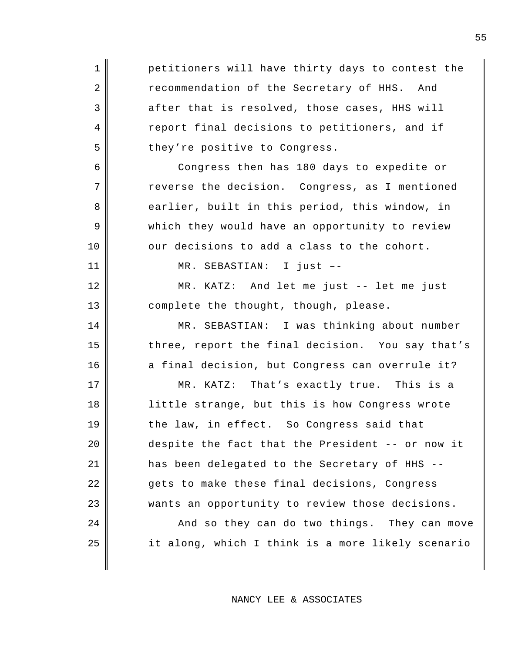1 petitioners will have thirty days to contest the 2 recommendation of the Secretary of HHS. And  $3$  after that is resolved, those cases, HHS will 4 report final decisions to petitioners, and if 5 || they're positive to Congress. 6 Congress then has 180 days to expedite or  $7$   $\parallel$  reverse the decision. Congress, as I mentioned 8 earlier, built in this period, this window, in 9 which they would have an opportunity to review  $10$   $\parallel$  our decisions to add a class to the cohort. 11 MR. SEBASTIAN: I just –- 12 MR. KATZ: And let me just -- let me just 13 complete the thought, though, please. 14 || MR. SEBASTIAN: I was thinking about number 15 three, report the final decision. You say that's 16 a final decision, but Congress can overrule it? 17 MR. KATZ: That's exactly true. This is a 18 || little strange, but this is how Congress wrote 19 the law, in effect. So Congress said that 20 despite the fact that the President -- or now it 21 has been delegated to the Secretary of HHS -- 22 || gets to make these final decisions, Congress 23 wants an opportunity to review those decisions. 24 | And so they can do two things. They can move 25 | it along, which I think is a more likely scenario

NANCY LEE & ASSOCIATES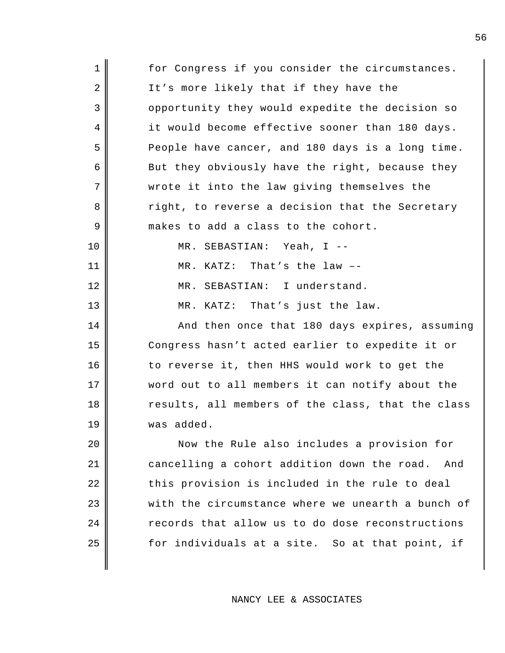| $\mathbf 1$    | for Congress if you consider the circumstances.   |
|----------------|---------------------------------------------------|
| 2              | It's more likely that if they have the            |
| 3              | opportunity they would expedite the decision so   |
| $\overline{4}$ | it would become effective sooner than 180 days.   |
| 5              | People have cancer, and 180 days is a long time.  |
| 6              | But they obviously have the right, because they   |
| 7              | wrote it into the law giving themselves the       |
| 8              | right, to reverse a decision that the Secretary   |
| 9              | makes to add a class to the cohort.               |
| 10             | MR. SEBASTIAN: Yeah, I --                         |
| 11             | MR. KATZ: That's the law --                       |
| 12             | MR. SEBASTIAN: I understand.                      |
| 13             | MR. KATZ: That's just the law.                    |
| 14             | And then once that 180 days expires, assuming     |
| 15             | Congress hasn't acted earlier to expedite it or   |
| 16             | to reverse it, then HHS would work to get the     |
| 17             | word out to all members it can notify about the   |
| 18             | results, all members of the class, that the class |
| 19             | was added.                                        |
| 20             | Now the Rule also includes a provision for        |
| 21             | cancelling a cohort addition down the road. And   |
| 22             | this provision is included in the rule to deal    |
| 23             | with the circumstance where we unearth a bunch of |
| 24             | records that allow us to do dose reconstructions  |
| 25             | for individuals at a site. So at that point, if   |
|                |                                                   |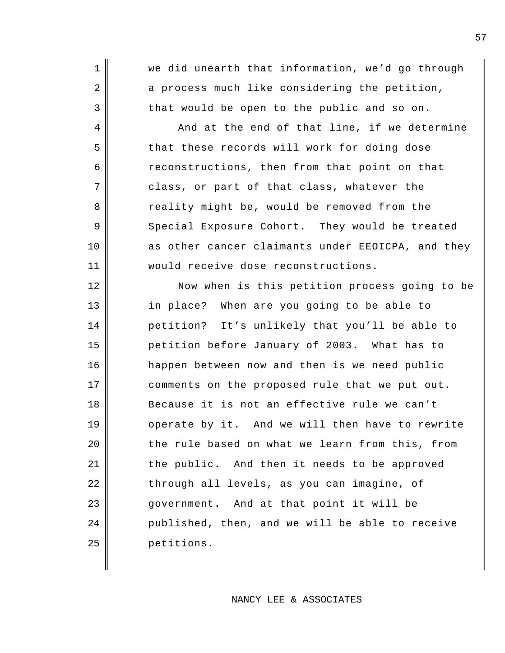1 we did unearth that information, we'd go through  $2 \parallel$  a process much like considering the petition,  $3$  that would be open to the public and so on.

 $4 \parallel$  and at the end of that line, if we determine 5 that these records will work for doing dose  $6 \parallel$  reconstructions, then from that point on that 7 || class, or part of that class, whatever the 8 a reality might be, would be removed from the 9 Special Exposure Cohort. They would be treated 10 as other cancer claimants under EEOICPA, and they 11 would receive dose reconstructions.

12 Now when is this petition process going to be 13 || in place? When are you going to be able to 14 | petition? It's unlikely that you'll be able to 15 petition before January of 2003. What has to 16 happen between now and then is we need public 17 | comments on the proposed rule that we put out. 18 Because it is not an effective rule we can't 19 || operate by it. And we will then have to rewrite  $20$   $\parallel$  the rule based on what we learn from this, from 21 | the public. And then it needs to be approved 22 || through all levels, as you can imagine, of 23 || government. And at that point it will be 24 published, then, and we will be able to receive 25 petitions.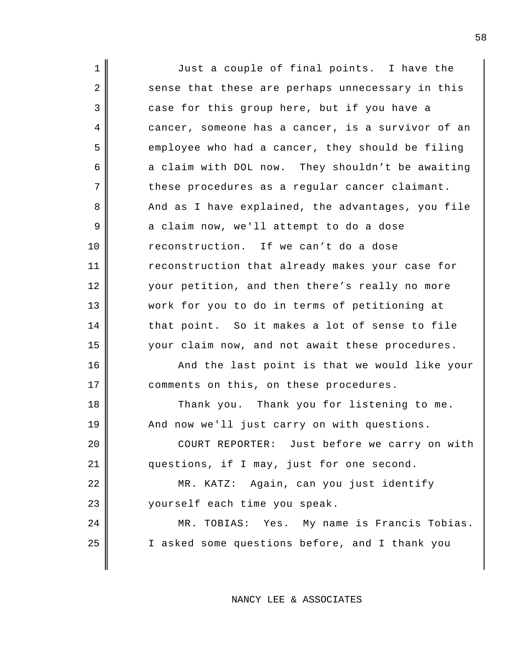1 || Just a couple of final points. I have the 2 sense that these are perhaps unnecessary in this 3 case for this group here, but if you have a 4 cancer, someone has a cancer, is a survivor of an  $5 \parallel$  employee who had a cancer, they should be filing 6 a claim with DOL now. They shouldn't be awaiting  $7 \parallel$  these procedures as a regular cancer claimant. 8 And as I have explained, the advantages, you file 9 a claim now, we'll attempt to do a dose 10 reconstruction. If we can't do a dose 11 | reconstruction that already makes your case for 12 your petition, and then there's really no more 13 work for you to do in terms of petitioning at  $14$  that point. So it makes a lot of sense to file 15 your claim now, and not await these procedures. 16 || And the last point is that we would like your 17 | comments on this, on these procedures. 18 || Thank you. Thank you for listening to me. 19 || And now we'll just carry on with questions. 20 || COURT REPORTER: Just before we carry on with 21 questions, if I may, just for one second. 22 MR. KATZ: Again, can you just identify 23 yourself each time you speak. 24 | KR. TOBIAS: Yes. My name is Francis Tobias. 25 I asked some questions before, and I thank you

NANCY LEE & ASSOCIATES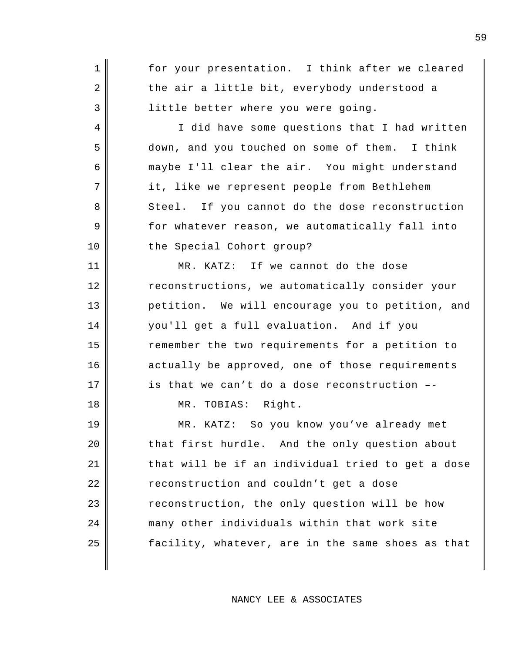| $\mathbf 1$ | for your presentation. I think after we cleared   |
|-------------|---------------------------------------------------|
| 2           | the air a little bit, everybody understood a      |
| 3           | little better where you were going.               |
| 4           | I did have some questions that I had written      |
| 5           | down, and you touched on some of them. I think    |
| 6           | maybe I'll clear the air. You might understand    |
| 7           | it, like we represent people from Bethlehem       |
| 8           | Steel. If you cannot do the dose reconstruction   |
| 9           | for whatever reason, we automatically fall into   |
| 10          | the Special Cohort group?                         |
| 11          | MR. KATZ: If we cannot do the dose                |
| 12          | reconstructions, we automatically consider your   |
| 13          | petition. We will encourage you to petition, and  |
| 14          | you'll get a full evaluation. And if you          |
| 15          | remember the two requirements for a petition to   |
| 16          | actually be approved, one of those requirements   |
| 17          | is that we can't do a dose reconstruction --      |
| 18          | MR. TOBIAS: Right.                                |
| 19          | MR. KATZ: So you know you've already met          |
| 20          | that first hurdle. And the only question about    |
| 21          | that will be if an individual tried to get a dose |
| 22          | reconstruction and couldn't get a dose            |
| 23          | reconstruction, the only question will be how     |
| 24          | many other individuals within that work site      |

facility, whatever, are in the same shoes as that

NANCY LEE & ASSOCIATES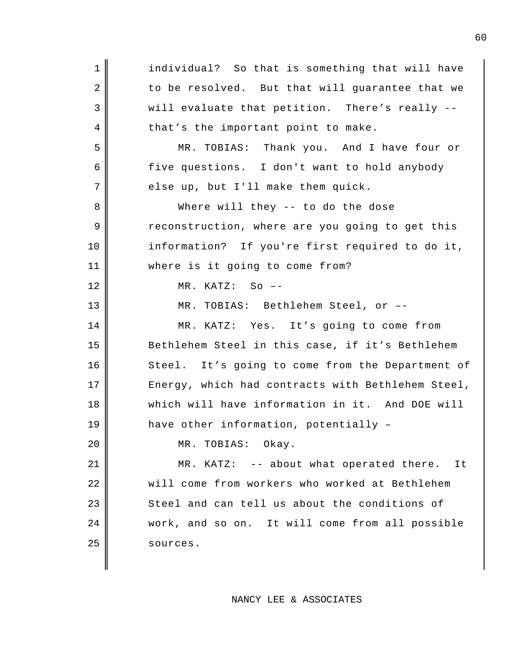1 || individual? So that is something that will have  $2 \parallel$  to be resolved. But that will guarantee that we  $3 \parallel$  will evaluate that petition. There's really --4 || that's the important point to make. 5 MR. TOBIAS: Thank you. And I have four or 6 five questions. I don't want to hold anybody  $7$  else up, but I'll make them quick. 8 Where will they -- to do the dose 9 The reconstruction, where are you going to get this 10 information? If you're first required to do it, 11 where is it going to come from? 12 MR. KATZ: So –- 13 MR. TOBIAS: Bethlehem Steel, or –- 14 MR. KATZ: Yes. It's going to come from 15 Bethlehem Steel in this case, if it's Bethlehem 16 Steel. It's going to come from the Department of 17 || Energy, which had contracts with Bethlehem Steel, 18 Which will have information in it. And DOE will 19 have other information, potentially – 20 | MR. TOBIAS: Okay. 21 || MR. KATZ: -- about what operated there. It 22 || will come from workers who worked at Bethlehem  $23$  Steel and can tell us about the conditions of 24 work, and so on. It will come from all possible  $25$  sources.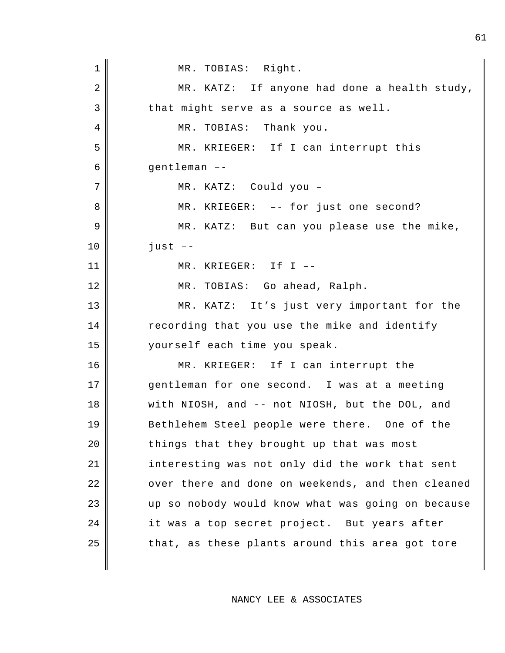1 || MR. TOBIAS: Right. 2 MR. KATZ: If anyone had done a health study,  $3 \parallel$  that might serve as a source as well. 4 || MR. TOBIAS: Thank you. 5 MR. KRIEGER: If I can interrupt this 6 gentleman –- 7 || MR. KATZ: Could you -8 MR. KRIEGER: -- for just one second? 9 MR. KATZ: But can you please use the mike, 10 just –- 11 MR. KRIEGER: If I –- 12 MR. TOBIAS: Go ahead, Ralph. 13 MR. KATZ: It's just very important for the 14 | recording that you use the mike and identify 15 yourself each time you speak. 16 || MR. KRIEGER: If I can interrupt the 17 gentleman for one second. I was at a meeting 18 || with NIOSH, and -- not NIOSH, but the DOL, and 19 Bethlehem Steel people were there. One of the 20 things that they brought up that was most 21 | interesting was not only did the work that sent 22 || over there and done on weekends, and then cleaned 23 up so nobody would know what was going on because 24 it was a top secret project. But years after  $25$  | that, as these plants around this area got tore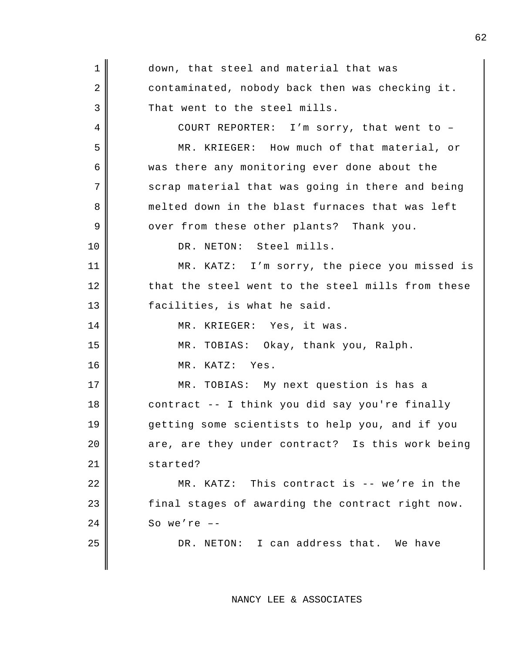| $\mathbf 1$ | down, that steel and material that was            |
|-------------|---------------------------------------------------|
| 2           | contaminated, nobody back then was checking it.   |
| 3           | That went to the steel mills.                     |
| 4           | COURT REPORTER: I'm sorry, that went to -         |
| 5           | MR. KRIEGER: How much of that material, or        |
| 6           | was there any monitoring ever done about the      |
| 7           | scrap material that was going in there and being  |
| 8           | melted down in the blast furnaces that was left   |
| 9           | over from these other plants? Thank you.          |
| 10          | DR. NETON: Steel mills.                           |
| 11          | MR. KATZ: I'm sorry, the piece you missed is      |
| 12          | that the steel went to the steel mills from these |
| 13          | facilities, is what he said.                      |
| 14          | MR. KRIEGER: Yes, it was.                         |
| 15          | MR. TOBIAS: Okay, thank you, Ralph.               |
| 16          | MR. KATZ: Yes.                                    |
| 17          | MR. TOBIAS: My next question is has a             |
| 18          | contract -- I think you did say you're finally    |
| 19          | getting some scientists to help you, and if you   |
| 20          | are, are they under contract? Is this work being  |
| 21          | started?                                          |
| 22          | MR. KATZ: This contract is -- we're in the        |
| 23          | final stages of awarding the contract right now.  |
| 24          | So we're $--$                                     |
| 25          | DR. NETON: I can address that. We have            |
|             |                                                   |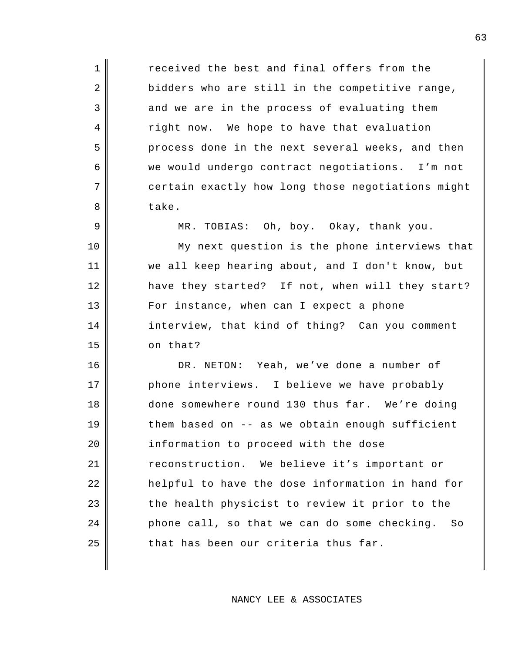1 **I** received the best and final offers from the  $2 \parallel$  bidders who are still in the competitive range, 3 and we are in the process of evaluating them 4 right now. We hope to have that evaluation 5 process done in the next several weeks, and then 6 we would undergo contract negotiations. I'm not 7 certain exactly how long those negotiations might 8 bake.

9 MR. TOBIAS: Oh, boy. Okay, thank you.

10 || My next question is the phone interviews that 11 we all keep hearing about, and I don't know, but 12 have they started? If not, when will they start? 13 For instance, when can I expect a phone 14 | interview, that kind of thing? Can you comment 15 on that?

16 || DR. NETON: Yeah, we've done a number of 17 phone interviews. I believe we have probably 18 done somewhere round 130 thus far. We're doing  $19$   $\parallel$  them based on -- as we obtain enough sufficient 20 | information to proceed with the dose 21 | reconstruction. We believe it's important or 22 | helpful to have the dose information in hand for  $23$  the health physicist to review it prior to the  $24$  | phone call, so that we can do some checking. So  $25$  that has been our criteria thus far.

NANCY LEE & ASSOCIATES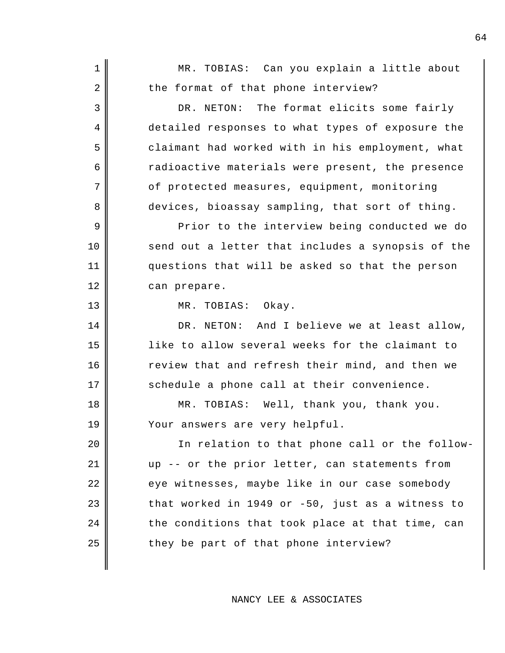1 || MR. TOBIAS: Can you explain a little about  $2 \parallel$  the format of that phone interview? 3 DR. NETON: The format elicits some fairly 4 detailed responses to what types of exposure the 5 claimant had worked with in his employment, what 6 and interture materials were present, the presence 7 | Of protected measures, equipment, monitoring 8 devices, bioassay sampling, that sort of thing. 9 Prior to the interview being conducted we do 10 send out a letter that includes a synopsis of the 11 questions that will be asked so that the person 12 can prepare. 13 NR. TOBIAS: Okay. 14 DR. NETON: And I believe we at least allow, 15 like to allow several weeks for the claimant to 16 | review that and refresh their mind, and then we 17 || schedule a phone call at their convenience. 18 MR. TOBIAS: Well, thank you, thank you. 19 Your answers are very helpful. 20 || In relation to that phone call or the follow-21 up -- or the prior letter, can statements from 22 eye witnesses, maybe like in our case somebody  $23$  that worked in 1949 or -50, just as a witness to  $24$   $\parallel$  the conditions that took place at that time, can  $25$  || they be part of that phone interview?

NANCY LEE & ASSOCIATES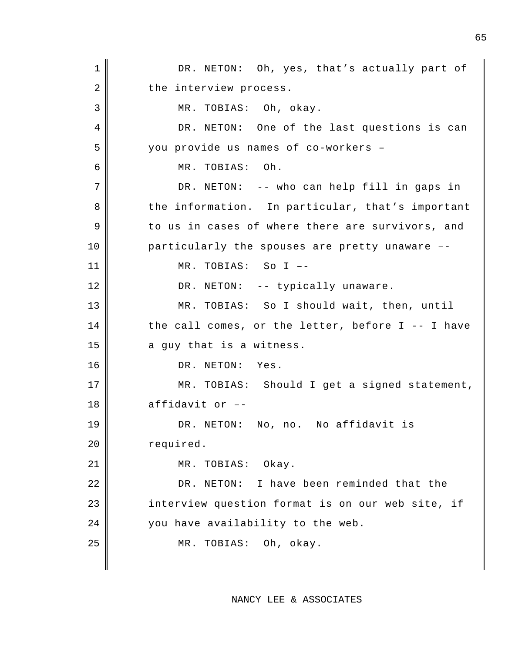1 || DR. NETON: Oh, yes, that's actually part of 2 | the interview process. 3 || MR. TOBIAS: Oh, okay. 4 DR. NETON: One of the last questions is can 5 you provide us names of co-workers – 6 MR. TOBIAS: Oh. 7 || DR. NETON: -- who can help fill in gaps in 8 the information. In particular, that's important  $9 \parallel$  to us in cases of where there are survivors, and 10 particularly the spouses are pretty unaware --11 MR. TOBIAS: So I –- 12 || DR. NETON: -- typically unaware. 13 MR. TOBIAS: So I should wait, then, until  $14$  the call comes, or the letter, before I -- I have  $15$  || a guy that is a witness. 16 || DR. NETON: Yes. 17 || MR. TOBIAS: Should I get a signed statement,  $18 \parallel$  affidavit or --19 || DR. NETON: No, no. No affidavit is 20 | required. 21 || MR. TOBIAS: Okay. 22 DR. NETON: I have been reminded that the 23 | interview question format is on our web site, if 24 you have availability to the web. 25 || MR. TOBIAS: Oh, okay.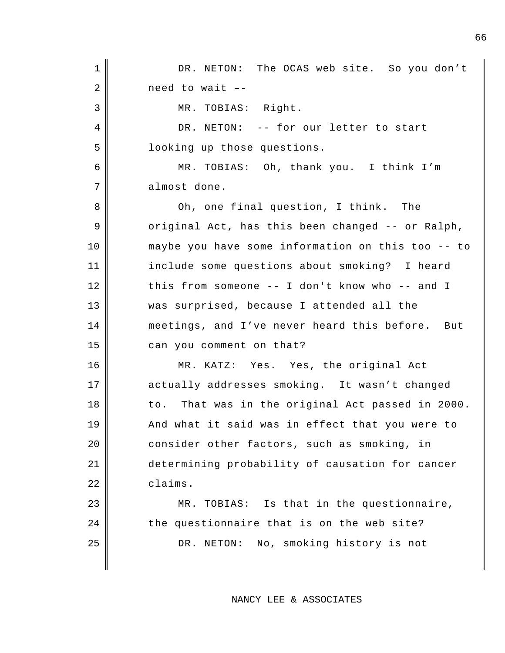1 || DR. NETON: The OCAS web site. So you don't  $2 \parallel$  need to wait --3 || MR. TOBIAS: Right. 4 DR. NETON: -- for our letter to start 5 looking up those questions. 6 MR. TOBIAS: Oh, thank you. I think I'm 7 almost done. 8 Oh, one final question, I think. The  $9 \parallel$  original Act, has this been changed -- or Ralph, 10 maybe you have some information on this too -- to 11 include some questions about smoking? I heard 12 this from someone -- I don't know who -- and I 13 was surprised, because I attended all the 14 meetings, and I've never heard this before. But 15 can you comment on that? 16 MR. KATZ: Yes. Yes, the original Act 17 actually addresses smoking. It wasn't changed 18 to. That was in the original Act passed in 2000. 19 || And what it said was in effect that you were to 20 consider other factors, such as smoking, in 21 determining probability of causation for cancer 22 claims. 23 || MR. TOBIAS: Is that in the questionnaire,  $24$  | the questionnaire that is on the web site? 25 || DR. NETON: No, smoking history is not

NANCY LEE & ASSOCIATES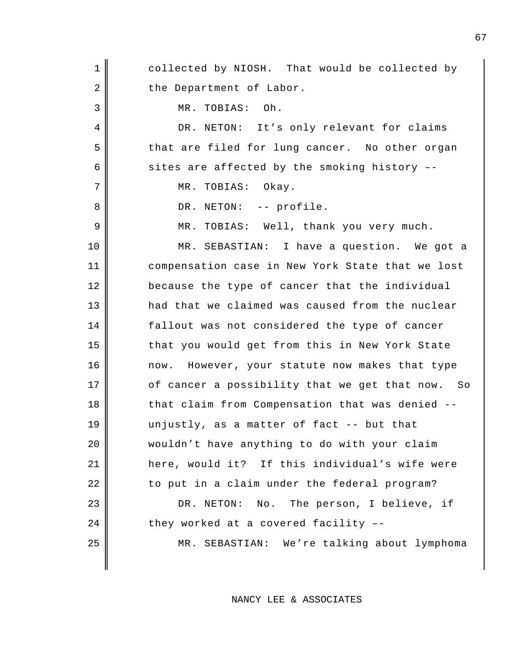1 collected by NIOSH. That would be collected by 2 the Department of Labor. 3 MR. TOBIAS: Oh. 4 DR. NETON: It's only relevant for claims 5 that are filed for lung cancer. No other organ 6 sites are affected by the smoking history  $-$ 7 | MR. TOBIAS: Okay. 8 || DR. NETON: -- profile. 9 || MR. TOBIAS: Well, thank you very much. 10 MR. SEBASTIAN: I have a question. We got a 11 compensation case in New York State that we lost 12 because the type of cancer that the individual 13 || had that we claimed was caused from the nuclear 14 | fallout was not considered the type of cancer 15 that you would get from this in New York State 16 | mow. However, your statute now makes that type  $17$   $\parallel$  of cancer a possibility that we get that now. So 18 that claim from Compensation that was denied --19 unjustly, as a matter of fact -- but that 20 wouldn't have anything to do with your claim 21 here, would it? If this individual's wife were 22 || to put in a claim under the federal program? 23 || DR. NETON: No. The person, I believe, if  $24$  | they worked at a covered facility --25 MR. SEBASTIAN: We're talking about lymphoma

NANCY LEE & ASSOCIATES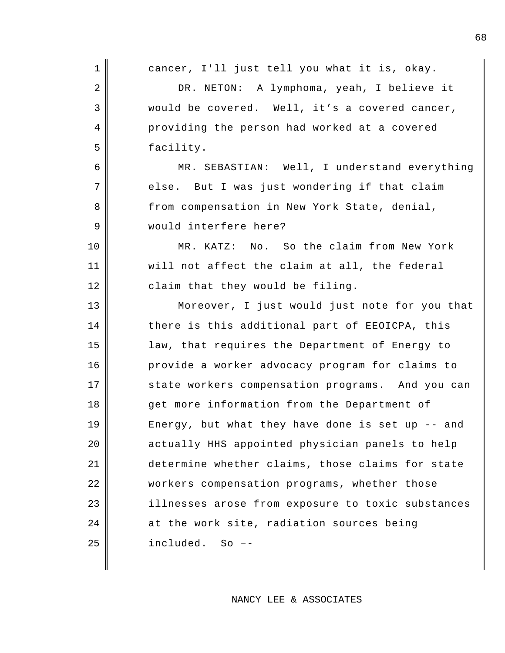| $\mathbf 1$    | cancer, I'll just tell you what it is, okay.      |
|----------------|---------------------------------------------------|
| $\overline{2}$ | DR. NETON: A lymphoma, yeah, I believe it         |
| 3              | would be covered. Well, it's a covered cancer,    |
| 4              | providing the person had worked at a covered      |
| 5              | facility.                                         |
| 6              | MR. SEBASTIAN: Well, I understand everything      |
| 7              | else. But I was just wondering if that claim      |
| 8              | from compensation in New York State, denial,      |
| 9              | would interfere here?                             |
| 10             | No. So the claim from New York<br>MR. KATZ:       |
| 11             | will not affect the claim at all, the federal     |
| 12             | claim that they would be filing.                  |
| 13             | Moreover, I just would just note for you that     |
| 14             | there is this additional part of EEOICPA, this    |
| 15             | law, that requires the Department of Energy to    |
| 16             | provide a worker advocacy program for claims to   |
| 17             | state workers compensation programs. And you can  |
| 18             | get more information from the Department of       |
| 19             | Energy, but what they have done is set up -- and  |
| 20             | actually HHS appointed physician panels to help   |
| 21             | determine whether claims, those claims for state  |
| 22             | workers compensation programs, whether those      |
| 23             | illnesses arose from exposure to toxic substances |
| 24             | at the work site, radiation sources being         |
| 25             | included.<br>$So$ $-$                             |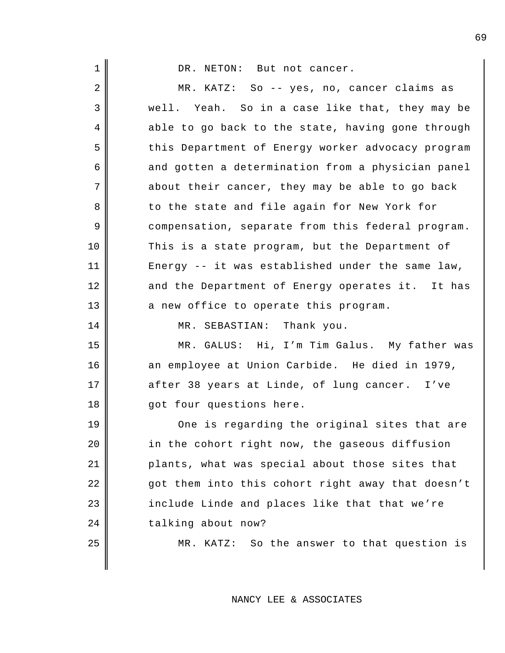| $\mathbf{1}$   | DR. NETON: But not cancer.                        |
|----------------|---------------------------------------------------|
| $\overline{2}$ | MR. KATZ: So -- yes, no, cancer claims as         |
| 3              | well. Yeah. So in a case like that, they may be   |
| 4              | able to go back to the state, having gone through |
| 5              | this Department of Energy worker advocacy program |
| 6              | and gotten a determination from a physician panel |
| 7              | about their cancer, they may be able to go back   |
| 8              | to the state and file again for New York for      |
| 9              | compensation, separate from this federal program. |
| 10             | This is a state program, but the Department of    |
| 11             | Energy -- it was established under the same law,  |
| 12             | and the Department of Energy operates it. It has  |
| 13             | a new office to operate this program.             |
| 14             | MR. SEBASTIAN: Thank you.                         |
| 15             | MR. GALUS: Hi, I'm Tim Galus. My father was       |
| 16             | an employee at Union Carbide. He died in 1979,    |
| 17             | after 38 years at Linde, of lung cancer. I've     |
| 18             | got four questions here.                          |

19 One is regarding the original sites that are in the cohort right now, the gaseous diffusion | plants, what was special about those sites that got them into this cohort right away that doesn't include Linde and places like that that we're 24 talking about now?

25 || MR. KATZ: So the answer to that question is

NANCY LEE & ASSOCIATES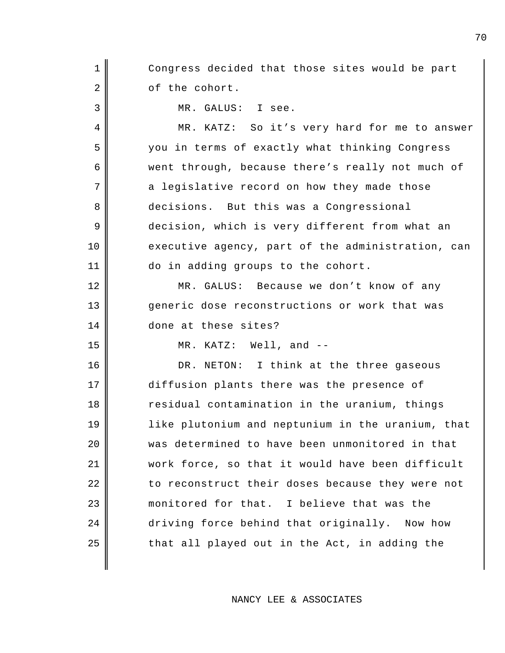1 || Congress decided that those sites would be part 2 of the cohort.

3 MR. GALUS: I see.

4 MR. KATZ: So it's very hard for me to answer 5 you in terms of exactly what thinking Congress 6 went through, because there's really not much of 7 a legislative record on how they made those 8 decisions. But this was a Congressional 9 decision, which is very different from what an 10 executive agency, part of the administration, can 11 do in adding groups to the cohort.

12 MR. GALUS: Because we don't know of any 13 generic dose reconstructions or work that was 14 done at these sites?

15 MR. KATZ: Well, and --

16 || DR. NETON: I think at the three gaseous 17 diffusion plants there was the presence of 18 || residual contamination in the uranium, things 19 || like plutonium and neptunium in the uranium, that 20 was determined to have been unmonitored in that 21 work force, so that it would have been difficult 22 || to reconstruct their doses because they were not 23 || monitored for that. I believe that was the 24 driving force behind that originally. Now how  $25$  || that all played out in the Act, in adding the

NANCY LEE & ASSOCIATES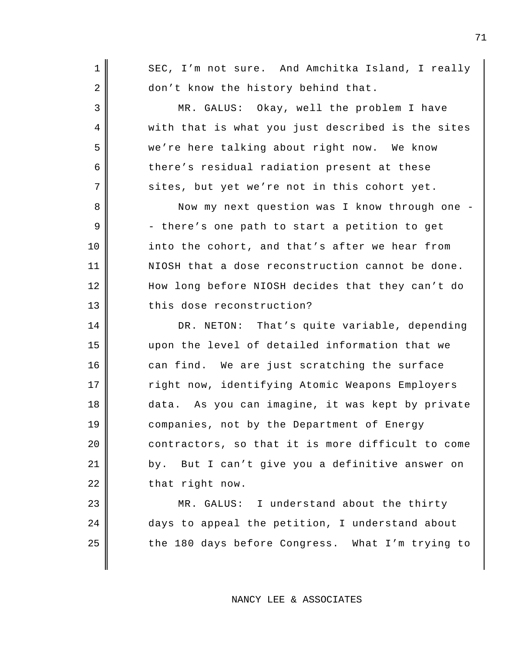1 SEC, I'm not sure. And Amchitka Island, I really 2 don't know the history behind that. 3 MR. GALUS: Okay, well the problem I have 4 || with that is what you just described is the sites 5 we're here talking about right now. We know  $6 \parallel$  there's residual radiation present at these 7 sites, but yet we're not in this cohort yet. 8 Now my next question was I know through one - $9 \parallel$  - there's one path to start a petition to get 10 into the cohort, and that's after we hear from 11 NIOSH that a dose reconstruction cannot be done. 12 || How long before NIOSH decides that they can't do 13 this dose reconstruction? 14 DR. NETON: That's quite variable, depending 15 upon the level of detailed information that we 16 can find. We are just scratching the surface 17 Theorgian right now, identifying Atomic Weapons Employers 18 data. As you can imagine, it was kept by private 19 companies, not by the Department of Energy  $20$   $\parallel$  contractors, so that it is more difficult to come 21 | by. But I can't give you a definitive answer on  $22 \parallel$  that right now. 23 || MR. GALUS: I understand about the thirty 24 days to appeal the petition, I understand about

NANCY LEE & ASSOCIATES

 $25$  | the 180 days before Congress. What I'm trying to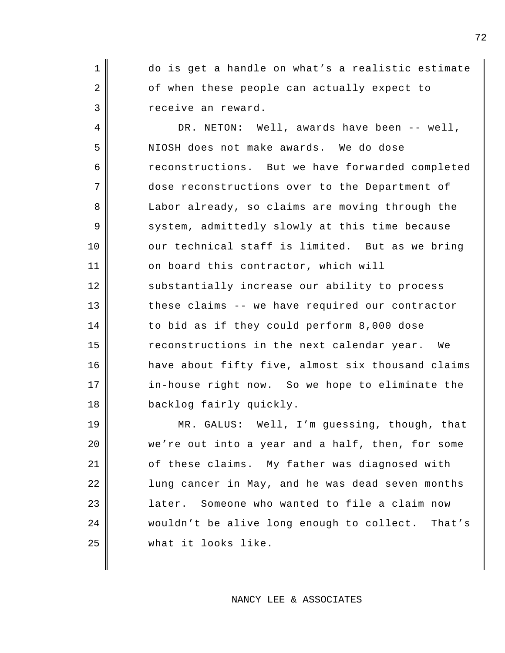1 do is get a handle on what's a realistic estimate  $2 \parallel$  of when these people can actually expect to 3 || receive an reward.

4 DR. NETON: Well, awards have been -- well, 5 NIOSH does not make awards. We do dose 6 reconstructions. But we have forwarded completed 7 dose reconstructions over to the Department of 8 Labor already, so claims are moving through the 9 system, admittedly slowly at this time because 10 our technical staff is limited. But as we bring 11 on board this contractor, which will 12 | substantially increase our ability to process 13 these claims -- we have required our contractor 14 to bid as if they could perform 8,000 dose 15 Teconstructions in the next calendar year. We 16 have about fifty five, almost six thousand claims 17 || in-house right now. So we hope to eliminate the 18 backlog fairly quickly.

19 MR. GALUS: Well, I'm guessing, though, that 20 we're out into a year and a half, then, for some 21 | cf these claims. My father was diagnosed with 22 || lung cancer in May, and he was dead seven months 23 | later. Someone who wanted to file a claim now 24 wouldn't be alive long enough to collect. That's 25 what it looks like.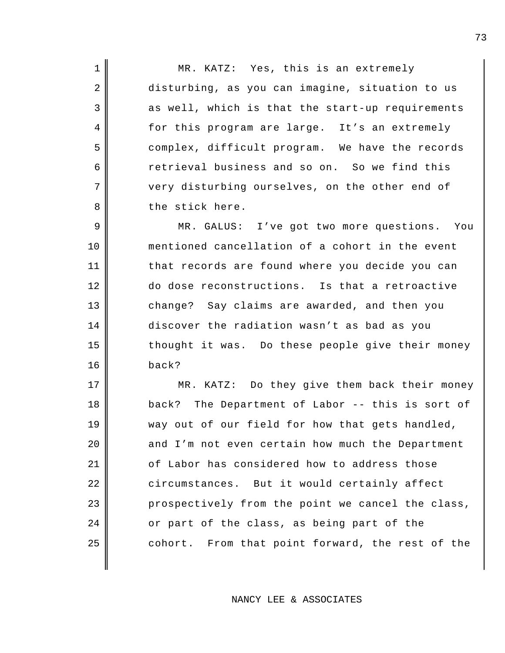1 || MR. KATZ: Yes, this is an extremely 2 disturbing, as you can imagine, situation to us  $3 \parallel$  as well, which is that the start-up requirements 4 for this program are large. It's an extremely 5 complex, difficult program. We have the records 6 call 6 retrieval business and so on. So we find this 7 very disturbing ourselves, on the other end of 8 b the stick here.

9 || MR. GALUS: I've got two more questions. You 10 mentioned cancellation of a cohort in the event 11 || that records are found where you decide you can 12 do dose reconstructions. Is that a retroactive 13 change? Say claims are awarded, and then you 14 discover the radiation wasn't as bad as you  $15$  thought it was. Do these people give their money 16 back?

17 || MR. KATZ: Do they give them back their money 18 back? The Department of Labor -- this is sort of 19 way out of our field for how that gets handled,  $20$  | and I'm not even certain how much the Department  $21$   $\parallel$  of Labor has considered how to address those 22 circumstances. But it would certainly affect 23 prospectively from the point we cancel the class, 24 or part of the class, as being part of the  $25$   $\parallel$  cohort. From that point forward, the rest of the

NANCY LEE & ASSOCIATES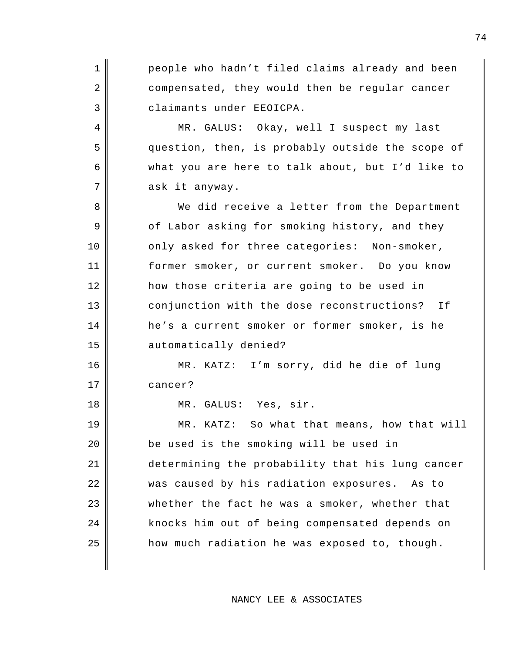1 people who hadn't filed claims already and been 2 compensated, they would then be regular cancer 3 claimants under EEOICPA. 4 MR. GALUS: Okay, well I suspect my last 5 question, then, is probably outside the scope of 6 what you are here to talk about, but I'd like to  $7$  ask it anyway. 8 We did receive a letter from the Department 9 of Labor asking for smoking history, and they 10 || only asked for three categories: Non-smoker, 11 former smoker, or current smoker. Do you know 12 how those criteria are going to be used in 13 conjunction with the dose reconstructions? If 14 he's a current smoker or former smoker, is he 15 automatically denied? 16 MR. KATZ: I'm sorry, did he die of lung 17 cancer? 18 || MR. GALUS: Yes, sir. 19 || MR. KATZ: So what that means, how that will 20 be used is the smoking will be used in 21 determining the probability that his lung cancer 22 was caused by his radiation exposures. As to 23 whether the fact he was a smoker, whether that 24 || knocks him out of being compensated depends on  $25$  || how much radiation he was exposed to, though.

NANCY LEE & ASSOCIATES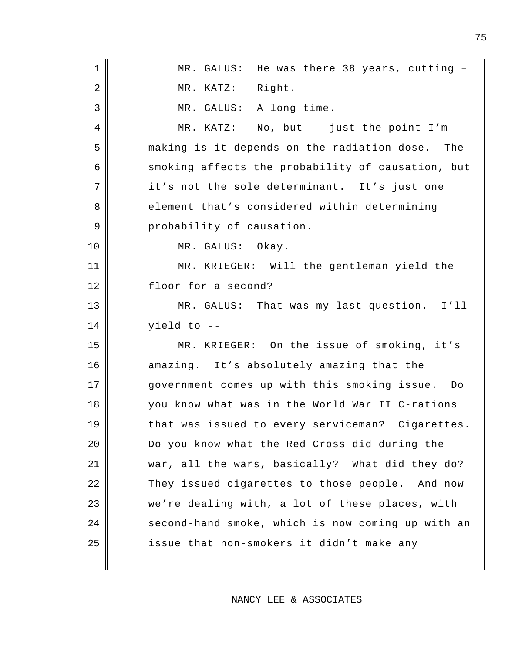| $\mathbf 1$    | MR. GALUS: He was there 38 years, cutting -       |
|----------------|---------------------------------------------------|
| $\overline{2}$ | MR. KATZ: Right.                                  |
| 3              | MR. GALUS: A long time.                           |
| $\overline{4}$ | MR. KATZ: No, but -- just the point I'm           |
| 5              | making is it depends on the radiation dose. The   |
| 6              | smoking affects the probability of causation, but |
| 7              | it's not the sole determinant. It's just one      |
| 8              | element that's considered within determining      |
| 9              | probability of causation.                         |
| 10             | MR. GALUS: Okay.                                  |
| 11             | MR. KRIEGER: Will the gentleman yield the         |
| 12             | floor for a second?                               |
| 13             | MR. GALUS: That was my last question. I'll        |
| 14             | yield to --                                       |
| 15             | MR. KRIEGER: On the issue of smoking, it's        |
| 16             | amazing. It's absolutely amazing that the         |
| 17             | government comes up with this smoking issue. Do   |
| 18             | you know what was in the World War II C-rations   |
| 19             | that was issued to every serviceman? Cigarettes.  |
| 20             | Do you know what the Red Cross did during the     |
| 21             | war, all the wars, basically? What did they do?   |
| 22             | They issued cigarettes to those people. And now   |
| 23             | we're dealing with, a lot of these places, with   |
| 24             | second-hand smoke, which is now coming up with an |
| 25             | issue that non-smokers it didn't make any         |
|                |                                                   |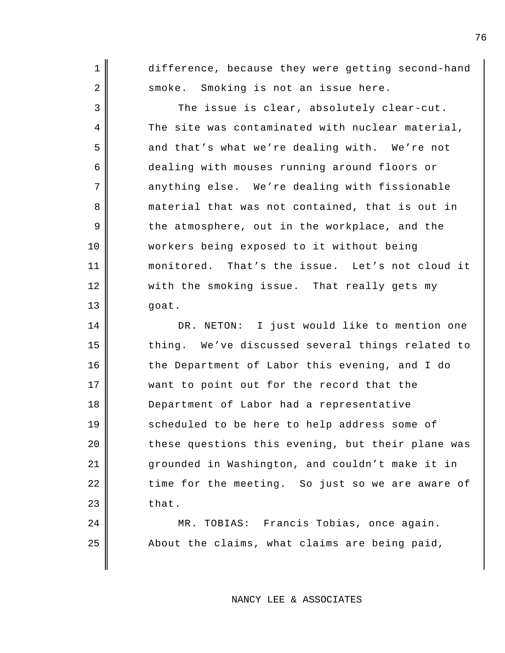1 difference, because they were getting second-hand 2 smoke. Smoking is not an issue here. 3 The issue is clear, absolutely clear-cut. 4 The site was contaminated with nuclear material, 5 and that's what we're dealing with. We're not 6 dealing with mouses running around floors or 7 anything else. We're dealing with fissionable 8 material that was not contained, that is out in  $9 \parallel$  the atmosphere, out in the workplace, and the 10 workers being exposed to it without being 11 || monitored. That's the issue. Let's not cloud it 12 || with the smoking issue. That really gets my

 $13 \parallel$  goat.

14 DR. NETON: I just would like to mention one 15 thing. We've discussed several things related to 16 the Department of Labor this evening, and I do 17 || want to point out for the record that the 18 Department of Labor had a representative 19 || scheduled to be here to help address some of  $20$   $\parallel$  these questions this evening, but their plane was 21 grounded in Washington, and couldn't make it in 22 || time for the meeting. So just so we are aware of  $23$  that.

24 MR. TOBIAS: Francis Tobias, once again.  $25$  || About the claims, what claims are being paid,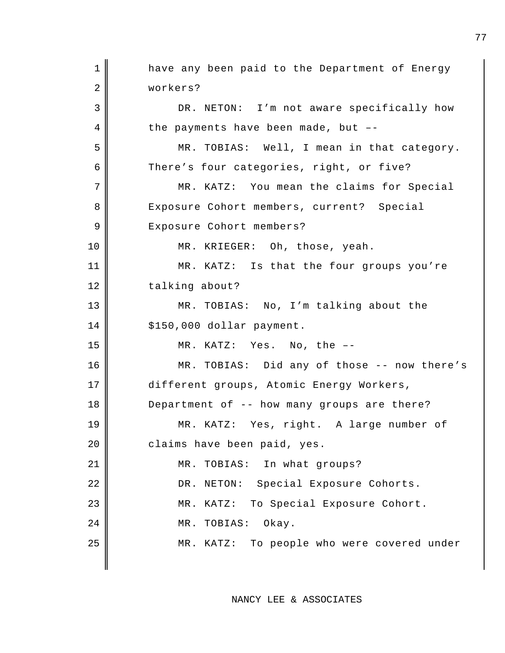1 || have any been paid to the Department of Energy 2 | workers? 3 DR. NETON: I'm not aware specifically how  $4 \parallel$  the payments have been made, but --5 || MR. TOBIAS: Well, I mean in that category. 6 There's four categories, right, or five? 7 MR. KATZ: You mean the claims for Special 8 Exposure Cohort members, current? Special 9 | Exposure Cohort members? 10 || MR. KRIEGER: Oh, those, yeah. 11 || MR. KATZ: Is that the four groups you're 12 talking about? 13 MR. TOBIAS: No, I'm talking about the  $14$  | \$150,000 dollar payment. 15 MR. KATZ: Yes. No, the –- 16 MR. TOBIAS: Did any of those -- now there's 17 different groups, Atomic Energy Workers, 18 Department of -- how many groups are there? 19 MR. KATZ: Yes, right. A large number of 20 claims have been paid, yes. 21 || MR. TOBIAS: In what groups? 22 || DR. NETON: Special Exposure Cohorts. 23 || MR. KATZ: To Special Exposure Cohort. 24 MR. TOBIAS: Okay. 25 || MR. KATZ: To people who were covered under

NANCY LEE & ASSOCIATES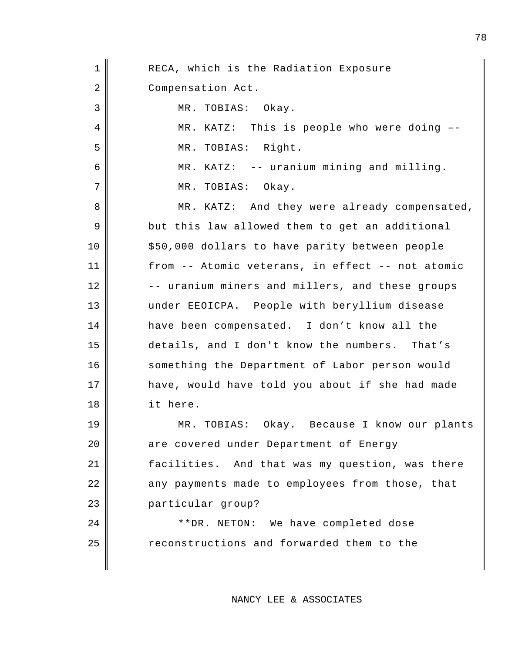| $\mathbf 1$ | RECA, which is the Radiation Exposure            |
|-------------|--------------------------------------------------|
| 2           | Compensation Act.                                |
| 3           | MR. TOBIAS: Okay.                                |
| 4           | MR. KATZ: This is people who were doing --       |
| 5           | MR. TOBIAS: Right.                               |
| 6           | MR. KATZ: -- uranium mining and milling.         |
| 7           | MR. TOBIAS: Okay.                                |
| 8           | MR. KATZ: And they were already compensated,     |
| 9           | but this law allowed them to get an additional   |
| 10          | \$50,000 dollars to have parity between people   |
| 11          | from -- Atomic veterans, in effect -- not atomic |
| 12          | -- uranium miners and millers, and these groups  |
| 13          | under EEOICPA. People with beryllium disease     |
| 14          | have been compensated. I don't know all the      |
| 15          | details, and I don't know the numbers. That's    |
| 16          | something the Department of Labor person would   |
| 17          | have, would have told you about if she had made  |
| 18          | it here.                                         |
| 19          | Okay. Because I know our plants<br>MR. TOBIAS:   |
| 20          | are covered under Department of Energy           |
| 21          | facilities. And that was my question, was there  |
| 22          | any payments made to employees from those, that  |
| 23          | particular group?                                |
| 24          | **DR. NETON: We have completed dose              |
| 25          | reconstructions and forwarded them to the        |
|             |                                                  |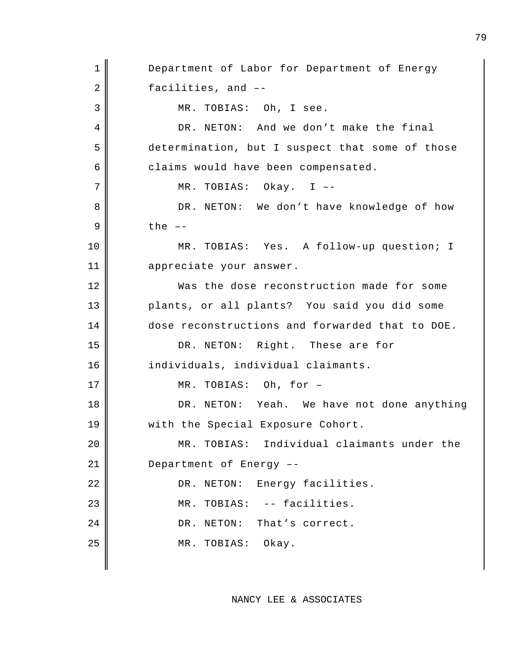1 Department of Labor for Department of Energy 2 facilities, and --3 MR. TOBIAS: Oh, I see. 4 DR. NETON: And we don't make the final 5 determination, but I suspect that some of those  $6 \parallel$  claims would have been compensated. 7 || MR. TOBIAS: Okay. I --8 DR. NETON: We don't have knowledge of how  $9 \parallel$  the  $-$ 10 || MR. TOBIAS: Yes. A follow-up question; I 11 appreciate your answer. 12 Was the dose reconstruction made for some 13 plants, or all plants? You said you did some 14 dose reconstructions and forwarded that to DOE. 15 || DR. NETON: Right. These are for 16 || individuals, individual claimants. 17 || MR. TOBIAS: Oh, for -18 || DR. NETON: Yeah. We have not done anything 19 || with the Special Exposure Cohort. 20 MR. TOBIAS: Individual claimants under the 21 Department of Energy --22 | DR. NETON: Energy facilities. 23 MR. TOBIAS: -- facilities. 24 DR. NETON: That's correct. 25 || MR. TOBIAS: Okay.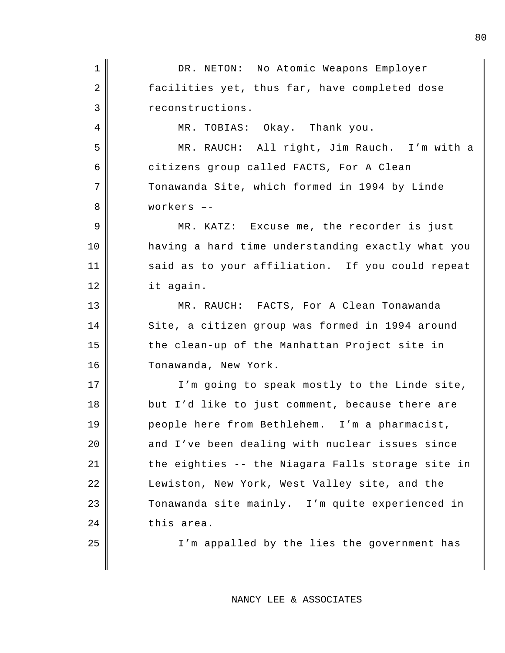| $\mathbf 1$    | DR. NETON: No Atomic Weapons Employer             |
|----------------|---------------------------------------------------|
| $\overline{a}$ | facilities yet, thus far, have completed dose     |
| 3              | reconstructions.                                  |
| 4              | MR. TOBIAS: Okay. Thank you.                      |
| 5              | MR. RAUCH: All right, Jim Rauch. I'm with a       |
| 6              | citizens group called FACTS, For A Clean          |
| 7              | Tonawanda Site, which formed in 1994 by Linde     |
| 8              | workers --                                        |
| 9              | MR. KATZ: Excuse me, the recorder is just         |
| 10             | having a hard time understanding exactly what you |
| 11             | said as to your affiliation. If you could repeat  |
| 12             | it again.                                         |
| 13             | MR. RAUCH: FACTS, For A Clean Tonawanda           |
| 14             | Site, a citizen group was formed in 1994 around   |
| 15             | the clean-up of the Manhattan Project site in     |
| 16             | Tonawanda, New York.                              |
| 17             | I'm going to speak mostly to the Linde site,      |
| 18             | but I'd like to just comment, because there are   |
| 19             | people here from Bethlehem. I'm a pharmacist,     |
| 20             | and I've been dealing with nuclear issues since   |
| 21             | the eighties -- the Niagara Falls storage site in |
| 22             | Lewiston, New York, West Valley site, and the     |
| 23             | Tonawanda site mainly. I'm quite experienced in   |
| 24             | this area.                                        |
| 25             | I'm appalled by the lies the government has       |
|                |                                                   |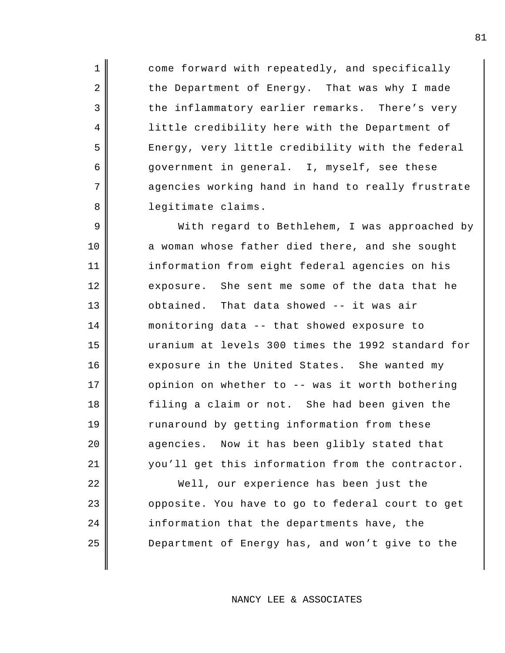1 come forward with repeatedly, and specifically 2 the Department of Energy. That was why I made 3 the inflammatory earlier remarks. There's very 4 | little credibility here with the Department of 5 Energy, very little credibility with the federal 6 || government in general. I, myself, see these 7 agencies working hand in hand to really frustrate 8 || legitimate claims.

9 With regard to Bethlehem, I was approached by 10 a woman whose father died there, and she sought 11 information from eight federal agencies on his 12 exposure. She sent me some of the data that he  $13$   $\parallel$  obtained. That data showed -- it was air 14 monitoring data -- that showed exposure to 15 uranium at levels 300 times the 1992 standard for 16 exposure in the United States. She wanted my 17 | opinion on whether to -- was it worth bothering 18 filing a claim or not. She had been given the 19 Tunaround by getting information from these 20 agencies. Now it has been glibly stated that 21 you'll get this information from the contractor. 22 Well, our experience has been just the

23 | opposite. You have to go to federal court to get  $24$  information that the departments have, the 25 **Department of Energy has, and won't give to the** 

NANCY LEE & ASSOCIATES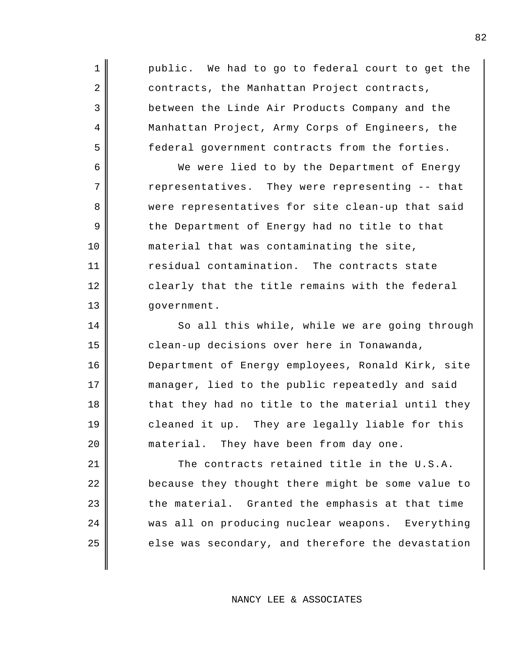1 || public. We had to go to federal court to get the 2 contracts, the Manhattan Project contracts, 3 between the Linde Air Products Company and the 4 Manhattan Project, Army Corps of Engineers, the 5 federal government contracts from the forties.

6 We were lied to by the Department of Energy 7 The representatives. They were representing -- that 8 || were representatives for site clean-up that said 9 the Department of Energy had no title to that 10 || material that was contaminating the site, 11 | Tesidual contamination. The contracts state 12 clearly that the title remains with the federal 13 | government.

14 | So all this while, while we are going through clean-up decisions over here in Tonawanda, Department of Energy employees, Ronald Kirk, site manager, lied to the public repeatedly and said  $\parallel$  that they had no title to the material until they cleaned it up. They are legally liable for this 20 material. They have been from day one.

  $\parallel$  The contracts retained title in the U.S.A. **because they thought there might be some value to**  the material. Granted the emphasis at that time was all on producing nuclear weapons. Everything  $\parallel$  else was secondary, and therefore the devastation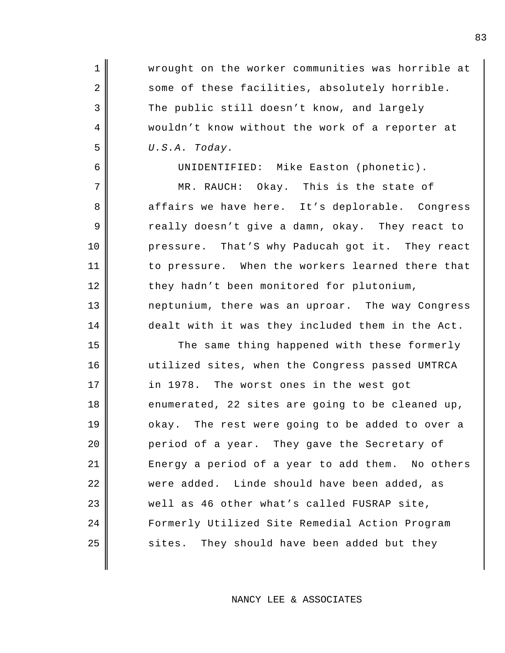1 Wrought on the worker communities was horrible at 2 some of these facilities, absolutely horrible. 3 The public still doesn't know, and largely 4 || wouldn't know without the work of a reporter at 5 *U.S.A. Today.* 

6 UNIDENTIFIED: Mike Easton (phonetic).

7 MR. RAUCH: Okay. This is the state of 8 affairs we have here. It's deplorable. Congress 9 cally doesn't give a damn, okay. They react to 10 pressure. That'S why Paducah got it. They react 11 to pressure. When the workers learned there that 12 they hadn't been monitored for plutonium, 13 neptunium, there was an uproar. The way Congress 14 dealt with it was they included them in the Act.

15 || The same thing happened with these formerly 16 utilized sites, when the Congress passed UMTRCA 17 in 1978. The worst ones in the west got 18 enumerated, 22 sites are going to be cleaned up, 19 okay. The rest were going to be added to over a 20 **period of a year.** They gave the Secretary of 21 Energy a period of a year to add them. No others 22 || were added. Linde should have been added, as 23 well as 46 other what's called FUSRAP site, 24 || Formerly Utilized Site Remedial Action Program  $25$  sites. They should have been added but they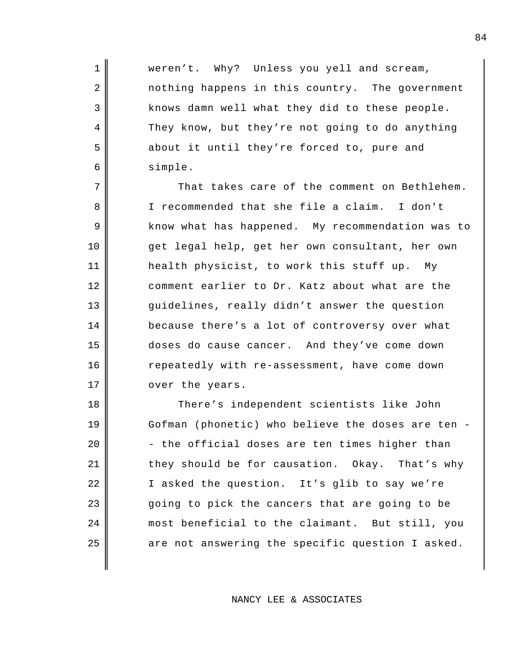1 Weren't. Why? Unless you yell and scream, 2 nothing happens in this country. The government 3 || knows damn well what they did to these people. 4 They know, but they're not going to do anything 5 about it until they're forced to, pure and 6 simple.

 $7 \parallel$  That takes care of the comment on Bethlehem. 8 I recommended that she file a claim. I don't 9 || know what has happened. My recommendation was to 10 get legal help, get her own consultant, her own 11 health physicist, to work this stuff up. My 12 comment earlier to Dr. Katz about what are the 13 guidelines, really didn't answer the question 14 because there's a lot of controversy over what 15 doses do cause cancer. And they've come down 16 | repeatedly with re-assessment, have come down 17 || over the years.

18 There's independent scientists like John Gofman (phonetic) who believe the doses are ten -  $\parallel$  - the official doses are ten times higher than 21 they should be for causation. Okay. That's why I asked the question. It's glib to say we're 23 going to pick the cancers that are going to be most beneficial to the claimant. But still, you are not answering the specific question I asked.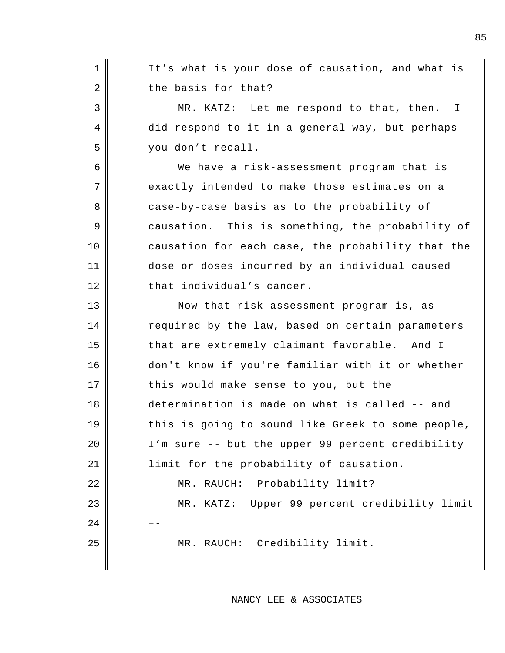1 || It's what is your dose of causation, and what is  $2 \parallel$  the basis for that? 3 MR. KATZ: Let me respond to that, then. I 4 did respond to it in a general way, but perhaps 5 you don't recall. 6 We have a risk-assessment program that is 7 exactly intended to make those estimates on a 8 case-by-case basis as to the probability of 9 causation. This is something, the probability of 10 causation for each case, the probability that the 11 dose or doses incurred by an individual caused 12 that individual's cancer. 13 Now that risk-assessment program is, as 14 Tequired by the law, based on certain parameters 15 that are extremely claimant favorable. And I 16 || don't know if you're familiar with it or whether 17 || this would make sense to you, but the 18 determination is made on what is called -- and 19 this is going to sound like Greek to some people, 20 | I'm sure -- but the upper 99 percent credibility 21 | limit for the probability of causation. 22 || MR. RAUCH: Probability limit? 23 MR. KATZ: Upper 99 percent credibility limit  $24$ 25 MR. RAUCH: Credibility limit.

NANCY LEE & ASSOCIATES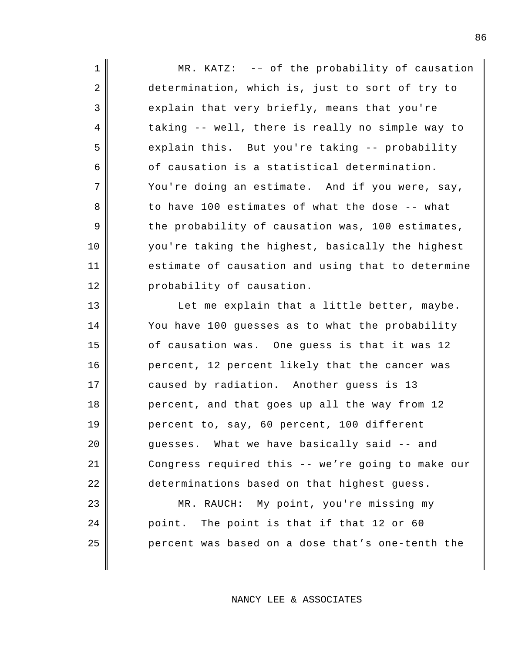1 || MR. KATZ: -- of the probability of causation 2 determination, which is, just to sort of try to 3 explain that very briefly, means that you're  $4 \parallel$  taking -- well, there is really no simple way to 5 sand sexplain this. But you're taking -- probability  $6 \parallel$  of causation is a statistical determination.  $7 \parallel$  You're doing an estimate. And if you were, say, 8 to have 100 estimates of what the dose -- what  $9 \parallel$  the probability of causation was, 100 estimates, 10 you're taking the highest, basically the highest 11 estimate of causation and using that to determine 12 probability of causation.

13 || Let me explain that a little better, maybe. 14 You have 100 guesses as to what the probability 15 of causation was. One quess is that it was 12 16 percent, 12 percent likely that the cancer was 17 caused by radiation. Another guess is 13 18 percent, and that goes up all the way from 12 19 percent to, say, 60 percent, 100 different 20 guesses. What we have basically said -- and 21 Congress required this -- we're going to make our 22 determinations based on that highest guess. 23 || MR. RAUCH: My point, you're missing my

24 point. The point is that if that 12 or 60  $25$  percent was based on a dose that's one-tenth the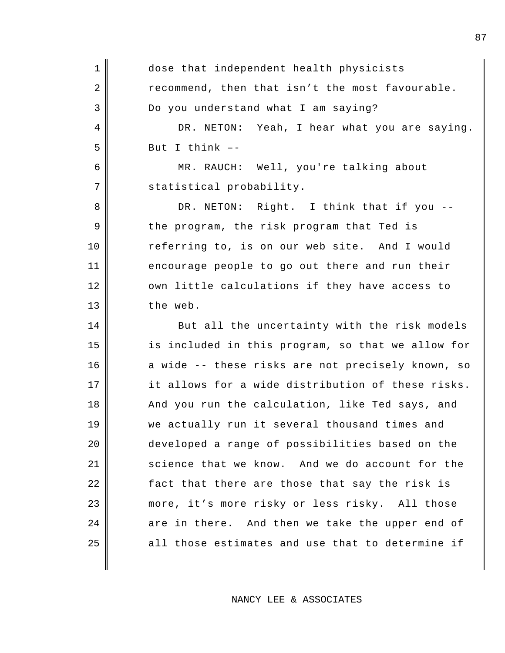| $\mathbf 1$ | dose that independent health physicists           |
|-------------|---------------------------------------------------|
| 2           | recommend, then that isn't the most favourable.   |
| 3           | Do you understand what I am saying?               |
| 4           | DR. NETON: Yeah, I hear what you are saying.      |
| 5           | But I think $-$ -                                 |
| 6           | MR. RAUCH: Well, you're talking about             |
| 7           | statistical probability.                          |
| 8           | DR. NETON: Right. I think that if you --          |
| 9           | the program, the risk program that Ted is         |
| $10 \,$     | referring to, is on our web site. And I would     |
| 11          | encourage people to go out there and run their    |
| 12          | own little calculations if they have access to    |
| 13          | the web.                                          |
| 14          | But all the uncertainty with the risk models      |
| 15          | is included in this program, so that we allow for |
| 16          | a wide -- these risks are not precisely known, so |
| 17          | it allows for a wide distribution of these risks. |
| 18          | And you run the calculation, like Ted says, and   |
| 19          | we actually run it several thousand times and     |
| 20          | developed a range of possibilities based on the   |
| 21          | science that we know. And we do account for the   |
| 22          | fact that there are those that say the risk is    |
| 23          | more, it's more risky or less risky. All those    |
| 24          | are in there. And then we take the upper end of   |
| 25          | all those estimates and use that to determine if  |
|             |                                                   |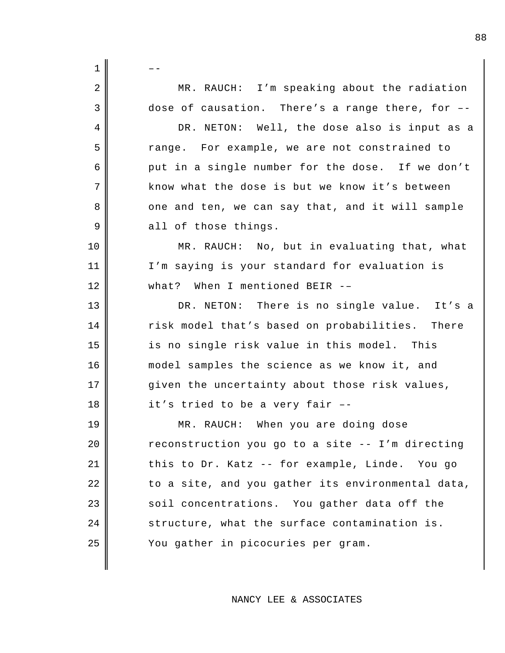| $\mathbf 1$ |                                                    |
|-------------|----------------------------------------------------|
| 2           | MR. RAUCH: I'm speaking about the radiation        |
| 3           | dose of causation. There's a range there, for --   |
| 4           | DR. NETON: Well, the dose also is input as a       |
| 5           | range. For example, we are not constrained to      |
| 6           | put in a single number for the dose. If we don't   |
| 7           | know what the dose is but we know it's between     |
| 8           | one and ten, we can say that, and it will sample   |
| 9           | all of those things.                               |
| 10          | MR. RAUCH: No, but in evaluating that, what        |
| 11          | I'm saying is your standard for evaluation is      |
| 12          | what? When I mentioned BEIR --                     |
| 13          | DR. NETON: There is no single value. It's a        |
| 14          | risk model that's based on probabilities.<br>There |
| 15          | is no single risk value in this model. This        |
| 16          | model samples the science as we know it, and       |
| 17          | given the uncertainty about those risk values,     |
| 18          | it's tried to be a very fair --                    |
| 19          | MR. RAUCH: When you are doing dose                 |
| 20          | reconstruction you go to a site -- I'm directing   |
| 21          | this to Dr. Katz -- for example, Linde. You go     |
| 22          | to a site, and you gather its environmental data,  |
| 23          | soil concentrations. You gather data off the       |
| 24          | structure, what the surface contamination is.      |
| 25          | You gather in picocuries per gram.                 |
|             |                                                    |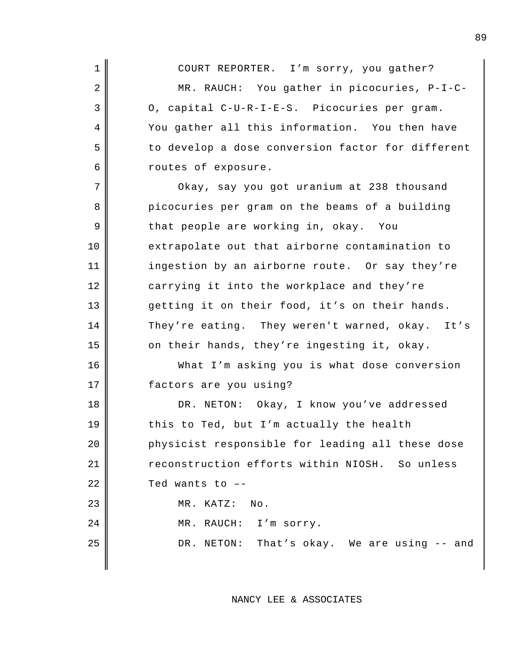1 COURT REPORTER. I'm sorry, you gather? 2 MR. RAUCH: You gather in picocuries, P-I-C- $3 \parallel$  0, capital C-U-R-I-E-S. Picocuries per gram. 4 You gather all this information. You then have 5 || to develop a dose conversion factor for different 6 coutes of exposure. 7 Okay, say you got uranium at 238 thousand 8 picocuries per gram on the beams of a building 9 that people are working in, okay. You 10 extrapolate out that airborne contamination to 11 | ingestion by an airborne route. Or say they're 12 carrying it into the workplace and they're 13 getting it on their food, it's on their hands. 14 They're eating. They weren't warned, okay. It's 15  $\parallel$  on their hands, they're ingesting it, okay. 16 What I'm asking you is what dose conversion 17 factors are you using? 18 || DR. NETON: Okay, I know you've addressed  $19 \parallel$  this to Ted, but I'm actually the health 20 **physicist responsible for leading all these dose** 21 reconstruction efforts within NIOSH. So unless  $22$  | Ted wants to  $-$ 23 || MR. KATZ: No. 24 | MR. RAUCH: I'm sorry.

25 DR. NETON: That's okay. We are using -- and

NANCY LEE & ASSOCIATES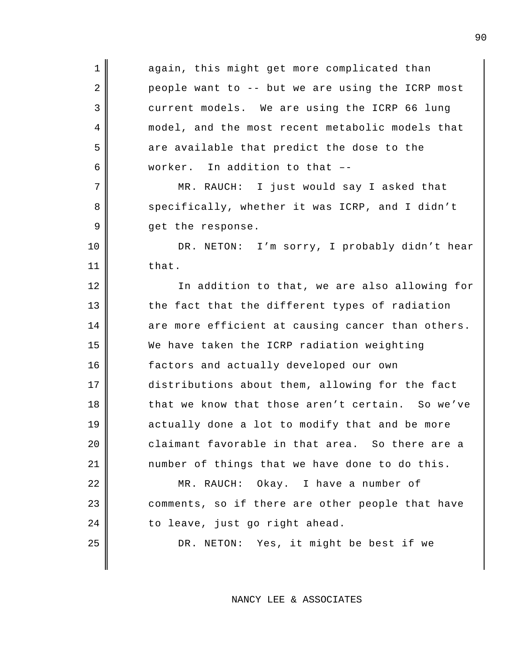1 again, this might get more complicated than  $2 \parallel$  people want to -- but we are using the ICRP most 3 current models. We are using the ICRP 66 lung 4 model, and the most recent metabolic models that 5 || are available that predict the dose to the 6 worker. In addition to that –- 7 MR. RAUCH: I just would say I asked that 8 specifically, whether it was ICRP, and I didn't 9 get the response. 10 || DR. NETON: I'm sorry, I probably didn't hear  $11 \parallel$  that. 12 || In addition to that, we are also allowing for 13 the fact that the different types of radiation  $14$  are more efficient at causing cancer than others. 15 We have taken the ICRP radiation weighting 16 factors and actually developed our own 17 distributions about them, allowing for the fact 18 that we know that those aren't certain. So we've 19 actually done a lot to modify that and be more 20 claimant favorable in that area. So there are a  $21$   $\parallel$  number of things that we have done to do this. 22 || MR. RAUCH: Okay. I have a number of 23 comments, so if there are other people that have  $24$  || to leave, just go right ahead. 25 || DR. NETON: Yes, it might be best if we

NANCY LEE & ASSOCIATES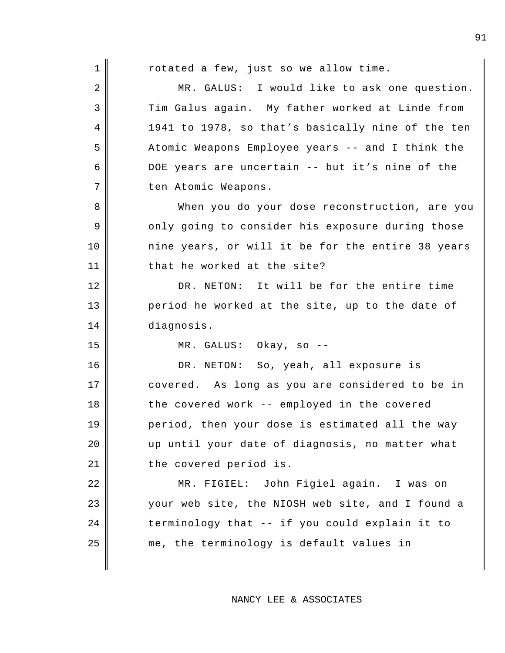$1 \parallel$  rotated a few, just so we allow time. 2 MR. GALUS: I would like to ask one question. 3 Tim Galus again. My father worked at Linde from 4 1941 to 1978, so that's basically nine of the ten 5 Atomic Weapons Employee years -- and I think the 6 DOE years are uncertain -- but it's nine of the 7 || ten Atomic Weapons. 8 When you do your dose reconstruction, are you 9 only going to consider his exposure during those 10 nine years, or will it be for the entire 38 years 11 that he worked at the site? 12 DR. NETON: It will be for the entire time 13 period he worked at the site, up to the date of 14 diagnosis. 15 MR. GALUS: Okay, so -- 16 || DR. NETON: So, yeah, all exposure is 17 covered. As long as you are considered to be in 18 the covered work -- employed in the covered 19 period, then your dose is estimated all the way 20 up until your date of diagnosis, no matter what 21 | the covered period is. 22 MR. FIGIEL: John Figiel again. I was on 23 your web site, the NIOSH web site, and I found a  $24$   $\parallel$  terminology that -- if you could explain it to  $25$  me, the terminology is default values in

NANCY LEE & ASSOCIATES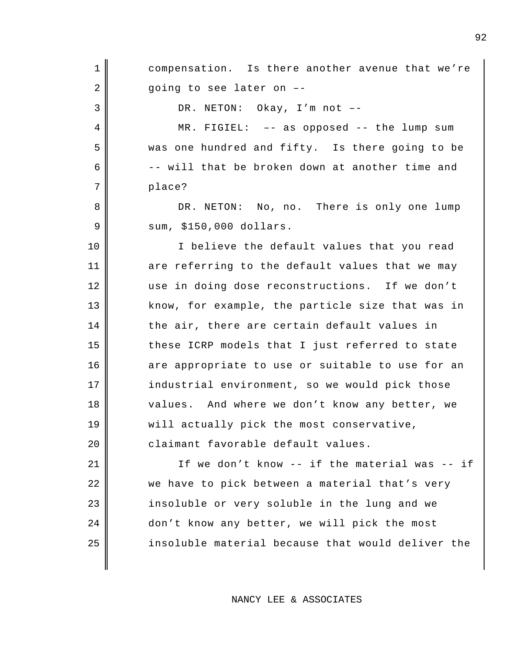1 compensation. Is there another avenue that we're  $2 \parallel$  going to see later on -- $3 \parallel$  DR. NETON: Okay, I'm not --4 MR. FIGIEL: –- as opposed -- the lump sum 5 was one hundred and fifty. Is there going to be  $6 \parallel$  -- will that be broken down at another time and 7 || place? 8 DR. NETON: No, no. There is only one lump 9 | sum, \$150,000 dollars. 10 || I believe the default values that you read 11 are referring to the default values that we may 12 use in doing dose reconstructions. If we don't 13 know, for example, the particle size that was in  $14$  the air, there are certain default values in 15 these ICRP models that I just referred to state 16 are appropriate to use or suitable to use for an 17 || industrial environment, so we would pick those 18 || values. And where we don't know any better, we 19 || will actually pick the most conservative, 20 claimant favorable default values. 21  $\parallel$  1f we don't know -- if the material was -- if 22 || we have to pick between a material that's very 23 | insoluble or very soluble in the lung and we 24 don't know any better, we will pick the most 25 || insoluble material because that would deliver the

NANCY LEE & ASSOCIATES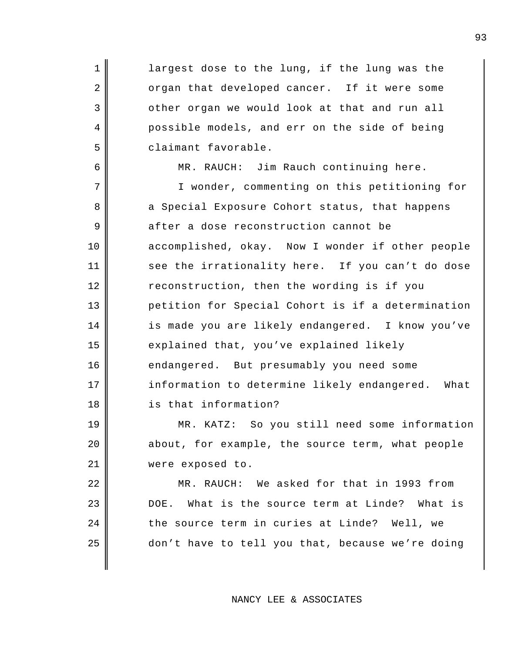1 largest dose to the lung, if the lung was the 2 organ that developed cancer. If it were some 3 other organ we would look at that and run all 4 possible models, and err on the side of being 5 claimant favorable.

6 MR. RAUCH: Jim Rauch continuing here. 7 || T wonder, commenting on this petitioning for 8 a Special Exposure Cohort status, that happens 9 after a dose reconstruction cannot be 10 accomplished, okay. Now I wonder if other people 11 see the irrationality here. If you can't do dose 12 reconstruction, then the wording is if you 13 petition for Special Cohort is if a determination 14 is made you are likely endangered. I know you've 15  $\parallel$  explained that, you've explained likely 16 endangered. But presumably you need some 17 | information to determine likely endangered. What 18 is that information?

19 MR. KATZ: So you still need some information  $20$  | about, for example, the source term, what people 21 | were exposed to.

22 || MR. RAUCH: We asked for that in 1993 from DOE. What is the source term at Linde? What is  $\parallel$  the source term in curies at Linde? Well, we || don't have to tell you that, because we're doing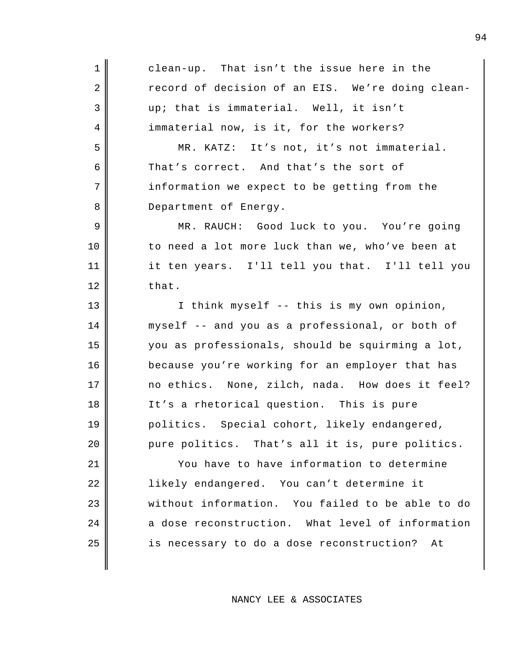| $\mathbf 1$ | clean-up. That isn't the issue here in the       |
|-------------|--------------------------------------------------|
| 2           | record of decision of an EIS. We're doing clean- |
| 3           | up; that is immaterial. Well, it isn't           |
| 4           | immaterial now, is it, for the workers?          |
| 5           | MR. KATZ: It's not, it's not immaterial.         |
| 6           | That's correct. And that's the sort of           |
| 7           | information we expect to be getting from the     |
| 8           | Department of Energy.                            |
| 9           | MR. RAUCH: Good luck to you. You're going        |
| 10          | to need a lot more luck than we, who've been at  |
| 11          | it ten years. I'll tell you that. I'll tell you  |
| 12          | that.                                            |
| 13          | I think myself -- this is my own opinion,        |
| 14          | myself -- and you as a professional, or both of  |
| 15          | you as professionals, should be squirming a lot, |
| 16          | because you're working for an employer that has  |
| 17          | no ethics. None, zilch, nada. How does it feel?  |
| 18          | It's a rhetorical question. This is pure         |
| 19          | politics. Special cohort, likely endangered,     |
| 20          | pure politics. That's all it is, pure politics.  |
| 21          | You have to have information to determine        |
| 22          | likely endangered. You can't determine it        |
| 23          | without information. You failed to be able to do |
| 24          | a dose reconstruction. What level of information |
| 25          | is necessary to do a dose reconstruction?<br>Αt  |
|             |                                                  |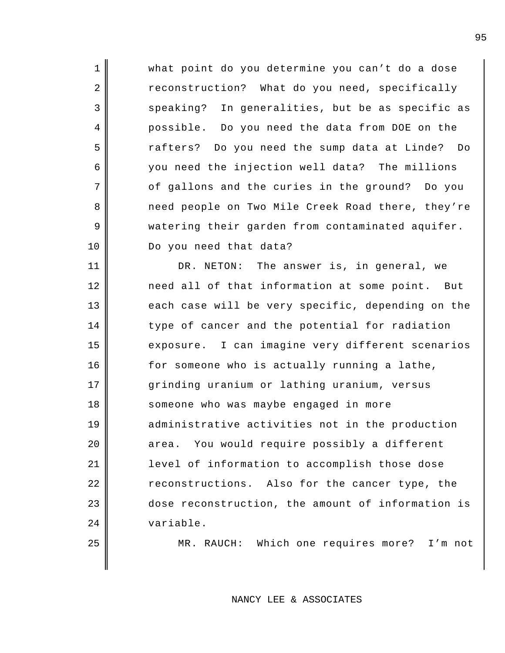1 || what point do you determine you can't do a dose 2 reconstruction? What do you need, specifically 3 speaking? In generalities, but be as specific as 4 possible. Do you need the data from DOE on the 5 rafters? Do you need the sump data at Linde? Do 6 you need the injection well data? The millions 7 || of gallons and the curies in the ground? Do you 8 need people on Two Mile Creek Road there, they're 9 watering their garden from contaminated aquifer. 10 Do you need that data? 11 || DR. NETON: The answer is, in general, we 12 need all of that information at some point. But 13 each case will be very specific, depending on the 14 type of cancer and the potential for radiation 15 exposure. I can imagine very different scenarios 16 for someone who is actually running a lathe, 17 grinding uranium or lathing uranium, versus 18 Someone who was maybe engaged in more 19 administrative activities not in the production 20 area. You would require possibly a different 21 level of information to accomplish those dose 22 || reconstructions. Also for the cancer type, the 23 dose reconstruction, the amount of information is 24 variable.

25 || MR. RAUCH: Which one requires more? I'm not

NANCY LEE & ASSOCIATES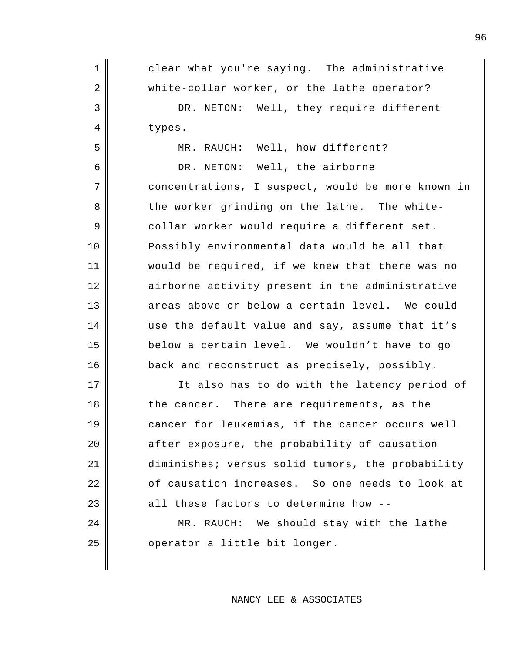1 || clear what you're saying. The administrative 2 || white-collar worker, or the lathe operator? 3 DR. NETON: Well, they require different 4 || types. 5 MR. RAUCH: Well, how different? 6 || DR. NETON: Well, the airborne 7 concentrations, I suspect, would be more known in 8 the worker grinding on the lathe. The white-9 collar worker would require a different set. 10 Possibly environmental data would be all that 11 would be required, if we knew that there was no 12 airborne activity present in the administrative 13 areas above or below a certain level. We could 14 use the default value and say, assume that it's 15 below a certain level. We wouldn't have to go 16 back and reconstruct as precisely, possibly. 17 || It also has to do with the latency period of

18 the cancer. There are requirements, as the cancer for leukemias, if the cancer occurs well | after exposure, the probability of causation diminishes; versus solid tumors, the probability 22 | cf causation increases. So one needs to look at all these factors to determine how --

24 | MR. RAUCH: We should stay with the lathe  $25$  | operator a little bit longer.

NANCY LEE & ASSOCIATES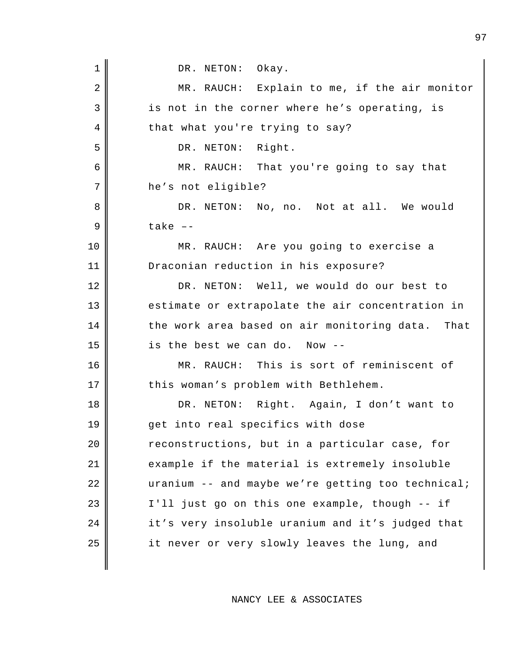1 DR. NETON: Okay. 2 MR. RAUCH: Explain to me, if the air monitor 3 is not in the corner where he's operating, is 4 that what you're trying to say? 5 DR. NETON: Right. 6 MR. RAUCH: That you're going to say that 7 he's not eligible? 8 DR. NETON: No, no. Not at all. We would  $9 \parallel$  take  $-$ 10 MR. RAUCH: Are you going to exercise a 11 Draconian reduction in his exposure? 12 DR. NETON: Well, we would do our best to 13 estimate or extrapolate the air concentration in  $14$  the work area based on air monitoring data. That  $15$   $\parallel$  is the best we can do. Now --16 MR. RAUCH: This is sort of reminiscent of 17 | this woman's problem with Bethlehem. 18 DR. NETON: Right. Again, I don't want to 19 get into real specifics with dose 20 | reconstructions, but in a particular case, for 21 example if the material is extremely insoluble  $22$   $\parallel$  uranium -- and maybe we're getting too technical;  $23$   $\parallel$  I'll just go on this one example, though -- if 24 | it's very insoluble uranium and it's judged that  $25$  | it never or very slowly leaves the lung, and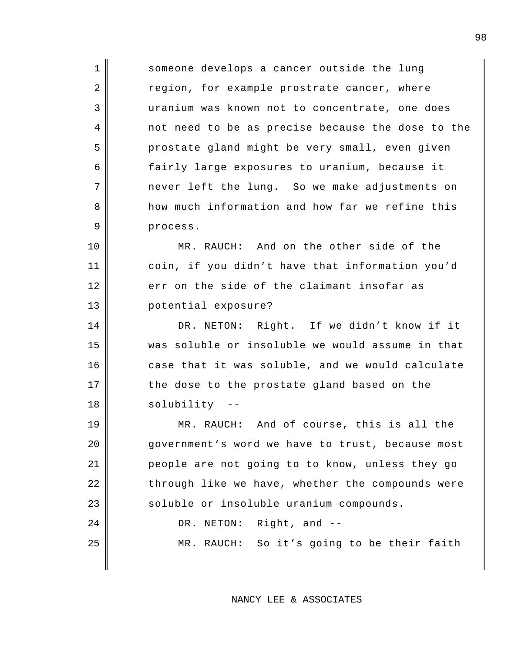1 Someone develops a cancer outside the lung 2 region, for example prostrate cancer, where 3 uranium was known not to concentrate, one does 4 not need to be as precise because the dose to the 5 prostate gland might be very small, even given 6 fairly large exposures to uranium, because it  $7$  || mever left the lung. So we make adjustments on 8 how much information and how far we refine this 9 process.

10 || MR. RAUCH: And on the other side of the 11 coin, if you didn't have that information you'd 12 err on the side of the claimant insofar as 13 potential exposure?

14 DR. NETON: Right. If we didn't know if it 15 was soluble or insoluble we would assume in that 16 case that it was soluble, and we would calculate 17 || the dose to the prostate gland based on the 18 || solubility --

19 MR. RAUCH: And of course, this is all the 20 | government's word we have to trust, because most 21 people are not going to to know, unless they go 22 | through like we have, whether the compounds were 23 soluble or insoluble uranium compounds. 24 || DR. NETON: Right, and --

25 || MR. RAUCH: So it's going to be their faith

NANCY LEE & ASSOCIATES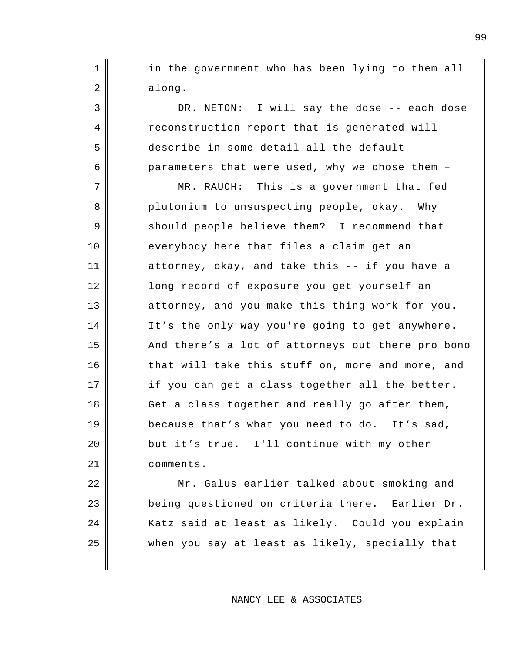1 || in the government who has been lying to them all  $2 \parallel$  along.

3 DR. NETON: I will say the dose -- each dose 4 reconstruction report that is generated will 5 describe in some detail all the default 6 parameters that were used, why we chose them -

7 || MR. RAUCH: This is a government that fed 8 plutonium to unsuspecting people, okay. Why 9 should people believe them? I recommend that 10 everybody here that files a claim get an 11 attorney, okay, and take this -- if you have a 12 long record of exposure you get yourself an 13 attorney, and you make this thing work for you. 14 | It's the only way you're going to get anywhere. 15 And there's a lot of attorneys out there pro bono 16 that will take this stuff on, more and more, and 17 || if you can get a class together all the better.  $18$   $\parallel$  Get a class together and really go after them, 19 because that's what you need to do. It's sad, 20 **but it's true.** I'll continue with my other 21 comments.

22 || Mr. Galus earlier talked about smoking and 23 being questioned on criteria there. Earlier Dr. 24 | Katz said at least as likely. Could you explain  $25$  when you say at least as likely, specially that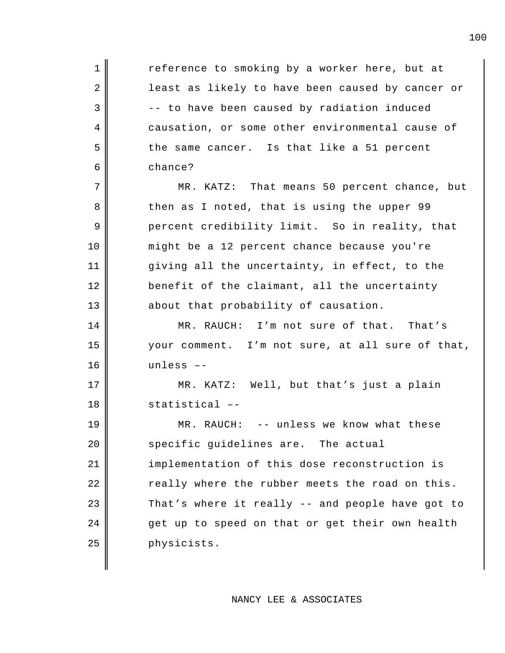1 reference to smoking by a worker here, but at 2 least as likely to have been caused by cancer or  $3 \parallel$  -- to have been caused by radiation induced 4 causation, or some other environmental cause of 5 the same cancer. Is that like a 51 percent 6 chance? 7 || MR. KATZ: That means 50 percent chance, but 8 then as I noted, that is using the upper 99 9 percent credibility limit. So in reality, that 10 might be a 12 percent chance because you're 11 giving all the uncertainty, in effect, to the 12 benefit of the claimant, all the uncertainty 13 about that probability of causation. 14 MR. RAUCH: I'm not sure of that. That's 15 your comment. I'm not sure, at all sure of that, 16 unless –-

17 || MR. KATZ: Well, but that's just a plain 18 statistical –-

19 MR. RAUCH: -- unless we know what these 20 specific guidelines are. The actual 21 | implementation of this dose reconstruction is  $22$   $\parallel$  really where the rubber meets the road on this.  $23$   $\parallel$  That's where it really -- and people have got to 24 get up to speed on that or get their own health 25 physicists.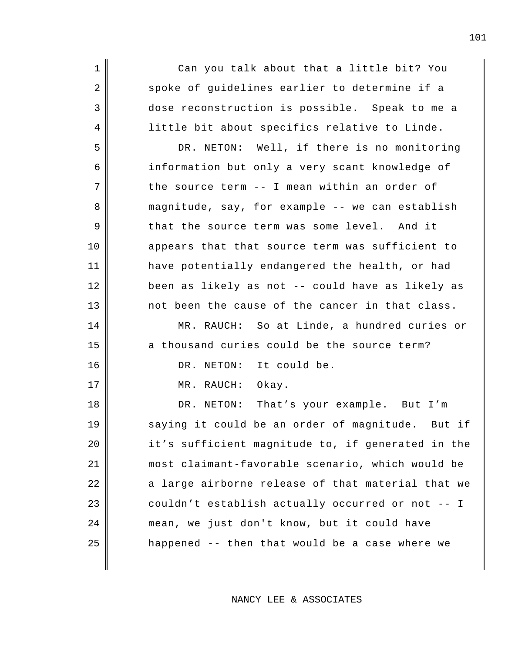1 Can you talk about that a little bit? You 2 spoke of guidelines earlier to determine if a 3 dose reconstruction is possible. Speak to me a 4 | little bit about specifics relative to Linde.

5 DR. NETON: Well, if there is no monitoring 6 information but only a very scant knowledge of  $7$  the source term -- I mean within an order of 8 magnitude, say, for example -- we can establish 9 that the source term was some level. And it 10 appears that that source term was sufficient to 11 have potentially endangered the health, or had 12 been as likely as not -- could have as likely as 13 not been the cause of the cancer in that class.

14 MR. RAUCH: So at Linde, a hundred curies or  $15$  a thousand curies could be the source term?

16 || DR. NETON: It could be.

17 || MR. RAUCH: Okay.

18 || DR. NETON: That's your example. But I'm 19 saying it could be an order of magnitude. But if  $20$  | it's sufficient magnitude to, if generated in the 21 most claimant-favorable scenario, which would be 22 || a large airborne release of that material that we  $23$  couldn't establish actually occurred or not -- I 24 || mean, we just don't know, but it could have  $25$  || happened -- then that would be a case where we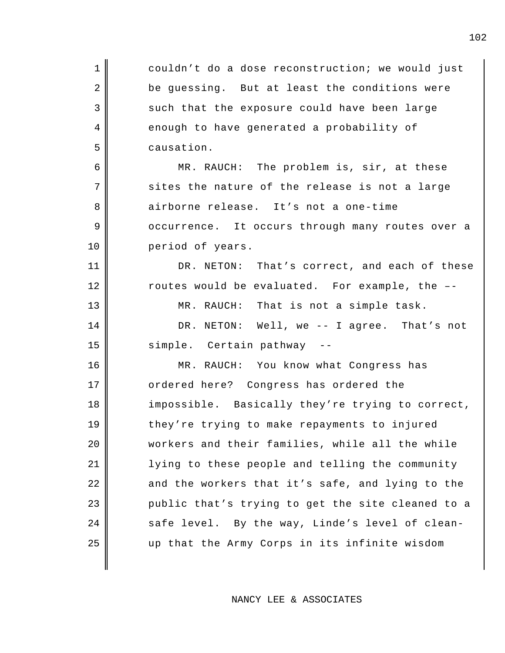| $\mathbf 1$    | couldn't do a dose reconstruction; we would just  |
|----------------|---------------------------------------------------|
| $\overline{2}$ | be guessing. But at least the conditions were     |
| $\mathfrak{Z}$ | such that the exposure could have been large      |
| 4              | enough to have generated a probability of         |
| 5              | causation.                                        |
| 6              | MR. RAUCH: The problem is, sir, at these          |
| $\overline{7}$ | sites the nature of the release is not a large    |
| 8              | airborne release. It's not a one-time             |
| $\mathsf 9$    | occurrence. It occurs through many routes over a  |
| 10             | period of years.                                  |
| 11             | DR. NETON: That's correct, and each of these      |
| 12             | routes would be evaluated. For example, the --    |
| 13             | MR. RAUCH: That is not a simple task.             |
| 14             | DR. NETON: Well, we -- I agree. That's not        |
| 15             | simple. Certain pathway --                        |
| 16             | MR. RAUCH: You know what Congress has             |
| 17             | ordered here? Congress has ordered the            |
| 18             | impossible. Basically they're trying to correct,  |
| 19             | they're trying to make repayments to injured      |
| 20             | workers and their families, while all the while   |
| 21             | lying to these people and telling the community   |
| 22             | and the workers that it's safe, and lying to the  |
| 23             | public that's trying to get the site cleaned to a |
| 24             | safe level. By the way, Linde's level of clean-   |
| 25             | up that the Army Corps in its infinite wisdom     |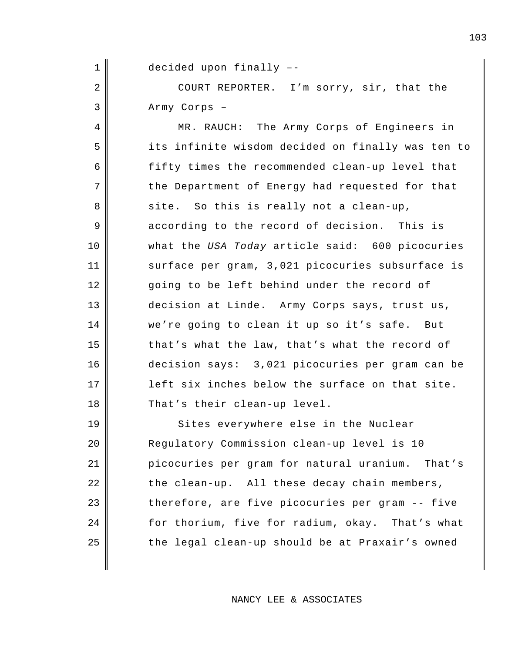1 || decided upon finally --

2 COURT REPORTER. I'm sorry, sir, that the 3 Army Corps –

4 || MR. RAUCH: The Army Corps of Engineers in 5 its infinite wisdom decided on finally was ten to 6 fifty times the recommended clean-up level that  $7$   $\parallel$  the Department of Energy had requested for that 8 site. So this is really not a clean-up, 9 according to the record of decision. This is 10 what the *USA Today* article said: 600 picocuries 11 || surface per gram, 3,021 picocuries subsurface is 12 going to be left behind under the record of 13 decision at Linde. Army Corps says, trust us, 14 we're going to clean it up so it's safe. But  $15$  that's what the law, that's what the record of 16 decision says: 3,021 picocuries per gram can be 17 | left six inches below the surface on that site. 18 That's their clean-up level.

19 Sites everywhere else in the Nuclear 20 Regulatory Commission clean-up level is 10 21 picocuries per gram for natural uranium. That's  $22$   $\parallel$  the clean-up. All these decay chain members,  $23$  therefore, are five picocuries per gram -- five 24 for thorium, five for radium, okay. That's what  $25$   $\parallel$  the legal clean-up should be at Praxair's owned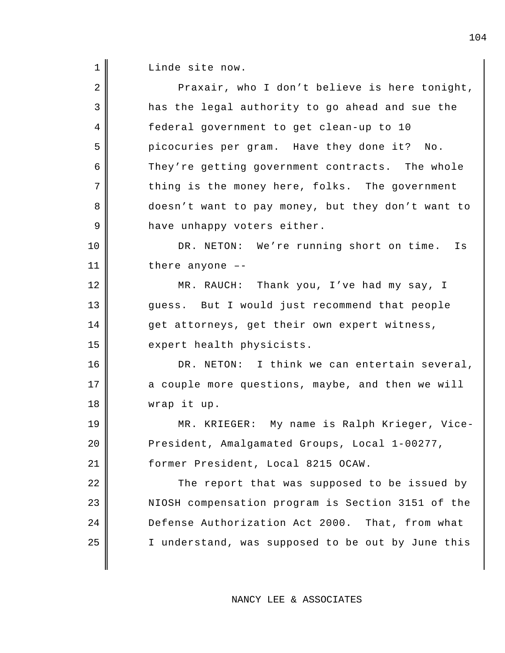1 Linde site now.

| $\overline{2}$ | Praxair, who I don't believe is here tonight,     |
|----------------|---------------------------------------------------|
| 3              | has the legal authority to go ahead and sue the   |
| 4              | federal government to get clean-up to 10          |
| 5              | picocuries per gram. Have they done it? No.       |
| 6              | They're getting government contracts. The whole   |
| 7              | thing is the money here, folks. The government    |
| 8              | doesn't want to pay money, but they don't want to |
| 9              | have unhappy voters either.                       |
| 10             | DR. NETON: We're running short on time. Is        |
| 11             | there anyone $-$ -                                |
| 12             | MR. RAUCH: Thank you, I've had my say, I          |
| 13             | guess. But I would just recommend that people     |
| 14             | get attorneys, get their own expert witness,      |
| 15             | expert health physicists.                         |
| 16             | DR. NETON: I think we can entertain several,      |
| 17             | a couple more questions, maybe, and then we will  |
| 18             | wrap it up.                                       |
| 19             | MR. KRIEGER: My name is Ralph Krieger, Vice-      |
| 20             | President, Amalgamated Groups, Local 1-00277,     |
| 21             | former President, Local 8215 OCAW.                |
| 22             | The report that was supposed to be issued by      |
| 23             | NIOSH compensation program is Section 3151 of the |
| 24             | Defense Authorization Act 2000. That, from what   |
| 25             | I understand, was supposed to be out by June this |
|                |                                                   |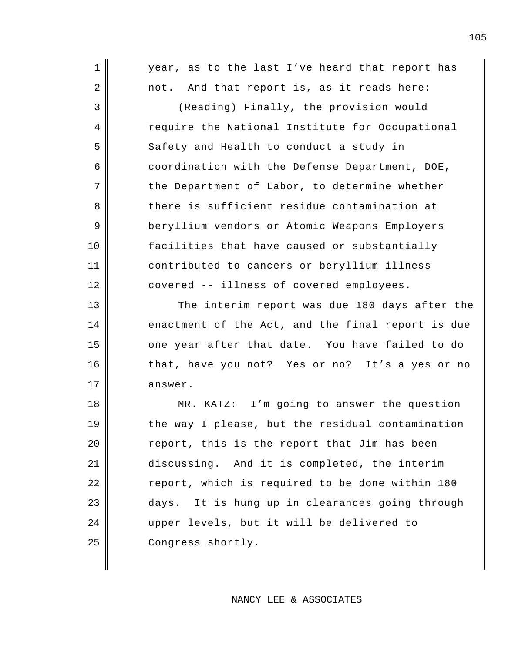| $\mathbf 1$    | year, as to the last I've heard that report has   |
|----------------|---------------------------------------------------|
| 2              | not. And that report is, as it reads here:        |
| 3              | (Reading) Finally, the provision would            |
| $\overline{4}$ | require the National Institute for Occupational   |
| 5              | Safety and Health to conduct a study in           |
| 6              | coordination with the Defense Department, DOE,    |
| 7              | the Department of Labor, to determine whether     |
| 8              | there is sufficient residue contamination at      |
| 9              | beryllium vendors or Atomic Weapons Employers     |
| 10             | facilities that have caused or substantially      |
| 11             | contributed to cancers or beryllium illness       |
| 12             | covered -- illness of covered employees.          |
| 13             | The interim report was due 180 days after the     |
| 14             | enactment of the Act, and the final report is due |
| 15             | one year after that date. You have failed to do   |
| 16             | that, have you not? Yes or no? It's a yes or no   |
| 17             | answer.                                           |
| 18             | MR. KATZ: I'm going to answer the question        |
| 19             | the way I please, but the residual contamination  |
| 20             | report, this is the report that Jim has been      |
| 21             | discussing. And it is completed, the interim      |
| 22             | report, which is required to be done within 180   |
| 23             | days. It is hung up in clearances going through   |
| 24             | upper levels, but it will be delivered to         |
| 25             | Congress shortly.                                 |
|                |                                                   |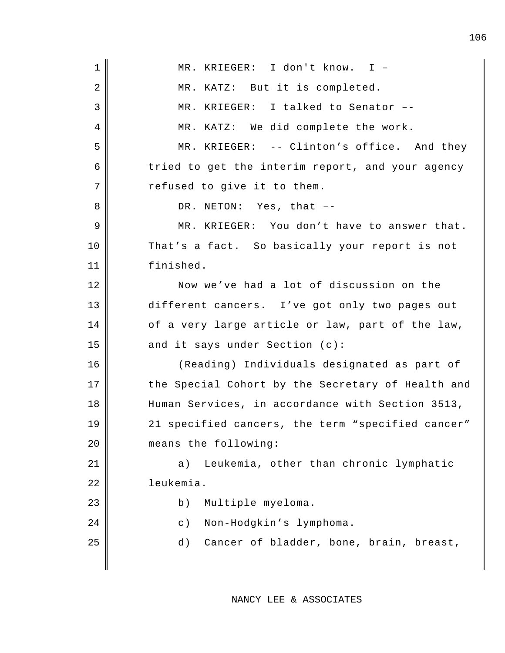| $\mathbf 1$    | MR. KRIEGER: I don't know. I -                    |
|----------------|---------------------------------------------------|
| 2              | MR. KATZ: But it is completed.                    |
| $\mathfrak{Z}$ | MR. KRIEGER: I talked to Senator --               |
| 4              | MR. KATZ: We did complete the work.               |
| 5              | MR. KRIEGER: -- Clinton's office. And they        |
| 6              | tried to get the interim report, and your agency  |
| 7              | refused to give it to them.                       |
| 8              | DR. NETON: Yes, that --                           |
| 9              | MR. KRIEGER: You don't have to answer that.       |
| 10             | That's a fact. So basically your report is not    |
|                |                                                   |
| 11             | finished.                                         |
| 12             | Now we've had a lot of discussion on the          |
| 13             | different cancers. I've got only two pages out    |
| 14             | of a very large article or law, part of the law,  |
| 15             | and it says under Section (c):                    |
| 16             | (Reading) Individuals designated as part of       |
| 17             | the Special Cohort by the Secretary of Health and |
| 18             | Human Services, in accordance with Section 3513,  |
| 19             | 21 specified cancers, the term "specified cancer" |
| 20             | means the following:                              |
| 21             | Leukemia, other than chronic lymphatic<br>a)      |
| 22             | leukemia.                                         |
| 23             | Multiple myeloma.<br>b)                           |
| 24             | Non-Hodgkin's lymphoma.<br>$\circ$ )              |
| 25             | Cancer of bladder, bone, brain, breast,<br>d)     |
|                |                                                   |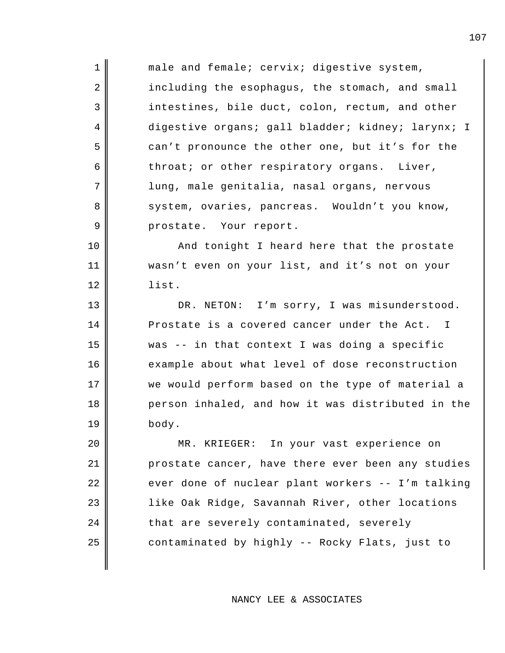| $\mathbf 1$    | male and female; cervix; digestive system,        |
|----------------|---------------------------------------------------|
| 2              | including the esophagus, the stomach, and small   |
| 3              | intestines, bile duct, colon, rectum, and other   |
| 4              | digestive organs; gall bladder; kidney; larynx; I |
| 5              | can't pronounce the other one, but it's for the   |
| 6              | throat; or other respiratory organs. Liver,       |
| 7              | lung, male genitalia, nasal organs, nervous       |
| 8              | system, ovaries, pancreas. Wouldn't you know,     |
| $\overline{9}$ | prostate. Your report.                            |
| 10             | And tonight I heard here that the prostate        |
| 11             | wasn't even on your list, and it's not on your    |
| 12             | list.                                             |
| 13             | DR. NETON: I'm sorry, I was misunderstood.        |
| 14             | Prostate is a covered cancer under the Act. I     |
| 15             | was -- in that context I was doing a specific     |
| 16             | example about what level of dose reconstruction   |
| 17             | we would perform based on the type of material a  |
| 18             | person inhaled, and how it was distributed in the |
| 19             | body.                                             |
| 20             | MR. KRIEGER: In your vast experience on           |
| 21             | prostate cancer, have there ever been any studies |
| 22             | ever done of nuclear plant workers -- I'm talking |
| 23             | like Oak Ridge, Savannah River, other locations   |
| 24             | that are severely contaminated, severely          |
| 25             | contaminated by highly -- Rocky Flats, just to    |
|                |                                                   |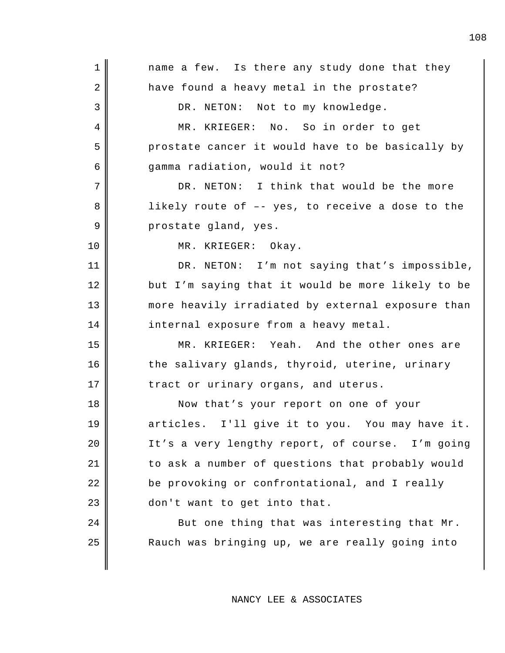| $\mathbf 1$    | name a few. Is there any study done that they     |
|----------------|---------------------------------------------------|
| 2              | have found a heavy metal in the prostate?         |
| 3              | DR. NETON: Not to my knowledge.                   |
| $\overline{4}$ | MR. KRIEGER: No. So in order to get               |
| 5              | prostate cancer it would have to be basically by  |
| 6              | gamma radiation, would it not?                    |
| 7              | DR. NETON: I think that would be the more         |
| 8              | likely route of -- yes, to receive a dose to the  |
| 9              | prostate gland, yes.                              |
| 10             | MR. KRIEGER: Okay.                                |
| 11             | DR. NETON: I'm not saying that's impossible,      |
| 12             | but I'm saying that it would be more likely to be |
| 13             | more heavily irradiated by external exposure than |
| 14             | internal exposure from a heavy metal.             |
| 15             | MR. KRIEGER: Yeah. And the other ones are         |
| 16             | the salivary glands, thyroid, uterine, urinary    |
| 17             | tract or urinary organs, and uterus.              |
| 18             | Now that's your report on one of your             |
| 19             | articles. I'll give it to you. You may have it.   |
| 20             | It's a very lengthy report, of course. I'm going  |
| 21             | to ask a number of questions that probably would  |
| 22             | be provoking or confrontational, and I really     |
| 23             | don't want to get into that.                      |
| 24             | But one thing that was interesting that Mr.       |
| 25             | Rauch was bringing up, we are really going into   |
|                |                                                   |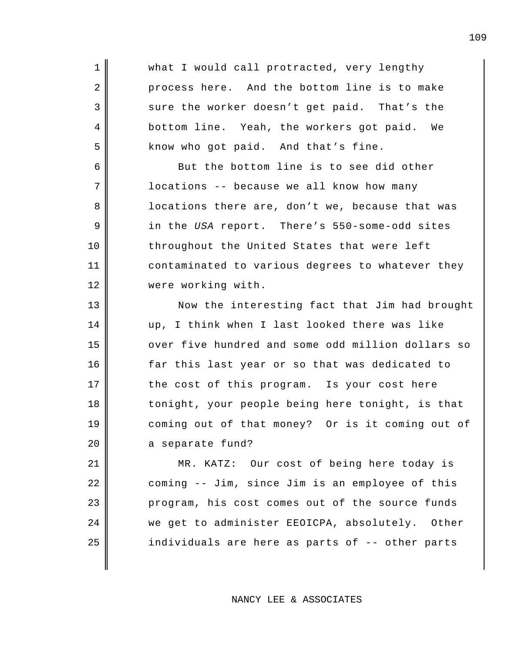1 what I would call protracted, very lengthy 2 process here. And the bottom line is to make 3 sure the worker doesn't get paid. That's the 4 bottom line. Yeah, the workers got paid. We  $5$  know who got paid. And that's fine. 6 But the bottom line is to see did other 7 | locations -- because we all know how many 8 locations there are, don't we, because that was 9 in the *USA* report. There's 550-some-odd sites 10 throughout the United States that were left 11 contaminated to various degrees to whatever they 12 | were working with. 13 || Now the interesting fact that Jim had brought 14 up, I think when I last looked there was like 15 | over five hundred and some odd million dollars so 16 far this last year or so that was dedicated to 17 || the cost of this program. Is your cost here 18 || tonight, your people being here tonight, is that 19 coming out of that money? Or is it coming out of 20 a separate fund? 21 MR. KATZ: Our cost of being here today is 22 | coming -- Jim, since Jim is an employee of this 23 | program, his cost comes out of the source funds 24 we get to administer EEOICPA, absolutely. Other 25 individuals are here as parts of -- other parts

NANCY LEE & ASSOCIATES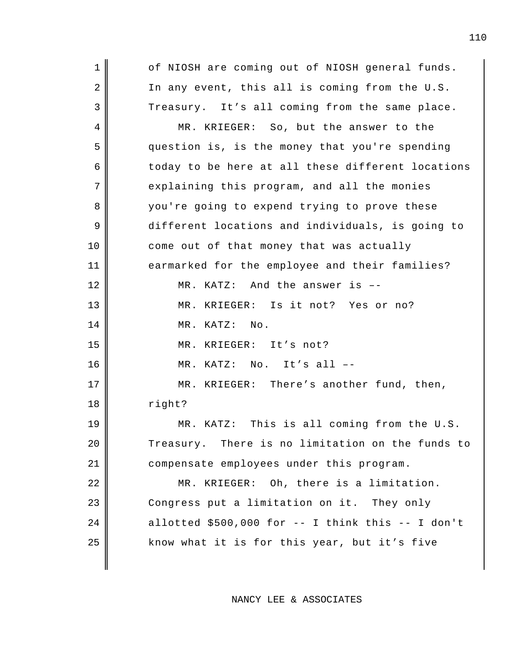1 || of NIOSH are coming out of NIOSH general funds.  $2 \parallel$  In any event, this all is coming from the U.S. 3 Treasury. It's all coming from the same place. 4 MR. KRIEGER: So, but the answer to the 5 question is, is the money that you're spending  $6 \parallel$  today to be here at all these different locations  $7$  explaining this program, and all the monies 8 you're going to expend trying to prove these 9 different locations and individuals, is going to 10 come out of that money that was actually 11 earmarked for the employee and their families? 12 MR. KATZ: And the answer is --13 MR. KRIEGER: Is it not? Yes or no? 14 || MR. KATZ: No. 15 || MR. KRIEGER: It's not?  $16$  || MR. KATZ: No. It's all  $-$ 17 || MR. KRIEGER: There's another fund, then, 18 right? 19 MR. KATZ: This is all coming from the U.S. 20 Treasury. There is no limitation on the funds to 21 compensate employees under this program. 22 || MR. KRIEGER: Oh, there is a limitation. 23 Congress put a limitation on it. They only  $24$  || allotted \$500,000 for -- I think this -- I don't 25 || know what it is for this year, but it's five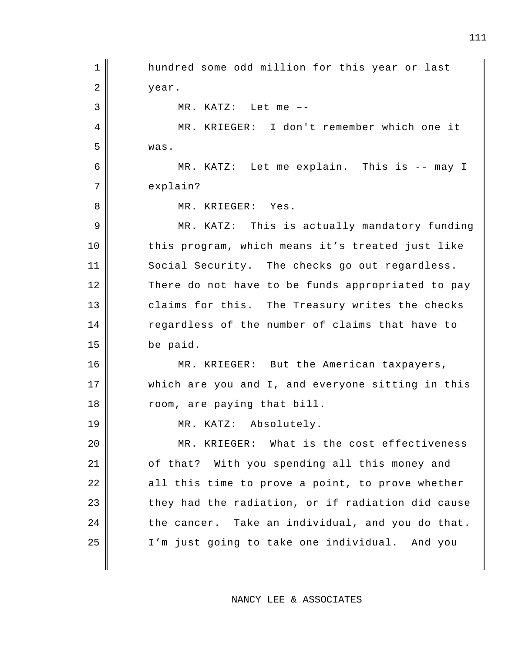1 || hundred some odd million for this year or last 2 year. 3 MR. KATZ: Let me –- 4 MR. KRIEGER: I don't remember which one it 5 was. 6 MR. KATZ: Let me explain. This is -- may I 7 explain? 8 || MR. KRIEGER: Yes. 9 || MR. KATZ: This is actually mandatory funding 10 || this program, which means it's treated just like 11 Social Security. The checks go out regardless. 12 There do not have to be funds appropriated to pay 13 claims for this. The Treasury writes the checks 14 regardless of the number of claims that have to 15 be paid. 16 || MR. KRIEGER: But the American taxpayers, 17 which are you and I, and everyone sitting in this 18 || room, are paying that bill. 19 MR. KATZ: Absolutely. 20 MR. KRIEGER: What is the cost effectiveness 21 || of that? With you spending all this money and 22 || all this time to prove a point, to prove whether  $23$  they had the radiation, or if radiation did cause  $24$  the cancer. Take an individual, and you do that. 25 || I'm just going to take one individual. And you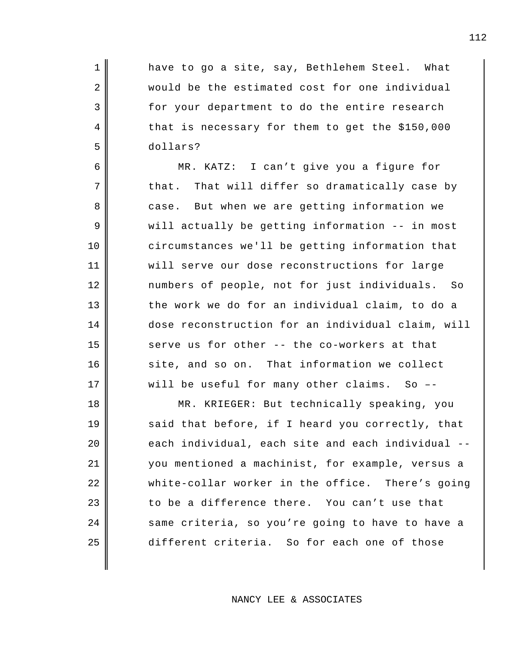1 || have to go a site, say, Bethlehem Steel. What 2 would be the estimated cost for one individual 3 for your department to do the entire research 4 that is necessary for them to get the \$150,000 5 dollars?

6 MR. KATZ: I can't give you a figure for  $7 \parallel$  that. That will differ so dramatically case by 8 case. But when we are getting information we 9 || will actually be getting information -- in most 10 circumstances we'll be getting information that 11 will serve our dose reconstructions for large 12 numbers of people, not for just individuals. So  $13$  the work we do for an individual claim, to do a 14 dose reconstruction for an individual claim, will 15 serve us for other  $-$ - the co-workers at that 16 site, and so on. That information we collect 17 || will be useful for many other claims. So --

18 || MR. KRIEGER: But technically speaking, you 19 said that before, if I heard you correctly, that 20 each individual, each site and each individual --21 you mentioned a machinist, for example, versus a 22 white-collar worker in the office. There's going  $23$   $\parallel$  to be a difference there. You can't use that 24 same criteria, so you're going to have to have a 25 different criteria. So for each one of those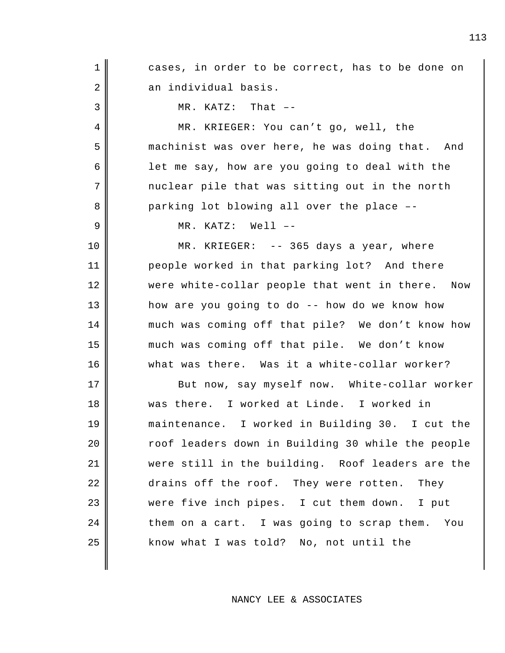1 || cases, in order to be correct, has to be done on 2 an individual basis.  $3 \parallel$  MR. KATZ: That  $-$ 4 MR. KRIEGER: You can't go, well, the 5 machinist was over here, he was doing that. And 6 allot me say, how are you going to deal with the  $7$   $\parallel$  nuclear pile that was sitting out in the north 8 parking lot blowing all over the place --9 MR. KATZ: Well –- 10 NR. KRIEGER: -- 365 days a year, where 11 people worked in that parking lot? And there 12 || were white-collar people that went in there. Now 13 how are you going to do -- how do we know how 14 much was coming off that pile? We don't know how 15 much was coming off that pile. We don't know 16 what was there. Was it a white-collar worker? 17 || But now, say myself now. White-collar worker 18 was there. I worked at Linde. I worked in 19 maintenance. I worked in Building 30. I cut the 20 | Toof leaders down in Building 30 while the people 21 were still in the building. Roof leaders are the 22 drains off the roof. They were rotten. They 23 were five inch pipes. I cut them down. I put  $24$   $\parallel$  them on a cart. I was going to scrap them. You 25 || know what I was told? No, not until the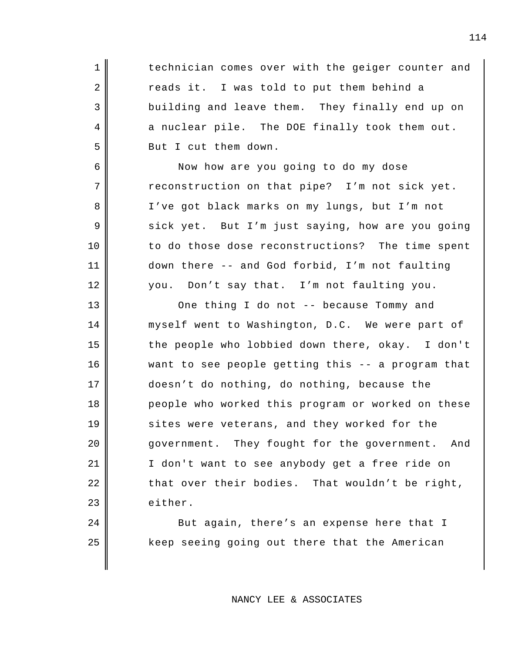1 || technician comes over with the geiger counter and  $2 \parallel$  reads it. I was told to put them behind a 3 building and leave them. They finally end up on  $4 \parallel$  a nuclear pile. The DOE finally took them out. 5 Sut I cut them down.

6 Now how are you going to do my dose  $7 \parallel$  reconstruction on that pipe? I'm not sick yet. 8 || I've got black marks on my lungs, but I'm not 9 sick yet. But I'm just saying, how are you going 10 to do those dose reconstructions? The time spent 11 down there -- and God forbid, I'm not faulting 12 you. Don't say that. I'm not faulting you.

13 || One thing I do not -- because Tommy and 14 myself went to Washington, D.C. We were part of 15 the people who lobbied down there, okay. I don't 16 want to see people getting this -- a program that 17 doesn't do nothing, do nothing, because the 18 people who worked this program or worked on these 19 || sites were veterans, and they worked for the 20 government. They fought for the government. And 21 || I don't want to see anybody get a free ride on  $22$  || that over their bodies. That wouldn't be right, 23 either.

24 || But again, there's an expense here that I 25 || keep seeing going out there that the American

## NANCY LEE & ASSOCIATES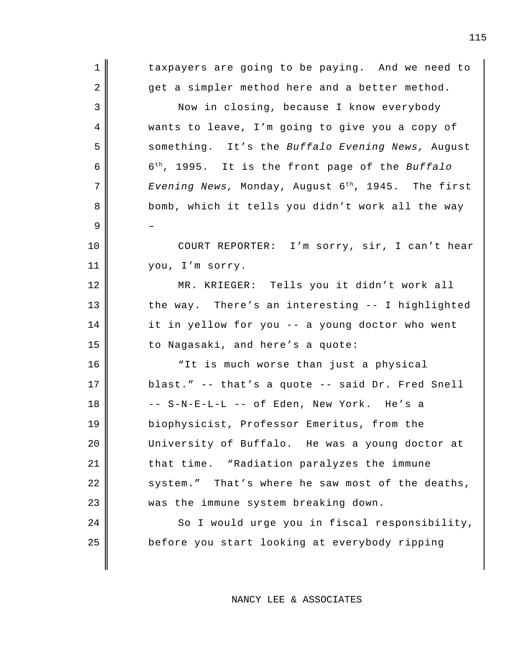1 || taxpayers are going to be paying. And we need to  $2 \parallel$  get a simpler method here and a better method. 3 Now in closing, because I know everybody 4 wants to leave, I'm going to give you a copy of 5 Something. It's the *Buffalo Evening News*, August 6th 6 , 1995. It is the front page of the *Buffalo* 7 *Evening News, Monday, August 6<sup>th</sup>, 1945*. The first 8 bomb, which it tells you didn't work all the way 9 – 10 || COURT REPORTER: I'm sorry, sir, I can't hear 11 you, I'm sorry. 12 MR. KRIEGER: Tells you it didn't work all 13 the way. There's an interesting -- I highlighted 14 it in yellow for you -- a young doctor who went 15 to Nagasaki, and here's a quote: 16 || "It is much worse than just a physical 17 blast." -- that's a quote -- said Dr. Fred Snell  $18 \parallel$  -- S-N-E-L-L -- of Eden, New York. He's a 19 biophysicist, Professor Emeritus, from the 20 University of Buffalo. He was a young doctor at 21 | that time. "Radiation paralyzes the immune  $22$   $\parallel$  system." That's where he saw most of the deaths, 23 was the immune system breaking down. 24 So I would urge you in fiscal responsibility, 25 before you start looking at everybody ripping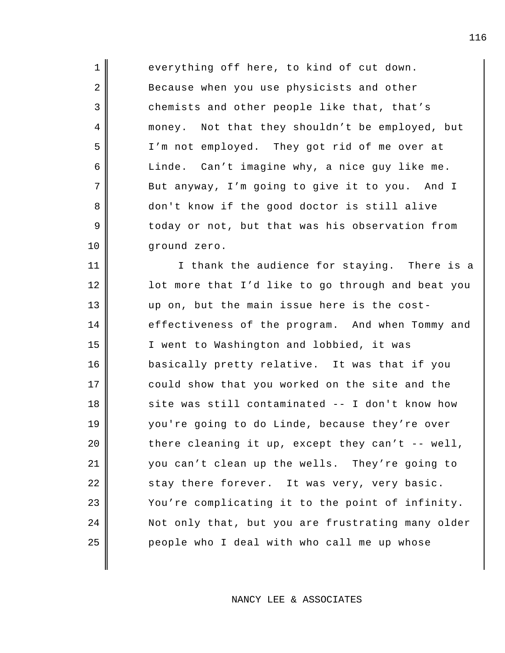1 everything off here, to kind of cut down. 2 Because when you use physicists and other 3 chemists and other people like that, that's 4 money. Not that they shouldn't be employed, but 5 I'm not employed. They got rid of me over at 6 | Linde. Can't imagine why, a nice guy like me. 7 But anyway, I'm going to give it to you. And I 8 don't know if the good doctor is still alive 9 U coday or not, but that was his observation from 10 || ground zero.

11 || I thank the audience for staying. There is a 12 | lot more that I'd like to go through and beat you 13 up on, but the main issue here is the cost-14 effectiveness of the program. And when Tommy and 15 || I went to Washington and lobbied, it was 16 basically pretty relative. It was that if you 17 could show that you worked on the site and the 18 site was still contaminated -- I don't know how 19 you're going to do Linde, because they're over  $20$  | there cleaning it up, except they can't -- well, 21 you can't clean up the wells. They're going to 22 stay there forever. It was very, very basic.  $23$   $\parallel$  You're complicating it to the point of infinity. 24 Not only that, but you are frustrating many older 25 people who I deal with who call me up whose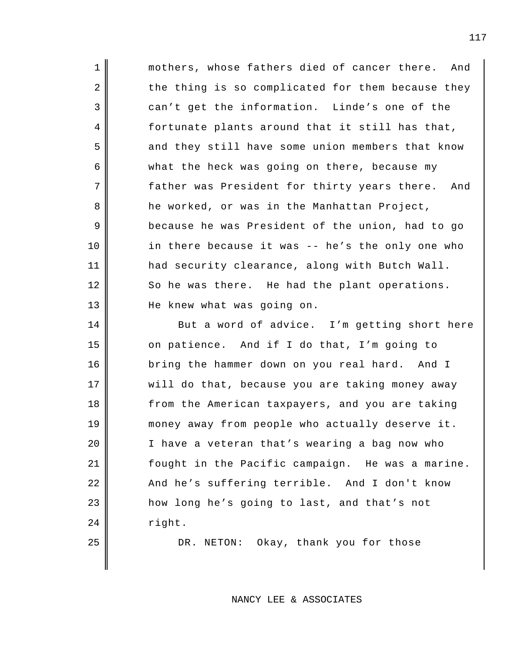1 || mothers, whose fathers died of cancer there. And 2 the thing is so complicated for them because they 3 can't get the information. Linde's one of the 4 fortunate plants around that it still has that, 5 and they still have some union members that know 6 | what the heck was going on there, because my 7 father was President for thirty years there. And 8 he worked, or was in the Manhattan Project, 9 because he was President of the union, had to go 10 || in there because it was -- he's the only one who 11 had security clearance, along with Butch Wall. 12 So he was there. He had the plant operations. 13 || He knew what was going on.

14 But a word of advice. I'm getting short here 15 on patience. And if I do that, I'm going to 16 bring the hammer down on you real hard. And I 17 || will do that, because you are taking money away 18 | from the American taxpayers, and you are taking 19 || money away from people who actually deserve it. 20 | I have a veteran that's wearing a bag now who 21 fought in the Pacific campaign. He was a marine. 22 And he's suffering terrible. And I don't know 23 | how long he's going to last, and that's not  $24$  right.

25 DR. NETON: Okay, thank you for those

NANCY LEE & ASSOCIATES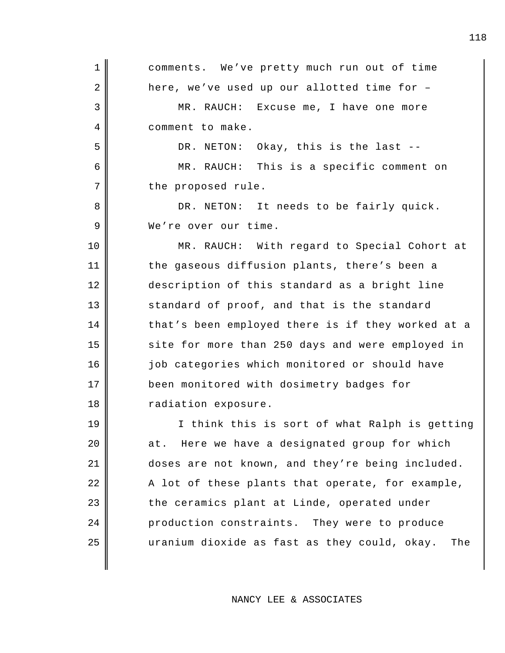| $\mathbf 1$ | comments. We've pretty much run out of time         |
|-------------|-----------------------------------------------------|
| 2           | here, we've used up our allotted time for -         |
| 3           | MR. RAUCH: Excuse me, I have one more               |
| 4           | comment to make.                                    |
| 5           | DR. NETON: Okay, this is the last --                |
| 6           | MR. RAUCH: This is a specific comment on            |
| 7           | the proposed rule.                                  |
| 8           | DR. NETON: It needs to be fairly quick.             |
| 9           | We're over our time.                                |
| 10          | MR. RAUCH: With regard to Special Cohort at         |
| 11          | the gaseous diffusion plants, there's been a        |
| 12          | description of this standard as a bright line       |
| 13          | standard of proof, and that is the standard         |
| 14          | that's been employed there is if they worked at a   |
| 15          | site for more than 250 days and were employed in    |
| 16          | job categories which monitored or should have       |
| 17          | been monitored with dosimetry badges for            |
| 18          | radiation exposure.                                 |
| 19          | I think this is sort of what Ralph is getting       |
| 20          | Here we have a designated group for which<br>at.    |
| 21          | doses are not known, and they're being included.    |
| 22          | A lot of these plants that operate, for example,    |
| 23          | the ceramics plant at Linde, operated under         |
| 24          | production constraints. They were to produce        |
| 25          | uranium dioxide as fast as they could, okay.<br>The |
|             |                                                     |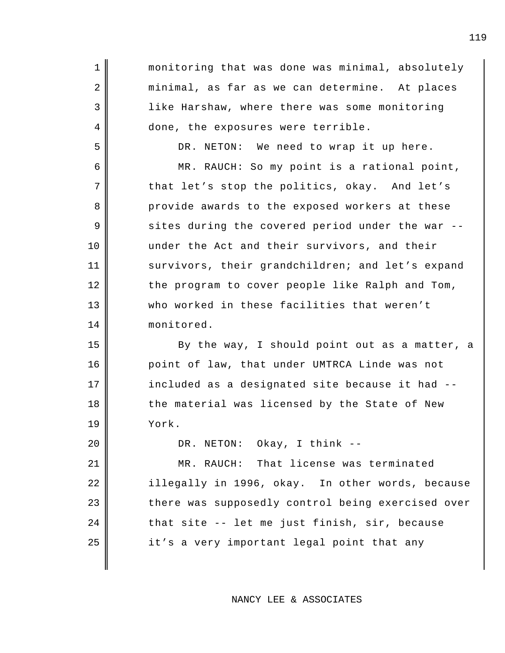1 || monitoring that was done was minimal, absolutely 2 || minimal, as far as we can determine. At places 3 like Harshaw, where there was some monitoring 4 done, the exposures were terrible. 5 DR. NETON: We need to wrap it up here. 6 MR. RAUCH: So my point is a rational point, 7 that let's stop the politics, okay. And let's 8 provide awards to the exposed workers at these  $9 \parallel$  sites during the covered period under the war --10 under the Act and their survivors, and their 11 survivors, their grandchildren; and let's expand 12 the program to cover people like Ralph and Tom, 13 who worked in these facilities that weren't 14 || monitored. 15 By the way, I should point out as a matter, a 16 point of law, that under UMTRCA Linde was not  $17$  | included as a designated site because it had  $-$ -18 the material was licensed by the State of New 19 York. 20 | DR. NETON: Okay, I think --21 MR. RAUCH: That license was terminated 22 | illegally in 1996, okay. In other words, because 23 there was supposedly control being exercised over  $24$   $\parallel$  that site -- let me just finish, sir, because 25 || it's a very important legal point that any

NANCY LEE & ASSOCIATES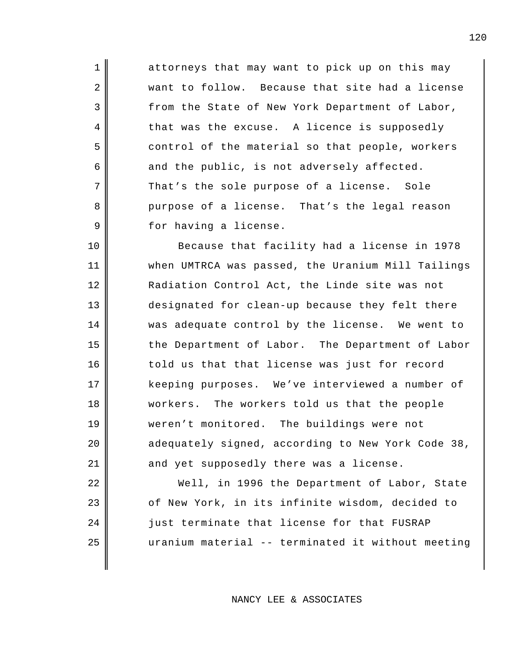1 attorneys that may want to pick up on this may 2 want to follow. Because that site had a license 3 from the State of New York Department of Labor, 4 that was the excuse. A licence is supposedly 5 control of the material so that people, workers  $6 \parallel$  and the public, is not adversely affected. 7 That's the sole purpose of a license. Sole 8 purpose of a license. That's the legal reason 9 for having a license.

 Because that facility had a license in 1978 when UMTRCA was passed, the Uranium Mill Tailings 12 | Radiation Control Act, the Linde site was not designated for clean-up because they felt there was adequate control by the license. We went to 15 the Department of Labor. The Department of Labor told us that that license was just for record keeping purposes. We've interviewed a number of workers. The workers told us that the people weren't monitored. The buildings were not 20 adequately signed, according to New York Code 38, 21 and yet supposedly there was a license.

22 Well, in 1996 the Department of Labor, State 23 | cf New York, in its infinite wisdom, decided to 24 || just terminate that license for that FUSRAP 25 uranium material -- terminated it without meeting

NANCY LEE & ASSOCIATES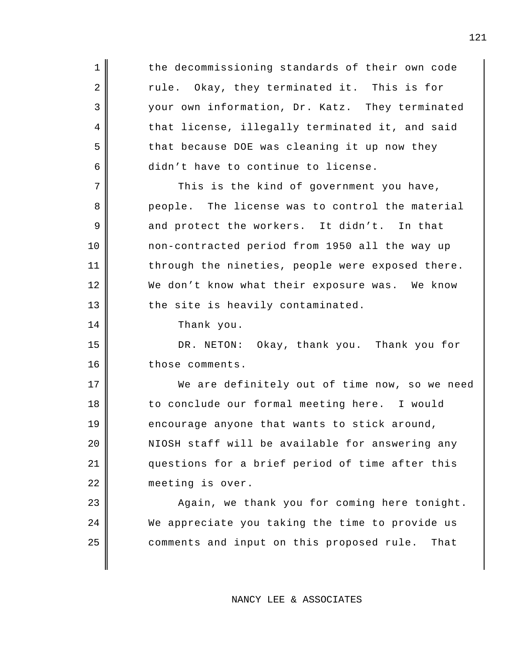1 || the decommissioning standards of their own code 2 Tule. Okay, they terminated it. This is for 3 your own information, Dr. Katz. They terminated 4 that license, illegally terminated it, and said 5 that because DOE was cleaning it up now they  $6 \parallel$  didn't have to continue to license.  $7$  This is the kind of government you have, 8 people. The license was to control the material  $9 \parallel$  and protect the workers. It didn't. In that 10 non-contracted period from 1950 all the way up 11 | through the nineties, people were exposed there. 12 We don't know what their exposure was. We know  $13$  the site is heavily contaminated. 14 Thank you. 15 DR. NETON: Okay, thank you. Thank you for 16 those comments. 17 We are definitely out of time now, so we need 18 to conclude our formal meeting here. I would  $19$  encourage anyone that wants to stick around,

20 || NIOSH staff will be available for answering any 21 || questions for a brief period of time after this 22 | meeting is over.

23 || Again, we thank you for coming here tonight. 24 We appreciate you taking the time to provide us 25 comments and input on this proposed rule. That